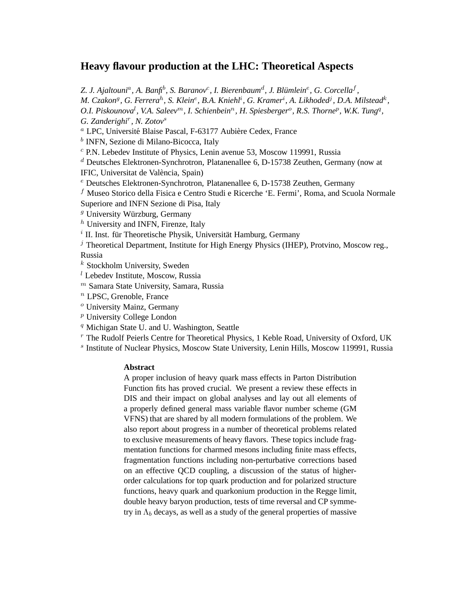# **Heavy flavour production at the LHC: Theoretical Aspects**

Z. J. Ajaltouni<sup>a</sup>, A. Banfi<sup>b</sup>, S. Baranov<sup>c</sup>, I. Bierenbaum<sup>d</sup>, J. Blümlein<sup>e</sup>, G. Corcella<sup>f</sup>,

*M. Czakon<sup>g</sup>, G. Ferrera<sup>h</sup>, S. Klein<sup>e</sup>, B.A. Kniehl<sup>i</sup>, G. Kramer<sup>i</sup>, A. Likhoded<sup>j</sup>, D.A. Milstead<sup>k</sup>,* O.I. Piskounova<sup>l</sup>, V.A. Saleev<sup>m</sup>, I. Schienbein<sup>n</sup>, H. Spiesberger<sup>o</sup>, R.S. Thorne<sup>p</sup>, W.K. Tung<sup>q</sup>,

*G. Zanderighi*<sup>r</sup> *, N. Zotov*<sup>s</sup>

<sup>a</sup> LPC, Université Blaise Pascal, F-63177 Aubière Cedex, France

<sup>b</sup> INFN, Sezione di Milano-Bicocca, Italy

 $c$  P.N. Lebedev Institute of Physics, Lenin avenue 53, Moscow 119991, Russia

 $d$  Deutsches Elektronen-Synchrotron, Platanenallee 6, D-15738 Zeuthen, Germany (now at IFIC, Universitat de València, Spain)

 $e$  Deutsches Elektronen-Synchrotron, Platanenallee 6, D-15738 Zeuthen, Germany

 $f$  Museo Storico della Fisica e Centro Studi e Ricerche 'E. Fermi', Roma, and Scuola Normale Superiore and INFN Sezione di Pisa, Italy

 $g$  University Würzburg, Germany

 $<sup>h</sup>$  University and INFN, Firenze, Italy</sup>

 $i$  II. Inst. für Theoretische Physik, Universität Hamburg, Germany

 $j$  Theoretical Department, Institute for High Energy Physics (IHEP), Protvino, Moscow reg., Russia

 $k$  Stockholm University, Sweden

 $l$  Lebedev Institute, Moscow, Russia

 $<sup>m</sup>$  Samara State University, Samara, Russia</sup>

 $<sup>n</sup>$  LPSC, Grenoble, France</sup>

<sup>o</sup> University Mainz, Germany

 $P$  University College London

<sup>q</sup> Michigan State U. and U. Washington, Seattle

 $r$  The Rudolf Peierls Centre for Theoretical Physics, 1 Keble Road, University of Oxford, UK

s Institute of Nuclear Physics, Moscow State University, Lenin Hills, Moscow 119991, Russia

## **Abstract**

A proper inclusion of heavy quark mass effects in Parton Distribution Function fits has proved crucial. We present a review these effects in DIS and their impact on global analyses and lay out all elements of a properly defined general mass variable flavor number scheme (GM VFNS) that are shared by all modern formulations of the problem. We also report about progress in a number of theoretical problems related to exclusive measurements of heavy flavors. These topics include fragmentation functions for charmed mesons including finite mass effects, fragmentation functions including non-perturbative corrections based on an effective QCD coupling, a discussion of the status of higherorder calculations for top quark production and for polarized structure functions, heavy quark and quarkonium production in the Regge limit, double heavy baryon production, tests of time reversal and CP symmetry in  $\Lambda_b$  decays, as well as a study of the general properties of massive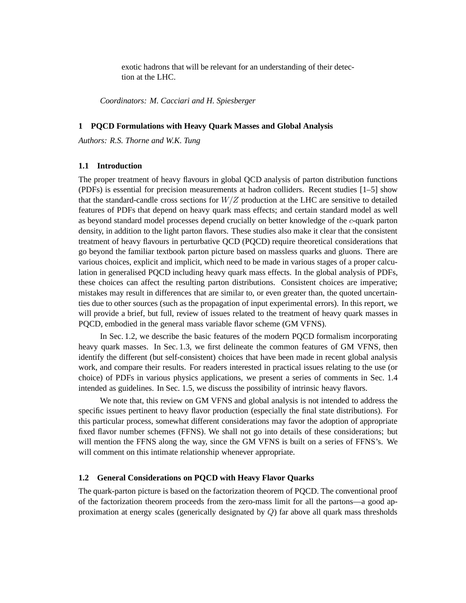exotic hadrons that will be relevant for an understanding of their detection at the LHC.

*Coordinators: M. Cacciari and H. Spiesberger*

## **1 PQCD Formulations with Heavy Quark Masses and Global Analysis**

*Authors: R.S. Thorne and W.K. Tung*

#### **1.1 Introduction**

The proper treatment of heavy flavours in global QCD analysis of parton distribution functions (PDFs) is essential for precision measurements at hadron colliders. Recent studies [1–5] show that the standard-candle cross sections for  $W/Z$  production at the LHC are sensitive to detailed features of PDFs that depend on heavy quark mass effects; and certain standard model as well as beyond standard model processes depend crucially on better knowledge of the c-quark parton density, in addition to the light parton flavors. These studies also make it clear that the consistent treatment of heavy flavours in perturbative QCD (PQCD) require theoretical considerations that go beyond the familiar textbook parton picture based on massless quarks and gluons. There are various choices, explicit and implicit, which need to be made in various stages of a proper calculation in generalised PQCD including heavy quark mass effects. In the global analysis of PDFs, these choices can affect the resulting parton distributions. Consistent choices are imperative; mistakes may result in differences that are similar to, or even greater than, the quoted uncertainties due to other sources (such as the propagation of input experimental errors). In this report, we will provide a brief, but full, review of issues related to the treatment of heavy quark masses in PQCD, embodied in the general mass variable flavor scheme (GM VFNS).

In Sec. 1.2, we describe the basic features of the modern PQCD formalism incorporating heavy quark masses. In Sec. 1.3, we first delineate the common features of GM VFNS, then identify the different (but self-consistent) choices that have been made in recent global analysis work, and compare their results. For readers interested in practical issues relating to the use (or choice) of PDFs in various physics applications, we present a series of comments in Sec. 1.4 intended as guidelines. In Sec. 1.5, we discuss the possibility of intrinsic heavy flavors.

We note that, this review on GM VFNS and global analysis is not intended to address the specific issues pertinent to heavy flavor production (especially the final state distributions). For this particular process, somewhat different considerations may favor the adoption of appropriate fixed flavor number schemes (FFNS). We shall not go into details of these considerations; but will mention the FFNS along the way, since the GM VFNS is built on a series of FFNS's. We will comment on this intimate relationship whenever appropriate.

# **1.2 General Considerations on PQCD with Heavy Flavor Quarks**

The quark-parton picture is based on the factorization theorem of PQCD. The conventional proof of the factorization theorem proceeds from the zero-mass limit for all the partons—a good approximation at energy scales (generically designated by  $Q$ ) far above all quark mass thresholds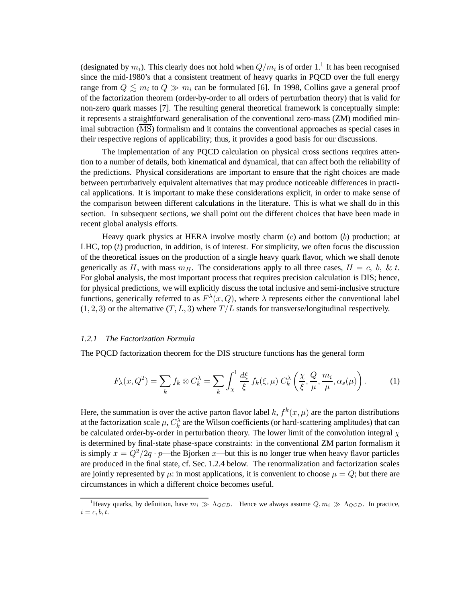(designated by  $m_i$ ). This clearly does not hold when  $Q/m_i$  is of order 1.<sup>1</sup> It has been recognised since the mid-1980's that a consistent treatment of heavy quarks in PQCD over the full energy range from  $Q \lesssim m_i$  to  $Q \gg m_i$  can be formulated [6]. In 1998, Collins gave a general proof of the factorization theorem (order-by-order to all orders of perturbation theory) that is valid for non-zero quark masses [7]. The resulting general theoretical framework is conceptually simple: it represents a straightforward generalisation of the conventional zero-mass (ZM) modified minimal subtraction (MS) formalism and it contains the conventional approaches as special cases in their respective regions of applicability; thus, it provides a good basis for our discussions.

The implementation of any PQCD calculation on physical cross sections requires attention to a number of details, both kinematical and dynamical, that can affect both the reliability of the predictions. Physical considerations are important to ensure that the right choices are made between perturbatively equivalent alternatives that may produce noticeable differences in practical applications. It is important to make these considerations explicit, in order to make sense of the comparison between different calculations in the literature. This is what we shall do in this section. In subsequent sections, we shall point out the different choices that have been made in recent global analysis efforts.

Heavy quark physics at HERA involve mostly charm  $(c)$  and bottom  $(b)$  production; at LHC, top  $(t)$  production, in addition, is of interest. For simplicity, we often focus the discussion of the theoretical issues on the production of a single heavy quark flavor, which we shall denote generically as H, with mass  $m_H$ . The considerations apply to all three cases,  $H = c$ , b, & t. For global analysis, the most important process that requires precision calculation is DIS; hence, for physical predictions, we will explicitly discuss the total inclusive and semi-inclusive structure functions, generically referred to as  $F^{\lambda}(x, Q)$ , where  $\lambda$  represents either the conventional label  $(1, 2, 3)$  or the alternative  $(T, L, 3)$  where  $T/L$  stands for transverse/longitudinal respectively.

#### *1.2.1 The Factorization Formula*

The PQCD factorization theorem for the DIS structure functions has the general form

$$
F_{\lambda}(x, Q^2) = \sum_{k} f_k \otimes C_k^{\lambda} = \sum_{k} \int_{\chi}^{1} \frac{d\xi}{\xi} f_k(\xi, \mu) C_k^{\lambda} \left(\frac{\chi}{\xi}, \frac{Q}{\mu}, \frac{m_i}{\mu}, \alpha_s(\mu)\right). \tag{1}
$$

Here, the summation is over the active parton flavor label k,  $f^k(x, \mu)$  are the parton distributions at the factorization scale  $\mu$ ,  $C_k^{\lambda}$  are the Wilson coefficients (or hard-scattering amplitudes) that can be calculated order-by-order in perturbation theory. The lower limit of the convolution integral  $\chi$ is determined by final-state phase-space constraints: in the conventional ZM parton formalism it is simply  $x = Q^2/2q \cdot p$ —the Bjorken x—but this is no longer true when heavy flavor particles are produced in the final state, cf. Sec. 1.2.4 below. The renormalization and factorization scales are jointly represented by  $\mu$ : in most applications, it is convenient to choose  $\mu = Q$ ; but there are circumstances in which a different choice becomes useful.

<sup>&</sup>lt;sup>1</sup>Heavy quarks, by definition, have  $m_i \gg \Lambda_{QCD}$ . Hence we always assume  $Q, m_i \gg \Lambda_{QCD}$ . In practice,  $i = c, b, t.$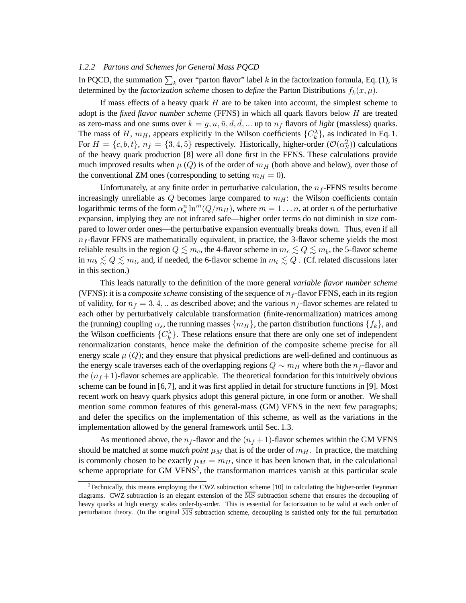## *1.2.2 Partons and Schemes for General Mass PQCD*

In PQCD, the summation  $\sum_k$  over "parton flavor" label k in the factorization formula, Eq. (1), is determined by the *factorization scheme* chosen to *define* the Parton Distributions  $f_k(x,\mu)$ .

If mass effects of a heavy quark  $H$  are to be taken into account, the simplest scheme to adopt is the *fixed flavor number scheme* (FFNS) in which all quark flavors below H are treated as zero-mass and one sums over  $k = g, u, \bar{u}, d, \bar{d}, \dots$  up to  $n_f$  flavors of *light* (massless) quarks. The mass of H,  $m_H$ , appears explicitly in the Wilson coefficients  $\{C_k^{\lambda}\}\$ , as indicated in Eq. 1. For  $H = \{c, b, t\}$ ,  $n_f = \{3, 4, 5\}$  respectively. Historically, higher-order  $(\mathcal{O}(\alpha_S^2))$  calculations of the heavy quark production [8] were all done first in the FFNS. These calculations provide much improved results when  $\mu(Q)$  is of the order of  $m_H$  (both above and below), over those of the conventional ZM ones (corresponding to setting  $m_H = 0$ ).

Unfortunately, at any finite order in perturbative calculation, the  $n_f$ -FFNS results become increasingly unreliable as  $Q$  becomes large compared to  $m<sub>H</sub>$ : the Wilson coefficients contain logarithmic terms of the form  $\alpha_s^n \ln^m(Q/m_H)$ , where  $m = 1 \dots n$ , at order n of the perturbative expansion, implying they are not infrared safe—higher order terms do not diminish in size compared to lower order ones—the perturbative expansion eventually breaks down. Thus, even if all  $n_f$ -flavor FFNS are mathematically equivalent, in practice, the 3-flavor scheme yields the most reliable results in the region  $Q \leq m_c$ , the 4-flavor scheme in  $m_c \leq Q \leq m_b$ , the 5-flavor scheme in  $m_b \lesssim Q \lesssim m_t$ , and, if needed, the 6-flavor scheme in  $m_t \lesssim Q$  . (Cf. related discussions later in this section.)

This leads naturally to the definition of the more general *variable flavor number scheme* (VFNS): it is a *composite scheme* consisting of the sequence of  $n_f$ -flavor FFNS, each in its region of validity, for  $n_f = 3, 4, \ldots$  as described above; and the various  $n_f$ -flavor schemes are related to each other by perturbatively calculable transformation (finite-renormalization) matrices among the (running) coupling  $\alpha_s$ , the running masses  $\{m_H\}$ , the parton distribution functions  $\{f_k\}$ , and the Wilson coefficients  $\{C_k^{\lambda}\}\$ . These relations ensure that there are only one set of independent renormalization constants, hence make the definition of the composite scheme precise for all energy scale  $\mu(Q)$ ; and they ensure that physical predictions are well-defined and continuous as the energy scale traverses each of the overlapping regions  $Q \sim m_H$  where both the  $n_f$ -flavor and the  $(n_f+1)$ -flavor schemes are applicable. The theoretical foundation for this intuitively obvious scheme can be found in [6,7], and it was first applied in detail for structure functions in [9]. Most recent work on heavy quark physics adopt this general picture, in one form or another. We shall mention some common features of this general-mass (GM) VFNS in the next few paragraphs; and defer the specifics on the implementation of this scheme, as well as the variations in the implementation allowed by the general framework until Sec. 1.3.

As mentioned above, the  $n_f$ -flavor and the  $(n_f + 1)$ -flavor schemes within the GM VFNS should be matched at some *match point*  $\mu_M$  that is of the order of  $m_H$ . In practice, the matching is commonly chosen to be exactly  $\mu_M = m_H$ , since it has been known that, in the calculational scheme appropriate for GM VFNS<sup>2</sup>, the transformation matrices vanish at this particular scale

<sup>&</sup>lt;sup>2</sup>Technically, this means employing the CWZ subtraction scheme [10] in calculating the higher-order Feynman diagrams. CWZ subtraction is an elegant extension of the  $\overline{\text{MS}}$  subtraction scheme that ensures the decoupling of heavy quarks at high energy scales order-by-order. This is essential for factorization to be valid at each order of perturbation theory. (In the original  $\overline{\text{MS}}$  subtraction scheme, decoupling is satisfied only for the full perturbation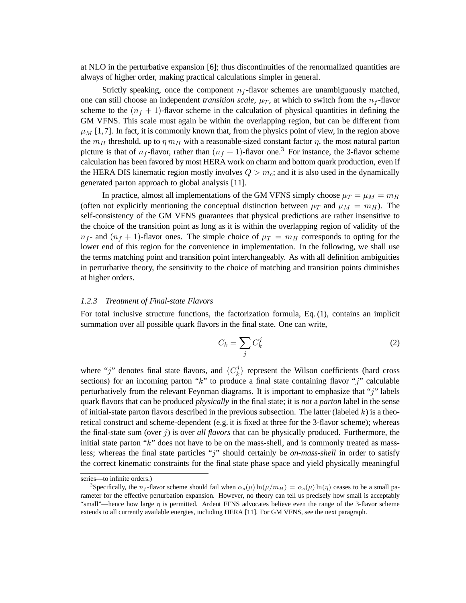at NLO in the perturbative expansion [6]; thus discontinuities of the renormalized quantities are always of higher order, making practical calculations simpler in general.

Strictly speaking, once the component  $n_f$ -flavor schemes are unambiguously matched, one can still choose an independent *transition scale*,  $\mu_T$ , at which to switch from the  $n_f$ -flavor scheme to the  $(n_f + 1)$ -flavor scheme in the calculation of physical quantities in defining the GM VFNS. This scale must again be within the overlapping region, but can be different from  $\mu_M$  [1,7]. In fact, it is commonly known that, from the physics point of view, in the region above the  $m_H$  threshold, up to  $\eta m_H$  with a reasonable-sized constant factor  $\eta$ , the most natural parton picture is that of  $n_f$ -flavor, rather than  $(n_f + 1)$ -flavor one.<sup>3</sup> For instance, the 3-flavor scheme calculation has been favored by most HERA work on charm and bottom quark production, even if the HERA DIS kinematic region mostly involves  $Q > m_c$ ; and it is also used in the dynamically generated parton approach to global analysis [11].

In practice, almost all implementations of the GM VFNS simply choose  $\mu_T = \mu_M = m_H$ (often not explicitly mentioning the conceptual distinction between  $\mu_T$  and  $\mu_M = m_H$ ). The self-consistency of the GM VFNS guarantees that physical predictions are rather insensitive to the choice of the transition point as long as it is within the overlapping region of validity of the  $n_f$ - and  $(n_f + 1)$ -flavor ones. The simple choice of  $\mu_T = m_H$  corresponds to opting for the lower end of this region for the convenience in implementation. In the following, we shall use the terms matching point and transition point interchangeably. As with all definition ambiguities in perturbative theory, the sensitivity to the choice of matching and transition points diminishes at higher orders.

#### *1.2.3 Treatment of Final-state Flavors*

For total inclusive structure functions, the factorization formula, Eq. (1), contains an implicit summation over all possible quark flavors in the final state. One can write,

$$
C_k = \sum_j C_k^j \tag{2}
$$

where "j" denotes final state flavors, and  $\{C_k^j\}$  $\{k\}$  represent the Wilson coefficients (hard cross sections) for an incoming parton " $k$ " to produce a final state containing flavor "j" calculable perturbatively from the relevant Feynman diagrams. It is important to emphasize that " $j$ " labels quark flavors that can be produced *physically* in the final state; it is *not* a *parton* label in the sense of initial-state parton flavors described in the previous subsection. The latter (labeled  $k$ ) is a theoretical construct and scheme-dependent (e.g. it is fixed at three for the 3-flavor scheme); whereas the final-state sum (over  $\hat{\jmath}$ ) is over *all flavors* that can be physically produced. Furthermore, the initial state parton "k" does not have to be on the mass-shell, and is commonly treated as massless; whereas the final state particles "j" should certainly be *on-mass-shell* in order to satisfy the correct kinematic constraints for the final state phase space and yield physically meaningful

series—to infinite orders.)

<sup>&</sup>lt;sup>3</sup>Specifically, the n<sub>f</sub>-flavor scheme should fail when  $\alpha_s(\mu) \ln(\mu/m_H) = \alpha_s(\mu) \ln(\eta)$  ceases to be a small parameter for the effective perturbation expansion. However, no theory can tell us precisely how small is acceptably "small"—hence how large  $\eta$  is permitted. Ardent FFNS advocates believe even the range of the 3-flavor scheme extends to all currently available energies, including HERA [11]. For GM VFNS, see the next paragraph.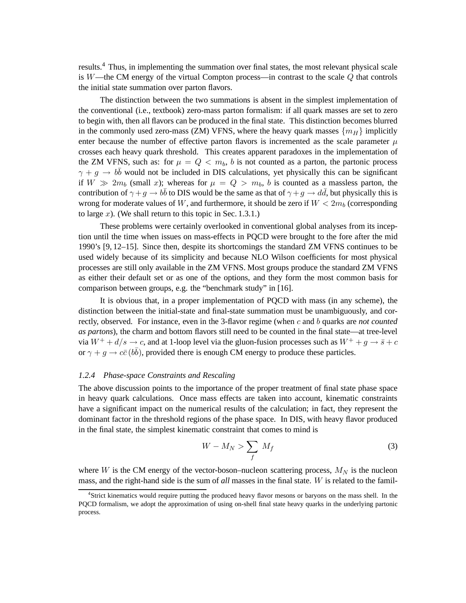results.<sup>4</sup> Thus, in implementing the summation over final states, the most relevant physical scale is  $W$ —the CM energy of the virtual Compton process—in contrast to the scale  $Q$  that controls the initial state summation over parton flavors.

The distinction between the two summations is absent in the simplest implementation of the conventional (i.e., textbook) zero-mass parton formalism: if all quark masses are set to zero to begin with, then all flavors can be produced in the final state. This distinction becomes blurred in the commonly used zero-mass (ZM) VFNS, where the heavy quark masses  $\{m_H\}$  implicitly enter because the number of effective parton flavors is incremented as the scale parameter  $\mu$ crosses each heavy quark threshold. This creates apparent paradoxes in the implementation of the ZM VFNS, such as: for  $\mu = Q < m_b$ , b is not counted as a parton, the partonic process  $\gamma + g \rightarrow b\bar{b}$  would not be included in DIS calculations, yet physically this can be significant if  $W \gg 2m_b$  (small x); whereas for  $\mu = Q > m_b$ , b is counted as a massless parton, the contribution of  $\gamma + g \to b\bar{b}$  to DIS would be the same as that of  $\gamma + g \to d\bar{d}$ , but physically this is wrong for moderate values of W, and furthermore, it should be zero if  $W < 2m_b$  (corresponding to large  $x$ ). (We shall return to this topic in Sec. 1.3.1.)

These problems were certainly overlooked in conventional global analyses from its inception until the time when issues on mass-effects in PQCD were brought to the fore after the mid 1990's [9, 12–15]. Since then, despite its shortcomings the standard ZM VFNS continues to be used widely because of its simplicity and because NLO Wilson coefficients for most physical processes are still only available in the ZM VFNS. Most groups produce the standard ZM VFNS as either their default set or as one of the options, and they form the most common basis for comparison between groups, e.g. the "benchmark study" in [16].

It is obvious that, in a proper implementation of PQCD with mass (in any scheme), the distinction between the initial-state and final-state summation must be unambiguously, and correctly, observed. For instance, even in the 3-flavor regime (when c and b quarks are *not counted as partons*), the charm and bottom flavors still need to be counted in the final state—at tree-level via  $W^+ + d/s \to c$ , and at 1-loop level via the gluon-fusion processes such as  $W^+ + g \to \bar{s} + c$ or  $\gamma + g \rightarrow c\bar{c}(b\bar{b})$ , provided there is enough CM energy to produce these particles.

#### *1.2.4 Phase-space Constraints and Rescaling*

The above discussion points to the importance of the proper treatment of final state phase space in heavy quark calculations. Once mass effects are taken into account, kinematic constraints have a significant impact on the numerical results of the calculation; in fact, they represent the dominant factor in the threshold regions of the phase space. In DIS, with heavy flavor produced in the final state, the simplest kinematic constraint that comes to mind is

$$
W - M_N > \sum_f M_f \tag{3}
$$

where W is the CM energy of the vector-boson–nucleon scattering process,  $M_N$  is the nucleon mass, and the right-hand side is the sum of *all* masses in the final state. W is related to the famil-

<sup>4</sup> Strict kinematics would require putting the produced heavy flavor mesons or baryons on the mass shell. In the PQCD formalism, we adopt the approximation of using on-shell final state heavy quarks in the underlying partonic process.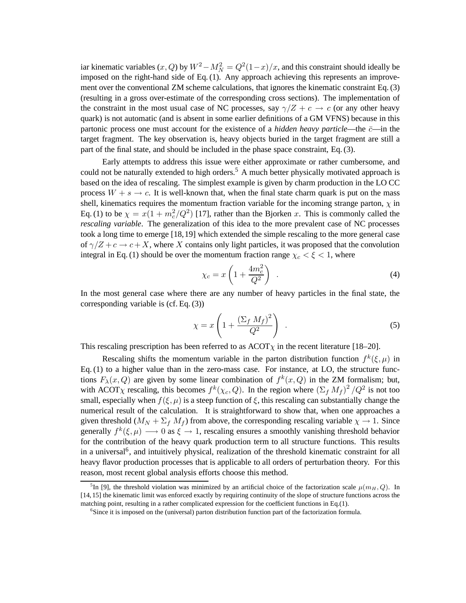iar kinematic variables  $(x, Q)$  by  $W^2 - M_N^2 = Q^2(1-x)/x$ , and this constraint should ideally be imposed on the right-hand side of Eq. (1). Any approach achieving this represents an improvement over the conventional ZM scheme calculations, that ignores the kinematic constraint Eq. (3) (resulting in a gross over-estimate of the corresponding cross sections). The implementation of the constraint in the most usual case of NC processes, say  $\gamma/Z + c \rightarrow c$  (or any other heavy quark) is not automatic (and is absent in some earlier definitions of a GM VFNS) because in this partonic process one must account for the existence of a *hidden heavy particle*—the  $\bar{c}$ —in the target fragment. The key observation is, heavy objects buried in the target fragment are still a part of the final state, and should be included in the phase space constraint, Eq. (3).

Early attempts to address this issue were either approximate or rather cumbersome, and could not be naturally extended to high orders.<sup>5</sup> A much better physically motivated approach is based on the idea of rescaling. The simplest example is given by charm production in the LO CC process  $W + s \rightarrow c$ . It is well-known that, when the final state charm quark is put on the mass shell, kinematics requires the momentum fraction variable for the incoming strange parton,  $\chi$  in Eq. (1) to be  $\chi = x(1 + m_c^2/Q^2)$  [17], rather than the Bjorken x. This is commonly called the *rescaling variable*. The generalization of this idea to the more prevalent case of NC processes took a long time to emerge [18,19] which extended the simple rescaling to the more general case of  $\gamma/Z + c \rightarrow c+X$ , where X contains only light particles, it was proposed that the convolution integral in Eq. (1) should be over the momentum fraction range  $\chi_c < \xi < 1$ , where

$$
\chi_c = x \left( 1 + \frac{4m_c^2}{Q^2} \right) \tag{4}
$$

In the most general case where there are any number of heavy particles in the final state, the corresponding variable is (cf. Eq. (3))

$$
\chi = x \left( 1 + \frac{(\Sigma_f M_f)^2}{Q^2} \right) \tag{5}
$$

This rescaling prescription has been referred to as  $ACOT\chi$  in the recent literature [18–20].

Rescaling shifts the momentum variable in the parton distribution function  $f^k(\xi,\mu)$  in Eq. (1) to a higher value than in the zero-mass case. For instance, at LO, the structure functions  $F_{\lambda}(x, Q)$  are given by some linear combination of  $f^k(x, Q)$  in the ZM formalism; but, with ACOT<sub>X</sub> rescaling, this becomes  $f^k(\chi_c, Q)$ . In the region where  $(\Sigma_f M_f)^2/Q^2$  is not too small, especially when  $f(\xi,\mu)$  is a steep function of  $\xi$ , this rescaling can substantially change the numerical result of the calculation. It is straightforward to show that, when one approaches a given threshold  $(M_N + \Sigma_f M_f)$  from above, the corresponding rescaling variable  $\chi \to 1$ . Since generally  $f^k(\xi,\mu) \longrightarrow 0$  as  $\xi \rightarrow 1$ , rescaling ensures a smoothly vanishing threshold behavior for the contribution of the heavy quark production term to all structure functions. This results in a universal<sup>6</sup>, and intuitively physical, realization of the threshold kinematic constraint for all heavy flavor production processes that is applicable to all orders of perturbation theory. For this reason, most recent global analysis efforts choose this method.

<sup>&</sup>lt;sup>5</sup>In [9], the threshold violation was minimized by an artificial choice of the factorization scale  $\mu(m_H, Q)$ . In [14,15] the kinematic limit was enforced exactly by requiring continuity of the slope of structure functions across the matching point, resulting in a rather complicated expression for the coefficient functions in Eq.(1).

<sup>&</sup>lt;sup>6</sup>Since it is imposed on the (universal) parton distribution function part of the factorization formula.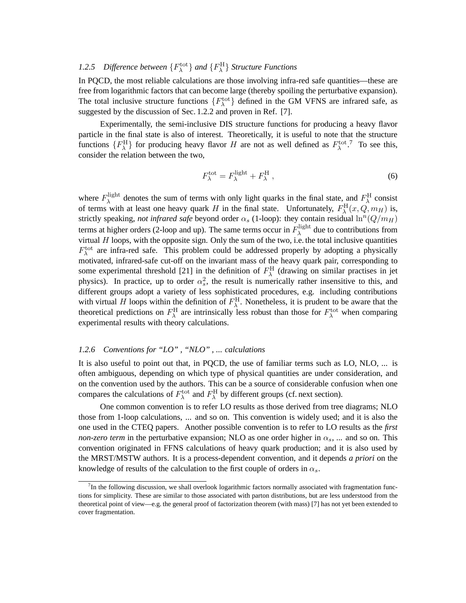# 1.2.5 *Difference between*  ${F_{\lambda}^{\text{tot}}}$  *and*  ${F_{\lambda}^{\text{H}}}$  *Structure Functions*

In PQCD, the most reliable calculations are those involving infra-red safe quantities—these are free from logarithmic factors that can become large (thereby spoiling the perturbative expansion). The total inclusive structure functions  $\{F_{\lambda}^{\text{tot}}\}$  defined in the GM VFNS are infrared safe, as suggested by the discussion of Sec. 1.2.2 and proven in Ref. [7].

Experimentally, the semi-inclusive DIS structure functions for producing a heavy flavor particle in the final state is also of interest. Theoretically, it is useful to note that the structure functions  ${F_{\lambda}^H}$  for producing heavy flavor H are not as well defined as  $F_{\lambda}^{\text{tot},7}$  To see this, consider the relation between the two,

$$
F_{\lambda}^{\text{tot}} = F_{\lambda}^{\text{light}} + F_{\lambda}^{\text{H}} \,, \tag{6}
$$

where  $F_{\lambda}^{\text{light}}$  $\lambda^{\text{light}}$  denotes the sum of terms with only light quarks in the final state, and  $F_{\lambda}^{\text{H}}$  consist of terms with at least one heavy quark H in the final state. Unfortunately,  $F_{\lambda}^{\text{H}}(x, Q, m_H)$  is, strictly speaking, *not infrared safe* beyond order  $\alpha_s$  (1-loop): they contain residual  $\ln^n(Q/m_H)$ terms at higher orders (2-loop and up). The same terms occur in  $F_{\lambda}^{\text{light}}$  $\lambda^{\text{light}}$  due to contributions from virtual H loops, with the opposite sign. Only the sum of the two, i.e. the total inclusive quantities  $F_{\lambda}^{\text{tot}}$  are infra-red safe. This problem could be addressed properly by adopting a physically motivated, infrared-safe cut-off on the invariant mass of the heavy quark pair, corresponding to some experimental threshold [21] in the definition of  $F_{\lambda}^{\rm H}$  (drawing on similar practises in jet physics). In practice, up to order  $\alpha_s^2$ , the result is numerically rather insensitive to this, and different groups adopt a variety of less sophisticated procedures, e.g. including contributions with virtual H loops within the definition of  $F_{\lambda}^{\text{H}}$ . Nonetheless, it is prudent to be aware that the theoretical predictions on  $F_{\lambda}^{\text{H}}$  are intrinsically less robust than those for  $F_{\lambda}^{\text{tot}}$  when comparing experimental results with theory calculations.

# *1.2.6 Conventions for "LO" , "NLO" , ... calculations*

It is also useful to point out that, in PQCD, the use of familiar terms such as LO, NLO, ... is often ambiguous, depending on which type of physical quantities are under consideration, and on the convention used by the authors. This can be a source of considerable confusion when one compares the calculations of  $F_{\lambda}^{\text{tot}}$  and  $F_{\lambda}^{\text{H}}$  by different groups (cf. next section).

One common convention is to refer LO results as those derived from tree diagrams; NLO those from 1-loop calculations, ... and so on. This convention is widely used; and it is also the one used in the CTEQ papers. Another possible convention is to refer to LO results as the *first non-zero term* in the perturbative expansion; NLO as one order higher in  $\alpha_s$ , ... and so on. This convention originated in FFNS calculations of heavy quark production; and it is also used by the MRST/MSTW authors. It is a process-dependent convention, and it depends *a priori* on the knowledge of results of the calculation to the first couple of orders in  $\alpha_s$ .

 $<sup>7</sup>$ In the following discussion, we shall overlook logarithmic factors normally associated with fragmentation func-</sup> tions for simplicity. These are similar to those associated with parton distributions, but are less understood from the theoretical point of view—e.g. the general proof of factorization theorem (with mass) [7] has not yet been extended to cover fragmentation.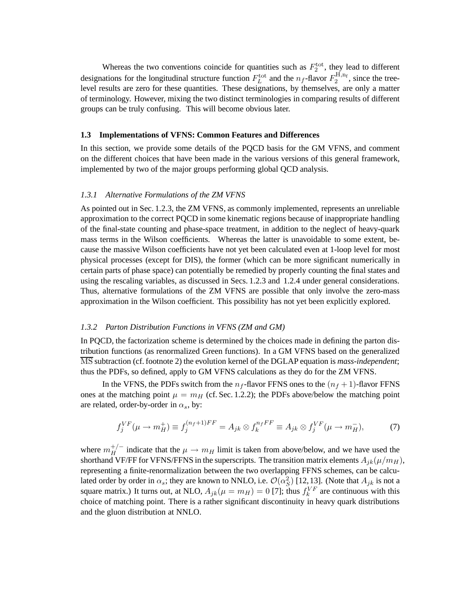Whereas the two conventions coincide for quantities such as  $F_2^{\text{tot}}$ , they lead to different designations for the longitudinal structure function  $F_L^{\text{tot}}$  and the  $n_f$ -flavor  $F_2^{\text{H,n}_f}$ , since the treelevel results are zero for these quantities. These designations, by themselves, are only a matter of terminology. However, mixing the two distinct terminologies in comparing results of different groups can be truly confusing. This will become obvious later.

#### **1.3 Implementations of VFNS: Common Features and Differences**

In this section, we provide some details of the PQCD basis for the GM VFNS, and comment on the different choices that have been made in the various versions of this general framework, implemented by two of the major groups performing global QCD analysis.

#### *1.3.1 Alternative Formulations of the ZM VFNS*

As pointed out in Sec. 1.2.3, the ZM VFNS, as commonly implemented, represents an unreliable approximation to the correct PQCD in some kinematic regions because of inappropriate handling of the final-state counting and phase-space treatment, in addition to the neglect of heavy-quark mass terms in the Wilson coefficients. Whereas the latter is unavoidable to some extent, because the massive Wilson coefficients have not yet been calculated even at 1-loop level for most physical processes (except for DIS), the former (which can be more significant numerically in certain parts of phase space) can potentially be remedied by properly counting the final states and using the rescaling variables, as discussed in Secs. 1.2.3 and 1.2.4 under general considerations. Thus, alternative formulations of the ZM VFNS are possible that only involve the zero-mass approximation in the Wilson coefficient. This possibility has not yet been explicitly explored.

#### *1.3.2 Parton Distribution Functions in VFNS (ZM and GM)*

In PQCD, the factorization scheme is determined by the choices made in defining the parton distribution functions (as renormalized Green functions). In a GM VFNS based on the generalized MS subtraction (cf. footnote 2) the evolution kernel of the DGLAP equation is *mass-independent*; thus the PDFs, so defined, apply to GM VFNS calculations as they do for the ZM VFNS.

In the VFNS, the PDFs switch from the  $n_f$ -flavor FFNS ones to the  $(n_f + 1)$ -flavor FFNS ones at the matching point  $\mu = m_H$  (cf. Sec. 1.2.2); the PDFs above/below the matching point are related, order-by-order in  $\alpha_s$ , by:

$$
f_j^{VF}(\mu \to m_H^+) \equiv f_j^{(n_f+1)FF} = A_{jk} \otimes f_k^{n_f FF} \equiv A_{jk} \otimes f_j^{VF}(\mu \to m_H^-),\tag{7}
$$

where  $m_H^{+/-}$  $H_H^{+/-}$  indicate that the  $\mu \to m_H$  limit is taken from above/below, and we have used the shorthand VF/FF for VFNS/FFNS in the superscripts. The transition matrix elements  $A_{jk}(\mu/m_H)$ , representing a finite-renormalization between the two overlapping FFNS schemes, can be calculated order by order in  $\alpha_s$ ; they are known to NNLO, i.e.  $\mathcal{O}(\alpha_S^2)$  [12, 13]. (Note that  $A_{jk}$  is not a square matrix.) It turns out, at NLO,  $A_{jk}(\mu = m_H) = 0$  [7]; thus  $f_k^{VF}$  are continuous with this choice of matching point. There is a rather significant discontinuity in heavy quark distributions and the gluon distribution at NNLO.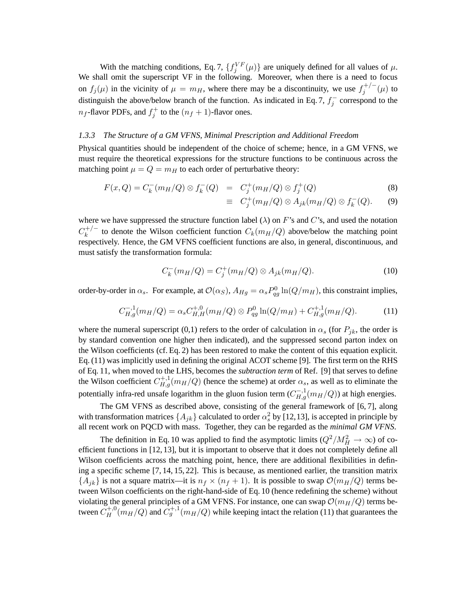With the matching conditions, Eq. 7,  $\{f_j^{VF}(\mu)\}\$  are uniquely defined for all values of  $\mu$ . We shall omit the superscript VF in the following. Moreover, when there is a need to focus on  $f_j(\mu)$  in the vicinity of  $\mu = m_H$ , where there may be a discontinuity, we use  $f_j^{+/-}$  $j^{+/-}(\mu)$  to distinguish the above/below branch of the function. As indicated in Eq. 7,  $f_i^$  $j^{-}$  correspond to the  $n_f$ -flavor PDFs, and  $f_j^+$  to the  $(n_f + 1)$ -flavor ones.

#### *1.3.3 The Structure of a GM VFNS, Minimal Prescription and Additional Freedom*

Physical quantities should be independent of the choice of scheme; hence, in a GM VFNS, we must require the theoretical expressions for the structure functions to be continuous across the matching point  $\mu = Q = m_H$  to each order of perturbative theory:

$$
F(x,Q) = C_k^-(m_H/Q) \otimes f_k^-(Q) = C_j^+(m_H/Q) \otimes f_j^+(Q)
$$
 (8)

$$
\equiv C_j^+(m_H/Q) \otimes A_{jk}(m_H/Q) \otimes f_k^-(Q). \qquad (9)
$$

where we have suppressed the structure function label  $(\lambda)$  on F's and C's, and used the notation  $C_k^{+/-}$  $k_k^{+/-}$  to denote the Wilson coefficient function  $C_k(m_H/Q)$  above/below the matching point respectively. Hence, the GM VFNS coefficient functions are also, in general, discontinuous, and must satisfy the transformation formula:

$$
C_k^-(m_H/Q) = C_j^+(m_H/Q) \otimes A_{jk}(m_H/Q). \tag{10}
$$

order-by-order in  $\alpha_s$ . For example, at  $\mathcal{O}(\alpha_S)$ ,  $A_{Hg} = \alpha_s P_{qg}^0 \ln(Q/m_H)$ , this constraint implies,

$$
C_{H,g}^{-,1}(m_H/Q) = \alpha_s C_{H,H}^{+,0}(m_H/Q) \otimes P_{qg}^0 \ln(Q/m_H) + C_{H,g}^{+,1}(m_H/Q). \tag{11}
$$

where the numeral superscript (0,1) refers to the order of calculation in  $\alpha_s$  (for  $P_{jk}$ , the order is by standard convention one higher then indicated), and the suppressed second parton index on the Wilson coefficients (cf. Eq. 2) has been restored to make the content of this equation explicit. Eq. (11) was implicitly used in defining the original ACOT scheme [9]. The first term on the RHS of Eq. 11, when moved to the LHS, becomes the *subtraction term* of Ref. [9] that serves to define the Wilson coefficient  $C_{H,g}^{+,1}(m_H/Q)$  (hence the scheme) at order  $\alpha_s$ , as well as to eliminate the potentially infra-red unsafe logarithm in the gluon fusion term  $(C_{H,g}^{-1}(m_H/Q))$  at high energies.

The GM VFNS as described above, consisting of the general framework of [6, 7], along with transformation matrices  $\{A_{jk}\}$  calculated to order  $\alpha_s^2$  by [12,13], is accepted in principle by all recent work on PQCD with mass. Together, they can be regarded as the *minimal GM VFNS*.

The definition in Eq. 10 was applied to find the asymptotic limits  $(Q^2/M_H^2 \to \infty)$  of coefficient functions in [12, 13], but it is important to observe that it does not completely define all Wilson coefficients across the matching point, hence, there are additional flexibilities in defining a specific scheme [7, 14, 15, 22]. This is because, as mentioned earlier, the transition matrix  ${A_{ik}}$  is not a square matrix—it is  $n_f \times (n_f + 1)$ . It is possible to swap  $\mathcal{O}(m_H/Q)$  terms between Wilson coefficients on the right-hand-side of Eq. 10 (hence redefining the scheme) without violating the general principles of a GM VFNS. For instance, one can swap  $\mathcal{O}(m_H/Q)$  terms between  $C_H^{+,0}(m_H/Q)$  and  $C_g^{+,1}(m_H/Q)$  while keeping intact the relation (11) that guarantees the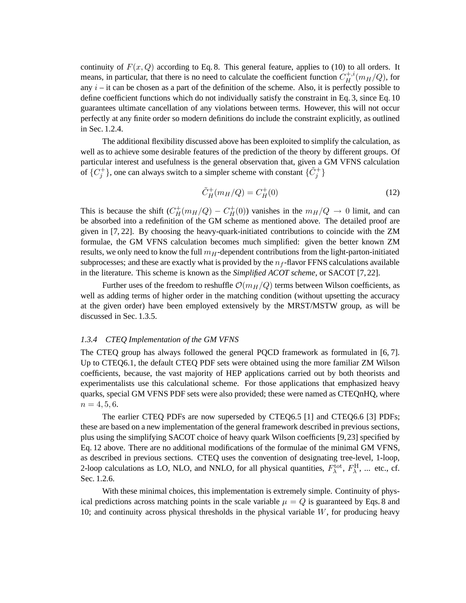continuity of  $F(x,Q)$  according to Eq. 8. This general feature, applies to (10) to all orders. It means, in particular, that there is no need to calculate the coefficient function  $C_H^{+,i}$  $H^{\!+,\imath}_H(m_H/Q)$ , for any  $i$  – it can be chosen as a part of the definition of the scheme. Also, it is perfectly possible to define coefficient functions which do not individually satisfy the constraint in Eq. 3, since Eq. 10 guarantees ultimate cancellation of any violations between terms. However, this will not occur perfectly at any finite order so modern definitions do include the constraint explicitly, as outlined in Sec. 1.2.4.

The additional flexibility discussed above has been exploited to simplify the calculation, as well as to achieve some desirable features of the prediction of the theory by different groups. Of particular interest and usefulness is the general observation that, given a GM VFNS calculation of  $\{C_j^+\}$ , one can always switch to a simpler scheme with constant  $\{\tilde{C}_j^+\}$ 

$$
\tilde{C}_H^+(m_H/Q) = C_H^+(0)
$$
\n(12)

This is because the shift  $(C_H^+(m_H/Q) - C_H^+(0))$  vanishes in the  $m_H/Q \to 0$  limit, and can be absorbed into a redefinition of the GM scheme as mentioned above. The detailed proof are given in [7, 22]. By choosing the heavy-quark-initiated contributions to coincide with the ZM formulae, the GM VFNS calculation becomes much simplified: given the better known ZM results, we only need to know the full  $m<sub>H</sub>$ -dependent contributions from the light-parton-initiated subprocesses; and these are exactly what is provided by the  $n_f$ -flavor FFNS calculations available in the literature. This scheme is known as the *Simplified ACOT scheme*, or SACOT [7, 22].

Further uses of the freedom to reshuffle  $\mathcal{O}(m_H/Q)$  terms between Wilson coefficients, as well as adding terms of higher order in the matching condition (without upsetting the accuracy at the given order) have been employed extensively by the MRST/MSTW group, as will be discussed in Sec. 1.3.5.

## *1.3.4 CTEQ Implementation of the GM VFNS*

The CTEQ group has always followed the general PQCD framework as formulated in [6, 7]. Up to CTEQ6.1, the default CTEQ PDF sets were obtained using the more familiar ZM Wilson coefficients, because, the vast majority of HEP applications carried out by both theorists and experimentalists use this calculational scheme. For those applications that emphasized heavy quarks, special GM VFNS PDF sets were also provided; these were named as CTEQnHQ, where  $n = 4, 5, 6.$ 

The earlier CTEQ PDFs are now superseded by CTEQ6.5 [1] and CTEQ6.6 [3] PDFs; these are based on a new implementation of the general framework described in previous sections, plus using the simplifying SACOT choice of heavy quark Wilson coefficients [9,23] specified by Eq. 12 above. There are no additional modifications of the formulae of the minimal GM VFNS, as described in previous sections. CTEQ uses the convention of designating tree-level, 1-loop, 2-loop calculations as LO, NLO, and NNLO, for all physical quantities,  $F_{\lambda}^{\text{tot}}$ ,  $F_{\lambda}^{\text{H}}$ , ... etc., cf. Sec. 1.2.6.

With these minimal choices, this implementation is extremely simple. Continuity of physical predictions across matching points in the scale variable  $\mu = Q$  is guaranteed by Eqs. 8 and 10; and continuity across physical thresholds in the physical variable  $W$ , for producing heavy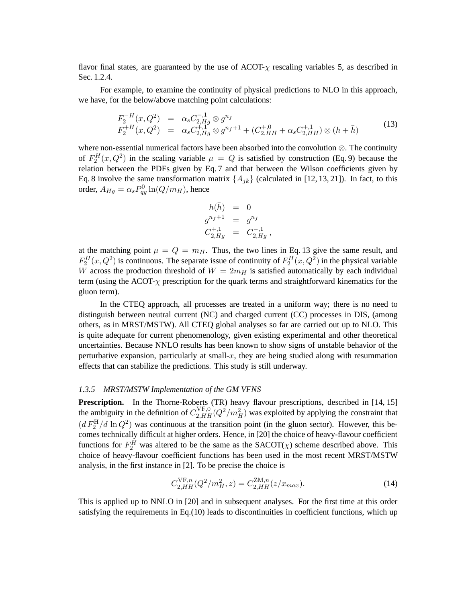flavor final states, are guaranteed by the use of  $ACOT-\chi$  rescaling variables 5, as described in Sec. 1.2.4.

For example, to examine the continuity of physical predictions to NLO in this approach, we have, for the below/above matching point calculations:

$$
F_2^{-H}(x, Q^2) = \alpha_s C_{2,Hg}^{-1} \otimes g^{n_f}
$$
  
\n
$$
F_2^{+H}(x, Q^2) = \alpha_s C_{2,Hg}^{+,1} \otimes g^{n_f+1} + (C_{2,HH}^{+,0} + \alpha_s C_{2,HH}^{+,1}) \otimes (h + \bar{h})
$$
\n(13)

where non-essential numerical factors have been absorbed into the convolution ⊗. The continuity of  $F_2^H(x,Q^2)$  in the scaling variable  $\mu = Q$  is satisfied by construction (Eq. 9) because the relation between the PDFs given by Eq. 7 and that between the Wilson coefficients given by Eq. 8 involve the same transformation matrix  $\{A_{jk}\}$  (calculated in [12, 13, 21]). In fact, to this order,  $A_{Hg} = \alpha_s P_{qg}^0 \ln(Q/m_H)$ , hence

$$
h(\bar{h}) = 0
$$
  
\n
$$
g^{n_f+1} = g^{n_f}
$$
  
\n
$$
C_{2,Hg}^{+,1} = C_{2,Hg}^{-,1},
$$

at the matching point  $\mu = Q = m_H$ . Thus, the two lines in Eq. 13 give the same result, and  $F_2^H(x,Q^2)$  is continuous. The separate issue of continuity of  $F_2^H(x,Q^2)$  in the physical variable W across the production threshold of  $W = 2m_H$  is satisfied automatically by each individual term (using the ACOT- $\chi$  prescription for the quark terms and straightforward kinematics for the gluon term).

In the CTEQ approach, all processes are treated in a uniform way; there is no need to distinguish between neutral current (NC) and charged current (CC) processes in DIS, (among others, as in MRST/MSTW). All CTEQ global analyses so far are carried out up to NLO. This is quite adequate for current phenomenology, given existing experimental and other theoretical uncertainties. Because NNLO results has been known to show signs of unstable behavior of the perturbative expansion, particularly at small-x, they are being studied along with resummation effects that can stabilize the predictions. This study is still underway.

### *1.3.5 MRST/MSTW Implementation of the GM VFNS*

**Prescription.** In the Thorne-Roberts (TR) heavy flavour prescriptions, described in [14, 15] the ambiguity in the definition of  $C_{2,HH}^{\rm VF,0}(Q^2/m_H^2)$  was exploited by applying the constraint that  $(d F_2^H/d \ln Q^2)$  was continuous at the transition point (in the gluon sector). However, this becomes technically difficult at higher orders. Hence, in [20] the choice of heavy-flavour coefficient functions for  $F_2^H$  was altered to be the same as the SACOT( $\chi$ ) scheme described above. This choice of heavy-flavour coefficient functions has been used in the most recent MRST/MSTW analysis, in the first instance in [2]. To be precise the choice is

$$
C_{2,HH}^{\text{VF},n}(Q^2/m_H^2, z) = C_{2,HH}^{\text{ZM},n}(z/x_{max}).
$$
\n(14)

This is applied up to NNLO in [20] and in subsequent analyses. For the first time at this order satisfying the requirements in Eq.(10) leads to discontinuities in coefficient functions, which up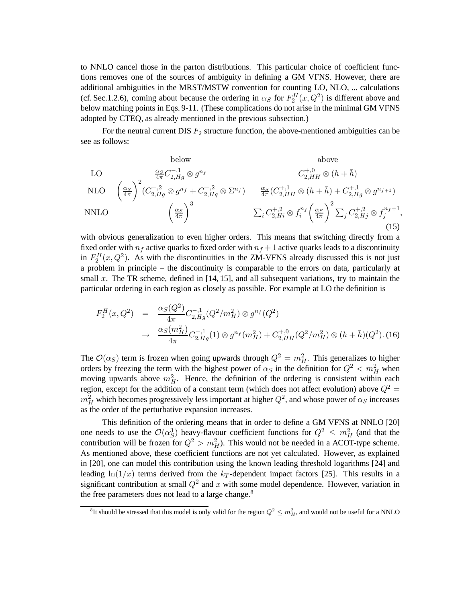to NNLO cancel those in the parton distributions. This particular choice of coefficient functions removes one of the sources of ambiguity in defining a GM VFNS. However, there are additional ambiguities in the MRST/MSTW convention for counting LO, NLO, ... calculations (cf. Sec.1.2.6), coming about because the ordering in  $\alpha_S$  for  $F_2^H(x,Q^2)$  is different above and below matching points in Eqs. 9-11. (These complications do not arise in the minimal GM VFNS adopted by CTEQ, as already mentioned in the previous subsection.)

For the neutral current DIS  $F_2$  structure function, the above-mentioned ambiguities can be see as follows:

below above  
\nLO  
\n
$$
\sum_{\substack{\alpha_S \atop{A\pi}}}\frac{\alpha_S}{4\pi}C_{2,Hg}^{-,1}\otimes g^{n_f} \otimes T_{2,Hq}^{n_f} \otimes (h+\bar{h})
$$
\n
$$
\sum_{i} C_{2,Hi}^{+,0} \otimes (h+\bar{h}) + C_{2,Hg}^{+,1} \otimes g^{n_f+1}
$$
\n
$$
\sum_{i} C_{2,Hi}^{+,2} \otimes f_i^{n_f} \left(\frac{\alpha_S}{4\pi}\right)^2 \sum_j C_{2,Hj}^{+,2} \otimes f_j^{n_f+1},
$$
\n(15)

with obvious generalization to even higher orders. This means that switching directly from a fixed order with  $n_f$  active quarks to fixed order with  $n_f + 1$  active quarks leads to a discontinuity in  $F_2^H(x, Q^2)$ . As with the discontinuities in the ZM-VFNS already discussed this is not just a problem in principle – the discontinuity is comparable to the errors on data, particularly at small x. The TR scheme, defined in  $[14, 15]$ , and all subsequent variations, try to maintain the particular ordering in each region as closely as possible. For example at LO the definition is

$$
F_2^H(x, Q^2) = \frac{\alpha_S(Q^2)}{4\pi} C_{2,Hg}^{-1}(Q^2/m_H^2) \otimes g^{n_f}(Q^2)
$$
  

$$
\rightarrow \frac{\alpha_S(m_H^2)}{4\pi} C_{2,Hg}^{-1}(1) \otimes g^{n_f}(m_H^2) + C_{2,HH}^{+,0}(Q^2/m_H^2) \otimes (h + \bar{h})(Q^2).
$$
 (16)

The  $\mathcal{O}(\alpha_S)$  term is frozen when going upwards through  $Q^2 = m_H^2$ . This generalizes to higher orders by freezing the term with the highest power of  $\alpha_S$  in the definition for  $Q^2 < m_H^2$  when moving upwards above  $m_H^2$ . Hence, the definition of the ordering is consistent within each region, except for the addition of a constant term (which does not affect evolution) above  $Q^2$  =  $m_H^2$  which becomes progressively less important at higher  $Q^2$ , and whose power of  $\alpha_S$  increases as the order of the perturbative expansion increases.

This definition of the ordering means that in order to define a GM VFNS at NNLO [20] one needs to use the  $\mathcal{O}(\alpha_S^3)$  heavy-flavour coefficient functions for  $Q^2 \leq m_H^2$  (and that the contribution will be frozen for  $Q^2 > m_H^2$ ). This would not be needed in a ACOT-type scheme. As mentioned above, these coefficient functions are not yet calculated. However, as explained in [20], one can model this contribution using the known leading threshold logarithms [24] and leading  $ln(1/x)$  terms derived from the  $k_T$ -dependent impact factors [25]. This results in a significant contribution at small  $Q^2$  and x with some model dependence. However, variation in the free parameters does not lead to a large change.<sup>8</sup>

 $^8$ It should be stressed that this model is only valid for the region  $Q^2\le m_H^2$ , and would not be useful for a NNLO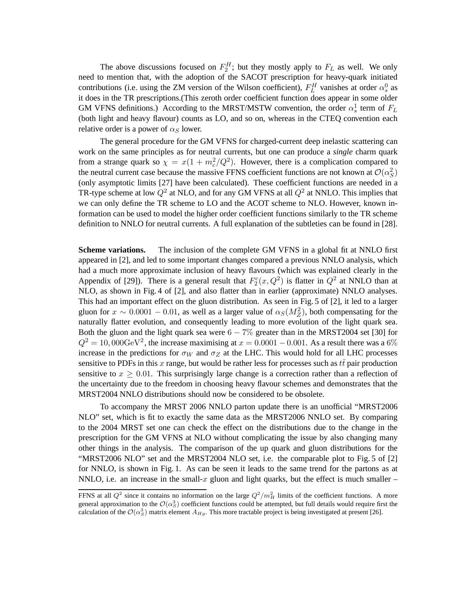The above discussions focused on  $F_2^H$ ; but they mostly apply to  $F_L$  as well. We only need to mention that, with the adoption of the SACOT prescription for heavy-quark initiated contributions (i.e. using the ZM version of the Wilson coefficient),  $F_L^H$  vanishes at order  $\alpha_s^0$  as it does in the TR prescriptions.(This zeroth order coefficient function does appear in some older GM VFNS definitions.) According to the MRST/MSTW convention, the order  $\alpha_s^1$  term of  $F_L$ (both light and heavy flavour) counts as LO, and so on, whereas in the CTEQ convention each relative order is a power of  $\alpha_S$  lower.

The general procedure for the GM VFNS for charged-current deep inelastic scattering can work on the same principles as for neutral currents, but one can produce a *single* charm quark from a strange quark so  $\chi = x(1 + m_c^2/Q^2)$ . However, there is a complication compared to the neutral current case because the massive FFNS coefficient functions are not known at  $\mathcal{O}(\alpha_S^2)$ (only asymptotic limits [27] have been calculated). These coefficient functions are needed in a TR-type scheme at low  $Q^2$  at NLO, and for any GM VFNS at all  $Q^2$  at NNLO. This implies that we can only define the TR scheme to LO and the ACOT scheme to NLO. However, known information can be used to model the higher order coefficient functions similarly to the TR scheme definition to NNLO for neutral currents. A full explanation of the subtleties can be found in [28].

**Scheme variations.** The inclusion of the complete GM VFNS in a global fit at NNLO first appeared in [2], and led to some important changes compared a previous NNLO analysis, which had a much more approximate inclusion of heavy flavours (which was explained clearly in the Appendix of [29]). There is a general result that  $F_2^c(x,Q^2)$  is flatter in  $Q^2$  at NNLO than at NLO, as shown in Fig. 4 of [2], and also flatter than in earlier (approximate) NNLO analyses. This had an important effect on the gluon distribution. As seen in Fig. 5 of [2], it led to a larger gluon for  $x \sim 0.0001 - 0.01$ , as well as a larger value of  $\alpha_S(M_Z^2)$ , both compensating for the naturally flatter evolution, and consequently leading to more evolution of the light quark sea. Both the gluon and the light quark sea were  $6 - 7\%$  greater than in the MRST2004 set [30] for  $Q^2 = 10,000 \text{GeV}^2$ , the increase maximising at  $x = 0.0001 - 0.001$ . As a result there was a 6% increase in the predictions for  $\sigma_W$  and  $\sigma_Z$  at the LHC. This would hold for all LHC processes sensitive to PDFs in this x range, but would be rather less for processes such as  $t\bar{t}$  pair production sensitive to  $x > 0.01$ . This surprisingly large change is a correction rather than a reflection of the uncertainty due to the freedom in choosing heavy flavour schemes and demonstrates that the MRST2004 NNLO distributions should now be considered to be obsolete.

To accompany the MRST 2006 NNLO parton update there is an unofficial "MRST2006 NLO" set, which is fit to exactly the same data as the MRST2006 NNLO set. By comparing to the 2004 MRST set one can check the effect on the distributions due to the change in the prescription for the GM VFNS at NLO without complicating the issue by also changing many other things in the analysis. The comparison of the up quark and gluon distributions for the "MRST2006 NLO" set and the MRST2004 NLO set, i.e. the comparable plot to Fig. 5 of [2] for NNLO, is shown in Fig. 1. As can be seen it leads to the same trend for the partons as at NNLO, i.e. an increase in the small-x gluon and light quarks, but the effect is much smaller –

FFNS at all  $Q^2$  since it contains no information on the large  $Q^2/m_H^2$  limits of the coefficient functions. A more general approximation to the  ${\cal O}(\alpha_S^3)$  coefficient functions could be attempted, but full details would require first the calculation of the  $\mathcal{O}(\alpha_S^3)$  matrix element  $A_{Hg}$ . This more tractable project is being investigated at present [26].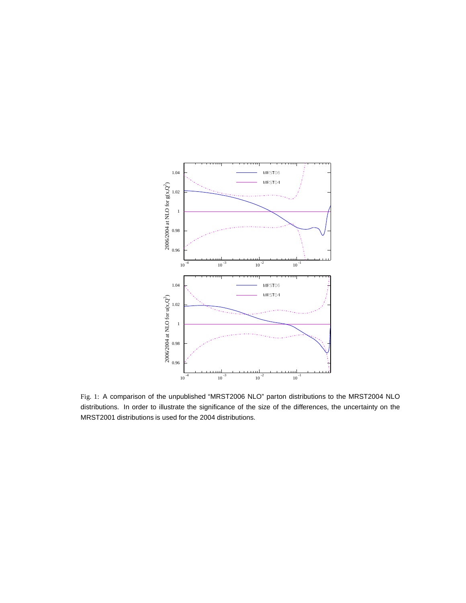

Fig. 1: A comparison of the unpublished "MRST2006 NLO" parton distributions to the MRST2004 NLO distributions. In order to illustrate the significance of the size of the differences, the uncertainty on the MRST2001 distributions is used for the 2004 distributions.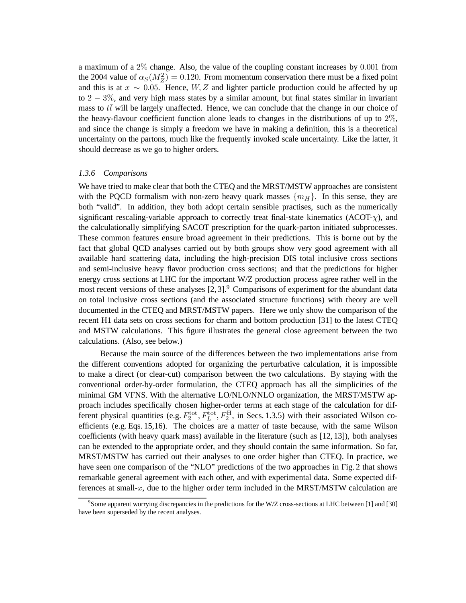a maximum of a 2% change. Also, the value of the coupling constant increases by 0.001 from the 2004 value of  $\alpha_S(M_Z^2) = 0.120$ . From momentum conservation there must be a fixed point and this is at  $x \sim 0.05$ . Hence, W, Z and lighter particle production could be affected by up to 2 − 3%, and very high mass states by a similar amount, but final states similar in invariant mass to  $t\bar{t}$  will be largely unaffected. Hence, we can conclude that the change in our choice of the heavy-flavour coefficient function alone leads to changes in the distributions of up to  $2\%$ . and since the change is simply a freedom we have in making a definition, this is a theoretical uncertainty on the partons, much like the frequently invoked scale uncertainty. Like the latter, it should decrease as we go to higher orders.

## *1.3.6 Comparisons*

We have tried to make clear that both the CTEQ and the MRST/MSTW approaches are consistent with the PQCD formalism with non-zero heavy quark masses  $\{m_H\}$ . In this sense, they are both "valid". In addition, they both adopt certain sensible practises, such as the numerically significant rescaling-variable approach to correctly treat final-state kinematics ( $ACOT-\chi$ ), and the calculationally simplifying SACOT prescription for the quark-parton initiated subprocesses. These common features ensure broad agreement in their predictions. This is borne out by the fact that global QCD analyses carried out by both groups show very good agreement with all available hard scattering data, including the high-precision DIS total inclusive cross sections and semi-inclusive heavy flavor production cross sections; and that the predictions for higher energy cross sections at LHC for the important W/Z production process agree rather well in the most recent versions of these analyses  $[2, 3]$ . Comparisons of experiment for the abundant data on total inclusive cross sections (and the associated structure functions) with theory are well documented in the CTEQ and MRST/MSTW papers. Here we only show the comparison of the recent H1 data sets on cross sections for charm and bottom production [31] to the latest CTEQ and MSTW calculations. This figure illustrates the general close agreement between the two calculations. (Also, see below.)

Because the main source of the differences between the two implementations arise from the different conventions adopted for organizing the perturbative calculation, it is impossible to make a direct (or clear-cut) comparison between the two calculations. By staying with the conventional order-by-order formulation, the CTEQ approach has all the simplicities of the minimal GM VFNS. With the alternative LO/NLO/NNLO organization, the MRST/MSTW approach includes specifically chosen higher-order terms at each stage of the calculation for different physical quantities (e.g.  $F_2^{\text{tot}}, F_L^{\text{tot}}, F_2^{\text{H}}$ , in Secs. 1.3.5) with their associated Wilson coefficients (e.g. Eqs. 15,16). The choices are a matter of taste because, with the same Wilson coefficients (with heavy quark mass) available in the literature (such as [12, 13]), both analyses can be extended to the appropriate order, and they should contain the same information. So far, MRST/MSTW has carried out their analyses to one order higher than CTEQ. In practice, we have seen one comparison of the "NLO" predictions of the two approaches in Fig. 2 that shows remarkable general agreement with each other, and with experimental data. Some expected differences at small-x, due to the higher order term included in the MRST/MSTW calculation are

<sup>9</sup>Some apparent worrying discrepancies in the predictions for the W/Z cross-sections at LHC between [1] and [30] have been superseded by the recent analyses.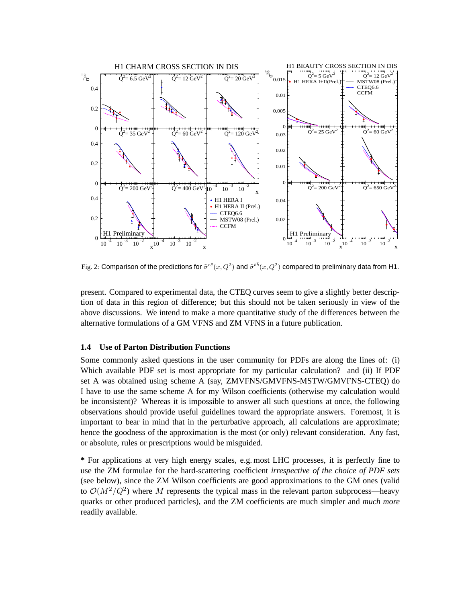

Fig. 2: Comparison of the predictions for  $\tilde\sigma^{c\bar c}(x,Q^2)$  and  $\tilde\sigma^{b\bar b}(x,Q^2)$  compared to preliminary data from H1.

present. Compared to experimental data, the CTEQ curves seem to give a slightly better description of data in this region of difference; but this should not be taken seriously in view of the above discussions. We intend to make a more quantitative study of the differences between the alternative formulations of a GM VFNS and ZM VFNS in a future publication.

## **1.4 Use of Parton Distribution Functions**

Some commonly asked questions in the user community for PDFs are along the lines of: (i) Which available PDF set is most appropriate for my particular calculation? and (ii) If PDF set A was obtained using scheme A (say, ZMVFNS/GMVFNS-MSTW/GMVFNS-CTEQ) do I have to use the same scheme A for my Wilson coefficients (otherwise my calculation would be inconsistent)? Whereas it is impossible to answer all such questions at once, the following observations should provide useful guidelines toward the appropriate answers. Foremost, it is important to bear in mind that in the perturbative approach, all calculations are approximate; hence the goodness of the approximation is the most (or only) relevant consideration. Any fast, or absolute, rules or prescriptions would be misguided.

**\*** For applications at very high energy scales, e.g. most LHC processes, it is perfectly fine to use the ZM formulae for the hard-scattering coefficient *irrespective of the choice of PDF sets* (see below), since the ZM Wilson coefficients are good approximations to the GM ones (valid to  $\mathcal{O}(M^2/Q^2)$  where M represents the typical mass in the relevant parton subprocess—heavy quarks or other produced particles), and the ZM coefficients are much simpler and *much more* readily available.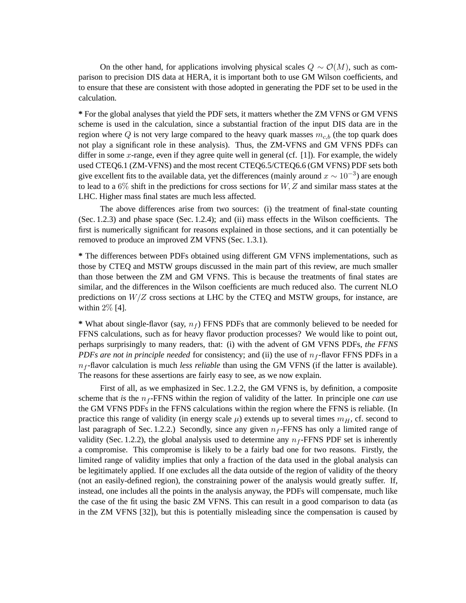On the other hand, for applications involving physical scales  $Q \sim \mathcal{O}(M)$ , such as comparison to precision DIS data at HERA, it is important both to use GM Wilson coefficients, and to ensure that these are consistent with those adopted in generating the PDF set to be used in the calculation.

**\*** For the global analyses that yield the PDF sets, it matters whether the ZM VFNS or GM VFNS scheme is used in the calculation, since a substantial fraction of the input DIS data are in the region where Q is not very large compared to the heavy quark masses  $m_{c,b}$  (the top quark does not play a significant role in these analysis). Thus, the ZM-VFNS and GM VFNS PDFs can differ in some x-range, even if they agree quite well in general (cf. [1]). For example, the widely used CTEQ6.1 (ZM-VFNS) and the most recent CTEQ6.5/CTEQ6.6 (GM VFNS) PDF sets both give excellent fits to the available data, yet the differences (mainly around  $x \sim 10^{-3}$ ) are enough to lead to a  $6\%$  shift in the predictions for cross sections for W, Z and similar mass states at the LHC. Higher mass final states are much less affected.

The above differences arise from two sources: (i) the treatment of final-state counting (Sec. 1.2.3) and phase space (Sec. 1.2.4); and (ii) mass effects in the Wilson coefficients. The first is numerically significant for reasons explained in those sections, and it can potentially be removed to produce an improved ZM VFNS (Sec. 1.3.1).

**\*** The differences between PDFs obtained using different GM VFNS implementations, such as those by CTEQ and MSTW groups discussed in the main part of this review, are much smaller than those between the ZM and GM VFNS. This is because the treatments of final states are similar, and the differences in the Wilson coefficients are much reduced also. The current NLO predictions on  $W/Z$  cross sections at LHC by the CTEQ and MSTW groups, for instance, are within 2% [4].

\* What about single-flavor (say,  $n_f$ ) FFNS PDFs that are commonly believed to be needed for FFNS calculations, such as for heavy flavor production processes? We would like to point out, perhaps surprisingly to many readers, that: (i) with the advent of GM VFNS PDFs, *the FFNS PDFs are not in principle needed* for consistency; and (ii) the use of  $n_f$ -flavor FFNS PDFs in a  $n_f$ -flavor calculation is much *less reliable* than using the GM VFNS (if the latter is available). The reasons for these assertions are fairly easy to see, as we now explain.

First of all, as we emphasized in Sec. 1.2.2, the GM VFNS is, by definition, a composite scheme that *is* the  $n_f$ -FFNS within the region of validity of the latter. In principle one *can* use the GM VFNS PDFs in the FFNS calculations within the region where the FFNS is reliable. (In practice this range of validity (in energy scale  $\mu$ ) extends up to several times  $m_H$ , cf. second to last paragraph of Sec. 1.2.2.) Secondly, since any given  $n_f$ -FFNS has only a limited range of validity (Sec. 1.2.2), the global analysis used to determine any  $n_f$ -FFNS PDF set is inherently a compromise. This compromise is likely to be a fairly bad one for two reasons. Firstly, the limited range of validity implies that only a fraction of the data used in the global analysis can be legitimately applied. If one excludes all the data outside of the region of validity of the theory (not an easily-defined region), the constraining power of the analysis would greatly suffer. If, instead, one includes all the points in the analysis anyway, the PDFs will compensate, much like the case of the fit using the basic ZM VFNS. This can result in a good comparison to data (as in the ZM VFNS [32]), but this is potentially misleading since the compensation is caused by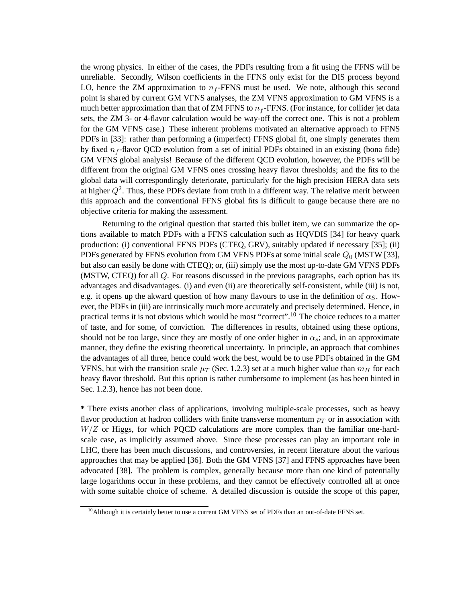the wrong physics. In either of the cases, the PDFs resulting from a fit using the FFNS will be unreliable. Secondly, Wilson coefficients in the FFNS only exist for the DIS process beyond LO, hence the ZM approximation to  $n_f$ -FFNS must be used. We note, although this second point is shared by current GM VFNS analyses, the ZM VFNS approximation to GM VFNS is a much better approximation than that of ZM FFNS to  $n_f$ -FFNS. (For instance, for collider jet data sets, the ZM 3- or 4-flavor calculation would be way-off the correct one. This is not a problem for the GM VFNS case.) These inherent problems motivated an alternative approach to FFNS PDFs in [33]: rather than performing a (imperfect) FFNS global fit, one simply generates them by fixed  $n_f$ -flavor QCD evolution from a set of initial PDFs obtained in an existing (bona fide) GM VFNS global analysis! Because of the different QCD evolution, however, the PDFs will be different from the original GM VFNS ones crossing heavy flavor thresholds; and the fits to the global data will correspondingly deteriorate, particularly for the high precision HERA data sets at higher  $Q^2$ . Thus, these PDFs deviate from truth in a different way. The relative merit between this approach and the conventional FFNS global fits is difficult to gauge because there are no objective criteria for making the assessment.

Returning to the original question that started this bullet item, we can summarize the options available to match PDFs with a FFNS calculation such as HQVDIS [34] for heavy quark production: (i) conventional FFNS PDFs (CTEQ, GRV), suitably updated if necessary [35]; (ii) PDFs generated by FFNS evolution from GM VFNS PDFs at some initial scale  $Q_0$  (MSTW [33], but also can easily be done with CTEQ); or, (iii) simply use the most up-to-date GM VFNS PDFs (MSTW, CTEQ) for all Q. For reasons discussed in the previous paragraphs, each option has its advantages and disadvantages. (i) and even (ii) are theoretically self-consistent, while (iii) is not, e.g. it opens up the akward question of how many flavours to use in the definition of  $\alpha_{\rm S}$ . However, the PDFs in (iii) are intrinsically much more accurately and precisely determined. Hence, in practical terms it is not obvious which would be most "correct".<sup>10</sup> The choice reduces to a matter of taste, and for some, of conviction. The differences in results, obtained using these options, should not be too large, since they are mostly of one order higher in  $\alpha_s$ ; and, in an approximate manner, they define the existing theoretical uncertainty. In principle, an approach that combines the advantages of all three, hence could work the best, would be to use PDFs obtained in the GM VFNS, but with the transition scale  $\mu$ <sub>T</sub> (Sec. 1.2.3) set at a much higher value than  $m_H$  for each heavy flavor threshold. But this option is rather cumbersome to implement (as has been hinted in Sec. 1.2.3), hence has not been done.

**\*** There exists another class of applications, involving multiple-scale processes, such as heavy flavor production at hadron colliders with finite transverse momentum  $p_T$  or in association with  $W/Z$  or Higgs, for which PQCD calculations are more complex than the familiar one-hardscale case, as implicitly assumed above. Since these processes can play an important role in LHC, there has been much discussions, and controversies, in recent literature about the various approaches that may be applied [36]. Both the GM VFNS [37] and FFNS approaches have been advocated [38]. The problem is complex, generally because more than one kind of potentially large logarithms occur in these problems, and they cannot be effectively controlled all at once with some suitable choice of scheme. A detailed discussion is outside the scope of this paper,

 $10$ Although it is certainly better to use a current GM VFNS set of PDFs than an out-of-date FFNS set.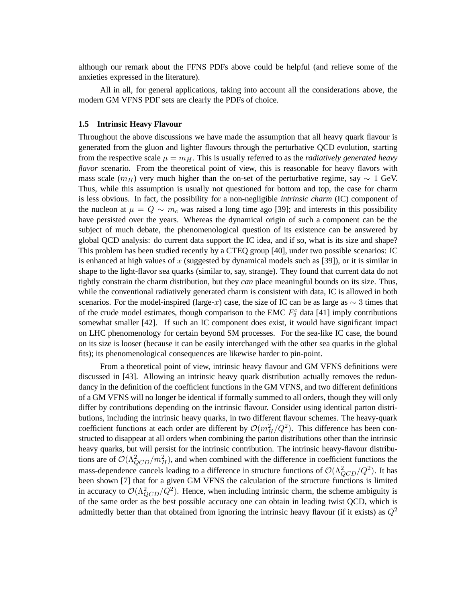although our remark about the FFNS PDFs above could be helpful (and relieve some of the anxieties expressed in the literature).

All in all, for general applications, taking into account all the considerations above, the modern GM VFNS PDF sets are clearly the PDFs of choice.

#### **1.5 Intrinsic Heavy Flavour**

Throughout the above discussions we have made the assumption that all heavy quark flavour is generated from the gluon and lighter flavours through the perturbative QCD evolution, starting from the respective scale  $\mu = m_H$ . This is usually referred to as the *radiatively generated heavy flavor* scenario. From the theoretical point of view, this is reasonable for heavy flavors with mass scale ( $m_H$ ) very much higher than the on-set of the perturbative regime, say  $\sim 1$  GeV. Thus, while this assumption is usually not questioned for bottom and top, the case for charm is less obvious. In fact, the possibility for a non-negligible *intrinsic charm* (IC) component of the nucleon at  $\mu = Q \sim m_c$  was raised a long time ago [39]; and interests in this possibility have persisted over the years. Whereas the dynamical origin of such a component can be the subject of much debate, the phenomenological question of its existence can be answered by global QCD analysis: do current data support the IC idea, and if so, what is its size and shape? This problem has been studied recently by a CTEQ group [40], under two possible scenarios: IC is enhanced at high values of x (suggested by dynamical models such as  $[39]$ ), or it is similar in shape to the light-flavor sea quarks (similar to, say, strange). They found that current data do not tightly constrain the charm distribution, but they *can* place meaningful bounds on its size. Thus, while the conventional radiatively generated charm is consistent with data, IC is allowed in both scenarios. For the model-inspired (large-x) case, the size of IC can be as large as  $\sim$  3 times that of the crude model estimates, though comparison to the EMC  $F_2^c$  data [41] imply contributions somewhat smaller [42]. If such an IC component does exist, it would have significant impact on LHC phenomenology for certain beyond SM processes. For the sea-like IC case, the bound on its size is looser (because it can be easily interchanged with the other sea quarks in the global fits); its phenomenological consequences are likewise harder to pin-point.

From a theoretical point of view, intrinsic heavy flavour and GM VFNS definitions were discussed in [43]. Allowing an intrinsic heavy quark distribution actually removes the redundancy in the definition of the coefficient functions in the GM VFNS, and two different definitions of a GM VFNS will no longer be identical if formally summed to all orders, though they will only differ by contributions depending on the intrinsic flavour. Consider using identical parton distributions, including the intrinsic heavy quarks, in two different flavour schemes. The heavy-quark coefficient functions at each order are different by  $\mathcal{O}(m_H^2/Q^2)$ . This difference has been constructed to disappear at all orders when combining the parton distributions other than the intrinsic heavy quarks, but will persist for the intrinsic contribution. The intrinsic heavy-flavour distributions are of  $\mathcal{O}(\Lambda^2_{QCD}/m_H^2)$ , and when combined with the difference in coefficient functions the mass-dependence cancels leading to a difference in structure functions of  $\mathcal{O}(\Lambda^2_{QCD}/Q^2)$ . It has been shown [7] that for a given GM VFNS the calculation of the structure functions is limited in accuracy to  $\mathcal{O}(\Lambda_{QCD}^2/Q^2)$ . Hence, when including intrinsic charm, the scheme ambiguity is of the same order as the best possible accuracy one can obtain in leading twist QCD, which is admittedly better than that obtained from ignoring the intrinsic heavy flavour (if it exists) as  $Q^2$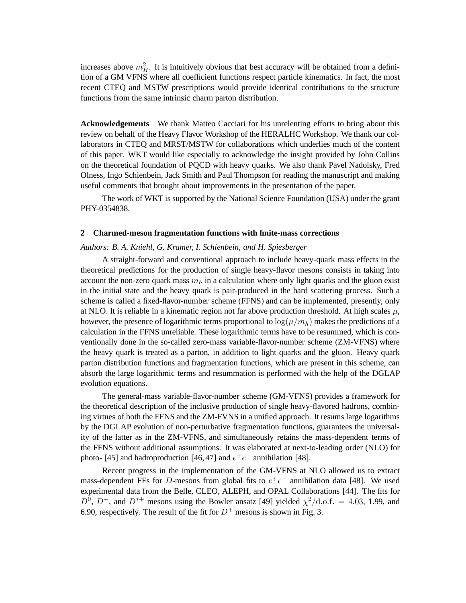increases above  $m_H^2$ . It is intuitively obvious that best accuracy will be obtained from a definition of a GM VFNS where all coefficient functions respect particle kinematics. In fact, the most recent CTEQ and MSTW prescriptions would provide identical contributions to the structure functions from the same intrinsic charm parton distribution.

**Acknowledgements** We thank Matteo Cacciari for his unrelenting efforts to bring about this review on behalf of the Heavy Flavor Workshop of the HERALHC Workshop. We thank our collaborators in CTEQ and MRST/MSTW for collaborations which underlies much of the content of this paper. WKT would like especially to acknowledge the insight provided by John Collins on the theoretical foundation of PQCD with heavy quarks. We also thank Pavel Nadolsky, Fred Olness, Ingo Schienbein, Jack Smith and Paul Thompson for reading the manuscript and making useful comments that brought about improvements in the presentation of the paper.

The work of WKT is supported by the National Science Foundation (USA) under the grant PHY-0354838.

#### **2 Charmed-meson fragmentation functions with finite-mass corrections**

## *Authors: B. A. Kniehl, G. Kramer, I. Schienbein, and H. Spiesberger*

A straight-forward and conventional approach to include heavy-quark mass effects in the theoretical predictions for the production of single heavy-flavor mesons consists in taking into account the non-zero quark mass  $m_h$  in a calculation where only light quarks and the gluon exist in the initial state and the heavy quark is pair-produced in the hard scattering process. Such a scheme is called a fixed-flavor-number scheme (FFNS) and can be implemented, presently, only at NLO. It is reliable in a kinematic region not far above production threshold. At high scales  $\mu$ , however, the presence of logarithmic terms proportional to  $\log(\mu/m_h)$  makes the predictions of a calculation in the FFNS unreliable. These logarithmic terms have to be resummed, which is conventionally done in the so-called zero-mass variable-flavor-number scheme (ZM-VFNS) where the heavy quark is treated as a parton, in addition to light quarks and the gluon. Heavy quark parton distribution functions and fragmentation functions, which are present in this scheme, can absorb the large logarithmic terms and resummation is performed with the help of the DGLAP evolution equations.

The general-mass variable-flavor-number scheme (GM-VFNS) provides a framework for the theoretical description of the inclusive production of single heavy-flavored hadrons, combining virtues of both the FFNS and the ZM-FVNS in a unified approach. It resums large logarithms by the DGLAP evolution of non-perturbative fragmentation functions, guarantees the universality of the latter as in the ZM-VFNS, and simultaneously retains the mass-dependent terms of the FFNS without additional assumptions. It was elaborated at next-to-leading order (NLO) for photo- [45] and hadroproduction [46, 47] and  $e^+e^-$  annihilation [48].

Recent progress in the implementation of the GM-VFNS at NLO allowed us to extract mass-dependent FFs for D-mesons from global fits to  $e^+e^-$  annihilation data [48]. We used experimental data from the Belle, CLEO, ALEPH, and OPAL Collaborations [44]. The fits for  $D^0$ ,  $D^+$ , and  $D^{*+}$  mesons using the Bowler ansatz [49] yielded  $\chi^2/\text{d.o.f.} = 4.03, 1.99$ , and 6.90, respectively. The result of the fit for  $D^+$  mesons is shown in Fig. 3.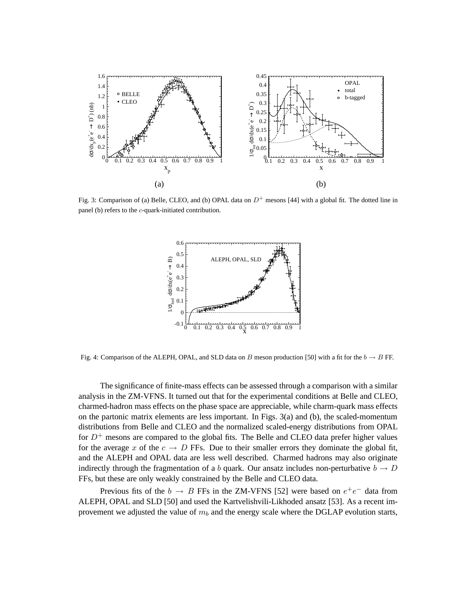

Fig. 3: Comparison of (a) Belle, CLEO, and (b) OPAL data on  $D^+$  mesons [44] with a global fit. The dotted line in panel (b) refers to the c-quark-initiated contribution.



Fig. 4: Comparison of the ALEPH, OPAL, and SLD data on B meson production [50] with a fit for the  $b \to B$  FF.

The significance of finite-mass effects can be assessed through a comparison with a similar analysis in the ZM-VFNS. It turned out that for the experimental conditions at Belle and CLEO, charmed-hadron mass effects on the phase space are appreciable, while charm-quark mass effects on the partonic matrix elements are less important. In Figs. 3(a) and (b), the scaled-momentum distributions from Belle and CLEO and the normalized scaled-energy distributions from OPAL for  $D^+$  mesons are compared to the global fits. The Belle and CLEO data prefer higher values for the average x of the  $c \to D$  FFs. Due to their smaller errors they dominate the global fit, and the ALEPH and OPAL data are less well described. Charmed hadrons may also originate indirectly through the fragmentation of a b quark. Our ansatz includes non-perturbative  $b \to D$ FFs, but these are only weakly constrained by the Belle and CLEO data.

Previous fits of the  $b \rightarrow B$  FFs in the ZM-VFNS [52] were based on  $e^+e^-$  data from ALEPH, OPAL and SLD [50] and used the Kartvelishvili-Likhoded ansatz [53]. As a recent improvement we adjusted the value of  $m_b$  and the energy scale where the DGLAP evolution starts,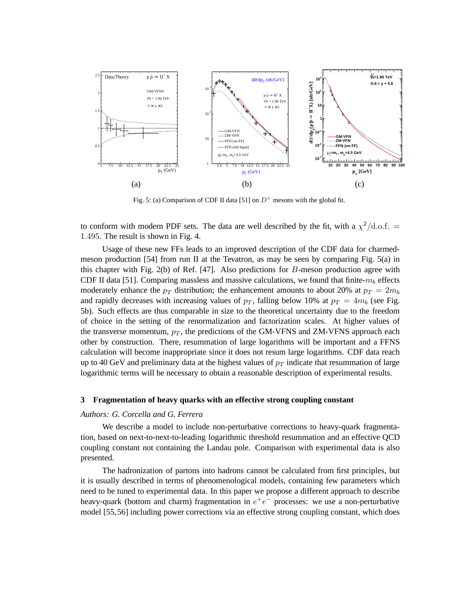

Fig. 5: (a) Comparison of CDF II data [51] on  $D^+$  mesons with the global fit.

to conform with modern PDF sets. The data are well described by the fit, with a  $\chi^2/\text{d.o.f.} =$ 1.495. The result is shown in Fig. 4.

Usage of these new FFs leads to an improved description of the CDF data for charmedmeson production [54] from run II at the Tevatron, as may be seen by comparing Fig. 5(a) in this chapter with Fig. 2(b) of Ref. [47]. Also predictions for  $B$ -meson production agree with CDF II data [51]. Comparing massless and massive calculations, we found that finite- $m_b$  effects moderately enhance the  $p_T$  distribution; the enhancement amounts to about 20% at  $p_T = 2m_b$ and rapidly decreases with increasing values of  $p<sub>T</sub>$ , falling below 10% at  $p<sub>T</sub> = 4m<sub>b</sub>$  (see Fig. 5b). Such effects are thus comparable in size to the theoretical uncertainty due to the freedom of choice in the setting of the renormalization and factorization scales. At higher values of the transverse momentum,  $p_T$ , the predictions of the GM-VFNS and ZM-VFNS approach each other by construction. There, resummation of large logarithms will be important and a FFNS calculation will become inappropriate since it does not resum large logarithms. CDF data reach up to 40 GeV and preliminary data at the highest values of  $p_T$  indicate that resummation of large logarithmic terms will be necessary to obtain a reasonable description of experimental results.

## **3 Fragmentation of heavy quarks with an effective strong coupling constant**

#### *Authors: G. Corcella and G. Ferrera*

We describe a model to include non-perturbative corrections to heavy-quark fragmentation, based on next-to-next-to-leading logarithmic threshold resummation and an effective QCD coupling constant not containing the Landau pole. Comparison with experimental data is also presented.

The hadronization of partons into hadrons cannot be calculated from first principles, but it is usually described in terms of phenomenological models, containing few parameters which need to be tuned to experimental data. In this paper we propose a different approach to describe heavy-quark (bottom and charm) fragmentation in  $e^+e^-$  processes: we use a non-perturbative model [55,56] including power corrections via an effective strong coupling constant, which does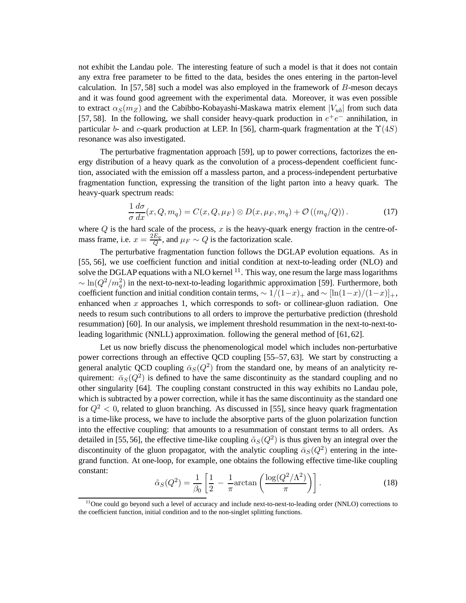not exhibit the Landau pole. The interesting feature of such a model is that it does not contain any extra free parameter to be fitted to the data, besides the ones entering in the parton-level calculation. In  $[57, 58]$  such a model was also employed in the framework of  $B$ -meson decays and it was found good agreement with the experimental data. Moreover, it was even possible to extract  $\alpha_S(m_Z)$  and the Cabibbo-Kobayashi-Maskawa matrix element  $|V_{ub}|$  from such data [57, 58]. In the following, we shall consider heavy-quark production in  $e^+e^-$  annihilation, in particular b- and c-quark production at LEP. In [56], charm-quark fragmentation at the  $\Upsilon(4S)$ resonance was also investigated.

The perturbative fragmentation approach [59], up to power corrections, factorizes the energy distribution of a heavy quark as the convolution of a process-dependent coefficient function, associated with the emission off a massless parton, and a process-independent perturbative fragmentation function, expressing the transition of the light parton into a heavy quark. The heavy-quark spectrum reads:

$$
\frac{1}{\sigma} \frac{d\sigma}{dx}(x, Q, m_q) = C(x, Q, \mu_F) \otimes D(x, \mu_F, m_q) + \mathcal{O}\left((m_q/Q)\right). \tag{17}
$$

where  $Q$  is the hard scale of the process,  $x$  is the heavy-quark energy fraction in the centre-ofmass frame, i.e.  $x = \frac{2E_q}{Q}$  $\frac{E_q}{Q}$ , and  $\mu_F \sim Q$  is the factorization scale.

The perturbative fragmentation function follows the DGLAP evolution equations. As in [55, 56], we use coefficient function and initial condition at next-to-leading order (NLO) and solve the DGLAP equations with a NLO kernel  $^{11}$ . This way, one resum the large mass logarithms  $\sim \ln(Q^2/m_q^2)$  in the next-to-next-to-leading logarithmic approximation [59]. Furthermore, both coefficient function and initial condition contain terms,  $\sim 1/(1-x)_{+}$  and  $\sim [\ln(1-x)/(1-x)]_{+}$ , enhanced when  $x$  approaches 1, which corresponds to soft- or collinear-gluon radiation. One needs to resum such contributions to all orders to improve the perturbative prediction (threshold resummation) [60]. In our analysis, we implement threshold resummation in the next-to-next-toleading logarithmic (NNLL) approximation. following the general method of [61, 62].

Let us now briefly discuss the phenomenological model which includes non-perturbative power corrections through an effective QCD coupling [55–57, 63]. We start by constructing a general analytic QCD coupling  $\bar{\alpha}_S(Q^2)$  from the standard one, by means of an analyticity requirement:  $\bar{\alpha}_S(Q^2)$  is defined to have the same discontinuity as the standard coupling and no other singularity [64]. The coupling constant constructed in this way exhibits no Landau pole, which is subtracted by a power correction, while it has the same discontinuity as the standard one for  $Q^2 < 0$ , related to gluon branching. As discussed in [55], since heavy quark fragmentation is a time-like process, we have to include the absorptive parts of the gluon polarization function into the effective coupling: that amounts to a resummation of constant terms to all orders. As detailed in [55, 56], the effective time-like coupling  $\tilde{\alpha}_S(Q^2)$  is thus given by an integral over the discontinuity of the gluon propagator, with the analytic coupling  $\bar{\alpha}_S(Q^2)$  entering in the integrand function. At one-loop, for example, one obtains the following effective time-like coupling constant:

$$
\tilde{\alpha}_S(Q^2) = \frac{1}{\beta_0} \left[ \frac{1}{2} - \frac{1}{\pi} \arctan\left(\frac{\log(Q^2/\Lambda^2)}{\pi}\right) \right].
$$
\n(18)

 $<sup>11</sup>$ One could go beyond such a level of accuracy and include next-to-next-to-leading order (NNLO) corrections to</sup> the coefficient function, initial condition and to the non-singlet splitting functions.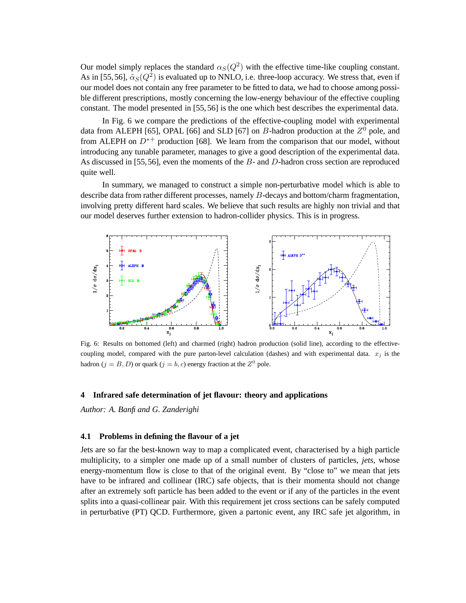Our model simply replaces the standard  $\alpha_S(Q^2)$  with the effective time-like coupling constant. As in [55,56],  $\tilde{\alpha}_S(Q^2)$  is evaluated up to NNLO, i.e. three-loop accuracy. We stress that, even if our model does not contain any free parameter to be fitted to data, we had to choose among possible different prescriptions, mostly concerning the low-energy behaviour of the effective coupling constant. The model presented in [55, 56] is the one which best describes the experimental data.

In Fig. 6 we compare the predictions of the effective-coupling model with experimental data from ALEPH [65], OPAL [66] and SLD [67] on B-hadron production at the  $Z^0$  pole, and from ALEPH on  $D^{*+}$  production [68]. We learn from the comparison that our model, without introducing any tunable parameter, manages to give a good description of the experimental data. As discussed in [55,56], even the moments of the B- and D-hadron cross section are reproduced quite well.

In summary, we managed to construct a simple non-perturbative model which is able to describe data from rather different processes, namely B-decays and bottom/charm fragmentation, involving pretty different hard scales. We believe that such results are highly non trivial and that our model deserves further extension to hadron-collider physics. This is in progress.



Fig. 6: Results on bottomed (left) and charmed (right) hadron production (solid line), according to the effectivecoupling model, compared with the pure parton-level calculation (dashes) and with experimental data.  $x_i$  is the hadron ( $j = B, D$ ) or quark ( $j = b, c$ ) energy fraction at the  $Z^0$  pole.

#### **4 Infrared safe determination of jet flavour: theory and applications**

*Author: A. Banfi and G. Zanderighi*

### **4.1 Problems in defining the flavour of a jet**

Jets are so far the best-known way to map a complicated event, characterised by a high particle multiplicity, to a simpler one made up of a small number of clusters of particles, *jets*, whose energy-momentum flow is close to that of the original event. By "close to" we mean that jets have to be infrared and collinear (IRC) safe objects, that is their momenta should not change after an extremely soft particle has been added to the event or if any of the particles in the event splits into a quasi-collinear pair. With this requirement jet cross sections can be safely computed in perturbative (PT) QCD. Furthermore, given a partonic event, any IRC safe jet algorithm, in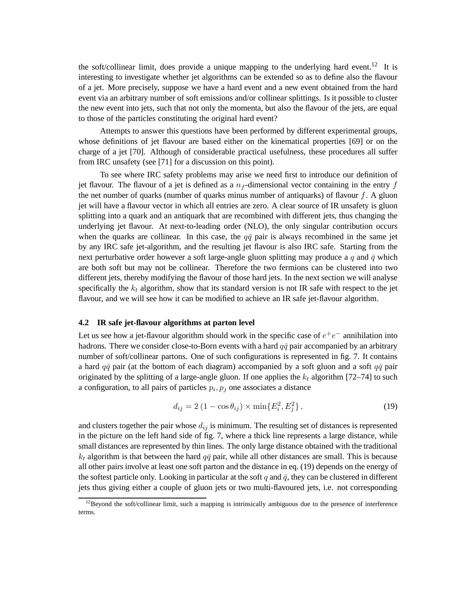the soft/collinear limit, does provide a unique mapping to the underlying hard event.<sup>12</sup> It is interesting to investigate whether jet algorithms can be extended so as to define also the flavour of a jet. More precisely, suppose we have a hard event and a new event obtained from the hard event via an arbitrary number of soft emissions and/or collinear splittings. Is it possible to cluster the new event into jets, such that not only the momenta, but also the flavour of the jets, are equal to those of the particles constituting the original hard event?

Attempts to answer this questions have been performed by different experimental groups, whose definitions of jet flavour are based either on the kinematical properties [69] or on the charge of a jet [70]. Although of considerable practical usefulness, these procedures all suffer from IRC unsafety (see [71] for a discussion on this point).

To see where IRC safety problems may arise we need first to introduce our definition of jet flavour. The flavour of a jet is defined as a  $n_f$ -dimensional vector containing in the entry f the net number of quarks (number of quarks minus number of antiquarks) of flavour  $f$ . A gluon jet will have a flavour vector in which all entries are zero. A clear source of IR unsafety is gluon splitting into a quark and an antiquark that are recombined with different jets, thus changing the underlying jet flavour. At next-to-leading order (NLO), the only singular contribution occurs when the quarks are collinear. In this case, the  $q\bar{q}$  pair is always recombined in the same jet by any IRC safe jet-algorithm, and the resulting jet flavour is also IRC safe. Starting from the next perturbative order however a soft large-angle gluon splitting may produce a q and  $\bar{q}$  which are both soft but may not be collinear. Therefore the two fermions can be clustered into two different jets, thereby modifying the flavour of those hard jets. In the next section we will analyse specifically the  $k_t$  algorithm, show that its standard version is not IR safe with respect to the jet flavour, and we will see how it can be modified to achieve an IR safe jet-flavour algorithm.

### **4.2 IR safe jet-flavour algorithms at parton level**

Let us see how a jet-flavour algorithm should work in the specific case of  $e^+e^-$  annihilation into hadrons. There we consider close-to-Born events with a hard  $q\bar{q}$  pair accompanied by an arbitrary number of soft/collinear partons. One of such configurations is represented in fig. 7. It contains a hard  $q\bar{q}$  pair (at the bottom of each diagram) accompanied by a soft gluon and a soft  $q\bar{q}$  pair originated by the splitting of a large-angle gluon. If one applies the  $k_t$  algorithm [72–74] to such a configuration, to all pairs of particles  $p_i, p_j$  one associates a distance

$$
d_{ij} = 2(1 - \cos \theta_{ij}) \times \min\{E_i^2, E_j^2\},\tag{19}
$$

and clusters together the pair whose  $d_{ij}$  is minimum. The resulting set of distances is represented in the picture on the left hand side of fig. 7, where a thick line represents a large distance, while small distances are represented by thin lines. The only large distance obtained with the traditional  $k_t$  algorithm is that between the hard  $q\bar{q}$  pair, while all other distances are small. This is because all other pairs involve at least one soft parton and the distance in eq. (19) depends on the energy of the softest particle only. Looking in particular at the soft q and  $\bar{q}$ , they can be clustered in different jets thus giving either a couple of gluon jets or two multi-flavoured jets, i.e. not corresponding

 $12$ Beyond the soft/collinear limit, such a mapping is intrinsically ambiguous due to the presence of interference terms.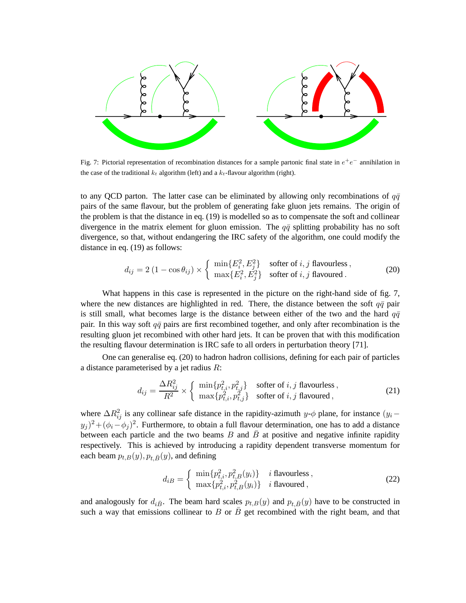

Fig. 7: Pictorial representation of recombination distances for a sample partonic final state in  $e^+e^-$  annihilation in the case of the traditional  $k_t$  algorithm (left) and a  $k_t$ -flavour algorithm (right).

to any QCD parton. The latter case can be eliminated by allowing only recombinations of  $q\bar{q}$ pairs of the same flavour, but the problem of generating fake gluon jets remains. The origin of the problem is that the distance in eq. (19) is modelled so as to compensate the soft and collinear divergence in the matrix element for gluon emission. The  $q\bar{q}$  splitting probability has no soft divergence, so that, without endangering the IRC safety of the algorithm, one could modify the distance in eq. (19) as follows:

$$
d_{ij} = 2 (1 - \cos \theta_{ij}) \times \begin{cases} \min\{E_i^2, E_j^2\} & \text{softer of } i, j \text{ flavours,} \\ \max\{E_i^2, E_j^2\} & \text{softer of } i, j \text{ flavoured.} \end{cases}
$$
(20)

What happens in this case is represented in the picture on the right-hand side of fig. 7, where the new distances are highlighted in red. There, the distance between the soft  $q\bar{q}$  pair is still small, what becomes large is the distance between either of the two and the hard  $q\bar{q}$ pair. In this way soft  $q\bar{q}$  pairs are first recombined together, and only after recombination is the resulting gluon jet recombined with other hard jets. It can be proven that with this modification the resulting flavour determination is IRC safe to all orders in perturbation theory [71].

One can generalise eq. (20) to hadron hadron collisions, defining for each pair of particles a distance parameterised by a jet radius R:

$$
d_{ij} = \frac{\Delta R_{ij}^2}{R^2} \times \begin{cases} \min\{p_{t,i}^2, p_{t,j}^2\} & \text{softer of } i, j \text{ flavours,} \\ \max\{p_{t,i}^2, p_{t,j}^2\} & \text{softer of } i, j \text{ flavour,} \end{cases}
$$
(21)

where  $\Delta R_{ij}^2$  is any collinear safe distance in the rapidity-azimuth y- $\phi$  plane, for instance  $(y_i (y_j)^2 + (\phi_i - \phi_j)^2$ . Furthermore, to obtain a full flavour determination, one has to add a distance between each particle and the two beams B and  $\bar{B}$  at positive and negative infinite rapidity respectively. This is achieved by introducing a rapidity dependent transverse momentum for each beam  $p_{t,B}(y), p_{t,\bar{B}}(y)$ , and defining

$$
d_{iB} = \begin{cases} \min\{p_{t,i}^2, p_{t,B}^2(y_i)\} & i \text{ flavours,} \\ \max\{p_{t,i}^2, p_{t,B}^2(y_i)\} & i \text{ flavoured,} \end{cases} \tag{22}
$$

and analogously for  $d_{i\bar{B}}$ . The beam hard scales  $p_{t,B}(y)$  and  $p_{t,\bar{B}}(y)$  have to be constructed in such a way that emissions collinear to B or  $\bar{B}$  get recombined with the right beam, and that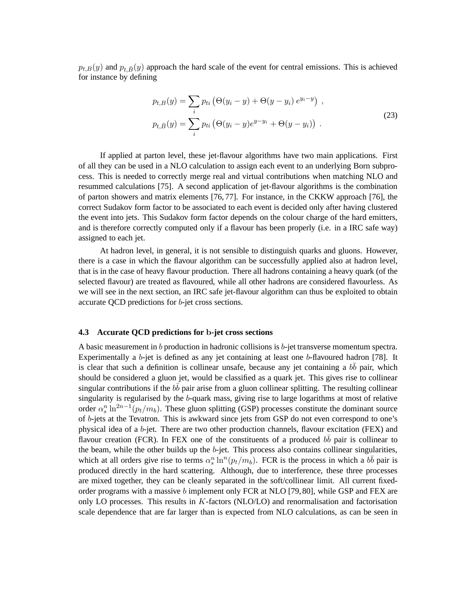$p_{t,B}(y)$  and  $p_{t,\bar{B}}(y)$  approach the hard scale of the event for central emissions. This is achieved for instance by defining

$$
p_{t,B}(y) = \sum_{i} p_{ti} (\Theta(y_i - y) + \Theta(y - y_i) e^{y_i - y}),
$$
  
\n
$$
p_{t,\bar{B}}(y) = \sum_{i} p_{ti} (\Theta(y_i - y) e^{y - y_i} + \Theta(y - y_i)).
$$
\n(23)

If applied at parton level, these jet-flavour algorithms have two main applications. First of all they can be used in a NLO calculation to assign each event to an underlying Born subprocess. This is needed to correctly merge real and virtual contributions when matching NLO and resummed calculations [75]. A second application of jet-flavour algorithms is the combination of parton showers and matrix elements [76, 77]. For instance, in the CKKW approach [76], the correct Sudakov form factor to be associated to each event is decided only after having clustered the event into jets. This Sudakov form factor depends on the colour charge of the hard emitters, and is therefore correctly computed only if a flavour has been properly (i.e. in a IRC safe way) assigned to each jet.

At hadron level, in general, it is not sensible to distinguish quarks and gluons. However, there is a case in which the flavour algorithm can be successfully applied also at hadron level, that is in the case of heavy flavour production. There all hadrons containing a heavy quark (of the selected flavour) are treated as flavoured, while all other hadrons are considered flavourless. As we will see in the next section, an IRC safe jet-flavour algorithm can thus be exploited to obtain accurate QCD predictions for b-jet cross sections.

### **4.3 Accurate QCD predictions for** b**-jet cross sections**

A basic measurement in b production in hadronic collisions is b-jet transverse momentum spectra. Experimentally a b-jet is defined as any jet containing at least one b-flavoured hadron [78]. It is clear that such a definition is collinear unsafe, because any jet containing a  $b\bar{b}$  pair, which should be considered a gluon jet, would be classified as a quark jet. This gives rise to collinear singular contributions if the  $b\bar{b}$  pair arise from a gluon collinear splitting. The resulting collinear singularity is regularised by the b-quark mass, giving rise to large logarithms at most of relative order  $\alpha_s^n \ln^{2n-1}(p_t/m_b)$ . These gluon splitting (GSP) processes constitute the dominant source of b-jets at the Tevatron. This is awkward since jets from GSP do not even correspond to one's physical idea of a b-jet. There are two other production channels, flavour excitation (FEX) and flavour creation (FCR). In FEX one of the constituents of a produced  $b\bar{b}$  pair is collinear to the beam, while the other builds up the  $b$ -jet. This process also contains collinear singularities, which at all orders give rise to terms  $\alpha_s^n \ln^n(p_t/m_b)$ . FCR is the process in which a  $b\bar{b}$  pair is produced directly in the hard scattering. Although, due to interference, these three processes are mixed together, they can be cleanly separated in the soft/collinear limit. All current fixedorder programs with a massive b implement only FCR at NLO [79, 80], while GSP and FEX are only LO processes. This results in K-factors (NLO/LO) and renormalisation and factorisation scale dependence that are far larger than is expected from NLO calculations, as can be seen in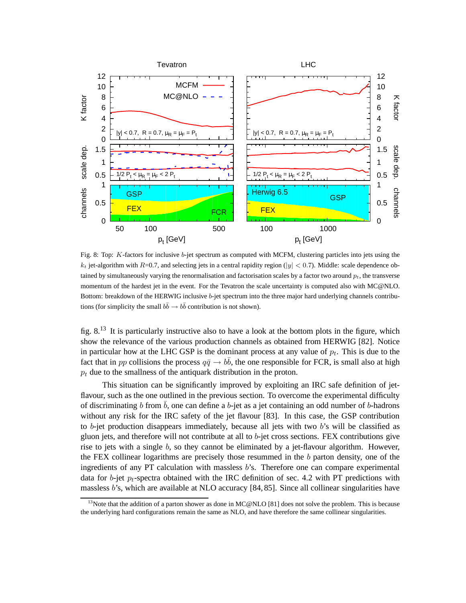

Fig. 8: Top: K-factors for inclusive b-jet spectrum as computed with MCFM, clustering particles into jets using the  $k_t$  jet-algorithm with R=0.7, and selecting jets in a central rapidity region (|y| < 0.7). Middle: scale dependence obtained by simultaneously varying the renormalisation and factorisation scales by a factor two around  $p_t$ , the transverse momentum of the hardest jet in the event. For the Tevatron the scale uncertainty is computed also with MC@NLO. Bottom: breakdown of the HERWIG inclusive b-jet spectrum into the three major hard underlying channels contributions (for simplicity the small  $b\bar{b} \to b\bar{b}$  contribution is not shown).

fig. 8.<sup>13</sup> It is particularly instructive also to have a look at the bottom plots in the figure, which show the relevance of the various production channels as obtained from HERWIG [82]. Notice in particular how at the LHC GSP is the dominant process at any value of  $p_t$ . This is due to the fact that in pp collisions the process  $q\bar{q} \to b\bar{b}$ , the one responsible for FCR, is small also at high  $p_t$  due to the smallness of the antiquark distribution in the proton.

This situation can be significantly improved by exploiting an IRC safe definition of jetflavour, such as the one outlined in the previous section. To overcome the experimental difficulty of discriminating b from  $\bar{b}$ , one can define a b-jet as a jet containing an odd number of b-hadrons without any risk for the IRC safety of the jet flavour [83]. In this case, the GSP contribution to b-jet production disappears immediately, because all jets with two  $b$ 's will be classified as gluon jets, and therefore will not contribute at all to b-jet cross sections. FEX contributions give rise to jets with a single  $b$ , so they cannot be eliminated by a jet-flavour algorithm. However, the FEX collinear logarithms are precisely those resummed in the  $b$  parton density, one of the ingredients of any PT calculation with massless  $b$ 's. Therefore one can compare experimental data for b-jet  $p_t$ -spectra obtained with the IRC definition of sec. 4.2 with PT predictions with massless b's, which are available at NLO accuracy [84, 85]. Since all collinear singularities have

<sup>&</sup>lt;sup>13</sup>Note that the addition of a parton shower as done in MC@NLO [81] does not solve the problem. This is because the underlying hard configurations remain the same as NLO, and have therefore the same collinear singularities.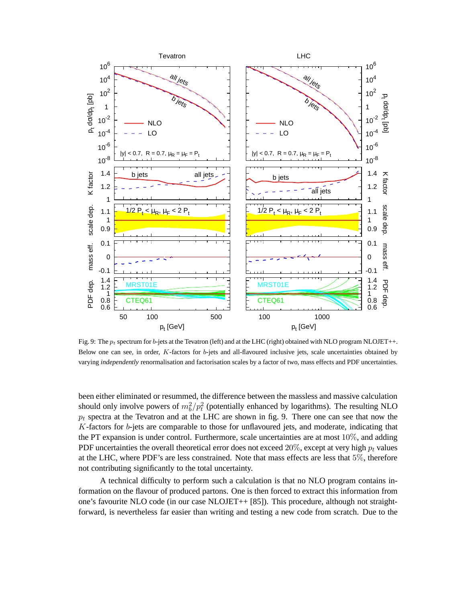

Fig. 9: The  $p_t$  spectrum for b-jets at the Tevatron (left) and at the LHC (right) obtained with NLO program NLOJET++. Below one can see, in order, K-factors for b-jets and all-flavoured inclusive jets, scale uncertainties obtained by varying *independently* renormalisation and factorisation scales by a factor of two, mass effects and PDF uncertainties.

been either eliminated or resummed, the difference between the massless and massive calculation should only involve powers of  $m_b^2/p_t^2$  (potentially enhanced by logarithms). The resulting NLO  $p_t$  spectra at the Tevatron and at the LHC are shown in fig. 9. There one can see that now the  $K$ -factors for  $b$ -jets are comparable to those for unflavoured jets, and moderate, indicating that the PT expansion is under control. Furthermore, scale uncertainties are at most 10%, and adding PDF uncertainties the overall theoretical error does not exceed 20%, except at very high  $p_t$  values at the LHC, where PDF's are less constrained. Note that mass effects are less that 5%, therefore not contributing significantly to the total uncertainty.

A technical difficulty to perform such a calculation is that no NLO program contains information on the flavour of produced partons. One is then forced to extract this information from one's favourite NLO code (in our case NLOJET++ [85]). This procedure, although not straightforward, is nevertheless far easier than writing and testing a new code from scratch. Due to the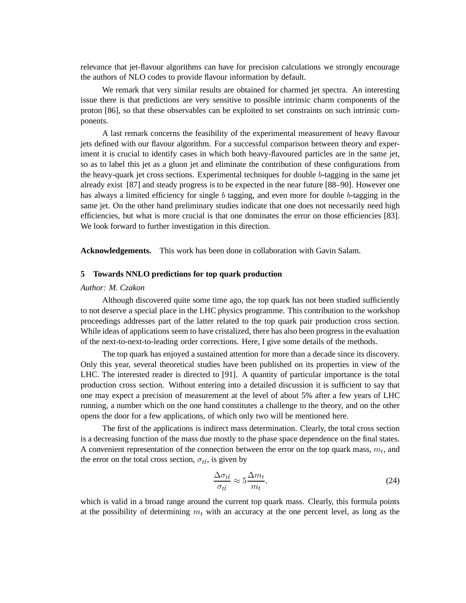relevance that jet-flavour algorithms can have for precision calculations we strongly encourage the authors of NLO codes to provide flavour information by default.

We remark that very similar results are obtained for charmed jet spectra. An interesting issue there is that predictions are very sensitive to possible intrinsic charm components of the proton [86], so that these observables can be exploited to set constraints on such intrinsic components.

A last remark concerns the feasibility of the experimental measurement of heavy flavour jets defined with our flavour algorithm. For a successful comparison between theory and experiment it is crucial to identify cases in which both heavy-flavoured particles are in the same jet, so as to label this jet as a gluon jet and eliminate the contribution of these configurations from the heavy-quark jet cross sections. Experimental techniques for double b-tagging in the same jet already exist [87] and steady progress is to be expected in the near future [88–90]. However one has always a limited efficiency for single b tagging, and even more for double b-tagging in the same jet. On the other hand preliminary studies indicate that one does not necessarily need high efficiencies, but what is more crucial is that one dominates the error on those efficiencies [83]. We look forward to further investigation in this direction.

**Acknowledgements.** This work has been done in collaboration with Gavin Salam.

## **5 Towards NNLO predictions for top quark production**

#### *Author: M. Czakon*

Although discovered quite some time ago, the top quark has not been studied sufficiently to not deserve a special place in the LHC physics programme. This contribution to the workshop proceedings addresses part of the latter related to the top quark pair production cross section. While ideas of applications seem to have cristalized, there has also been progress in the evaluation of the next-to-next-to-leading order corrections. Here, I give some details of the methods.

The top quark has enjoyed a sustained attention for more than a decade since its discovery. Only this year, several theoretical studies have been published on its properties in view of the LHC. The interested reader is directed to [91]. A quantity of particular importance is the total production cross section. Without entering into a detailed discussion it is sufficient to say that one may expect a precision of measurement at the level of about 5% after a few years of LHC running, a number which on the one hand constitutes a challenge to the theory, and on the other opens the door for a few applications, of which only two will be mentioned here.

The first of the applications is indirect mass determination. Clearly, the total cross section is a decreasing function of the mass due mostly to the phase space dependence on the final states. A convenient representation of the connection between the error on the top quark mass,  $m_t$ , and the error on the total cross section,  $\sigma_{t\bar{t}}$ , is given by

$$
\frac{\Delta \sigma_{t\bar{t}}}{\sigma_{t\bar{t}}} \approx 5 \frac{\Delta m_t}{m_t},\tag{24}
$$

which is valid in a broad range around the current top quark mass. Clearly, this formula points at the possibility of determining  $m_t$  with an accuracy at the one percent level, as long as the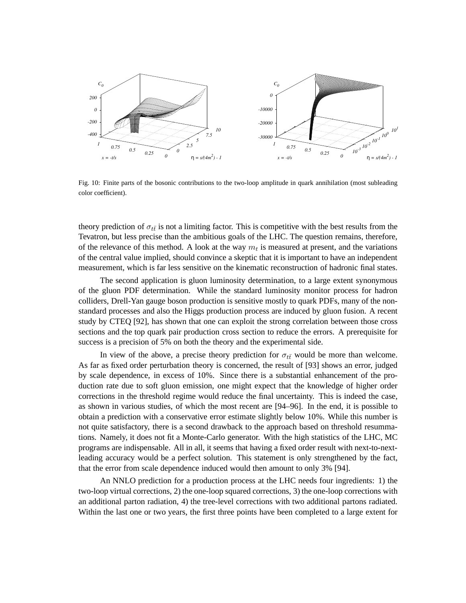

Fig. 10: Finite parts of the bosonic contributions to the two-loop amplitude in quark annihilation (most subleading color coefficient).

theory prediction of  $\sigma_{t\bar{t}}$  is not a limiting factor. This is competitive with the best results from the Tevatron, but less precise than the ambitious goals of the LHC. The question remains, therefore, of the relevance of this method. A look at the way  $m_t$  is measured at present, and the variations of the central value implied, should convince a skeptic that it is important to have an independent measurement, which is far less sensitive on the kinematic reconstruction of hadronic final states.

The second application is gluon luminosity determination, to a large extent synonymous of the gluon PDF determination. While the standard luminosity monitor process for hadron colliders, Drell-Yan gauge boson production is sensitive mostly to quark PDFs, many of the nonstandard processes and also the Higgs production process are induced by gluon fusion. A recent study by CTEQ [92], has shown that one can exploit the strong correlation between those cross sections and the top quark pair production cross section to reduce the errors. A prerequisite for success is a precision of 5% on both the theory and the experimental side.

In view of the above, a precise theory prediction for  $\sigma_{t\bar{t}}$  would be more than welcome. As far as fixed order perturbation theory is concerned, the result of [93] shows an error, judged by scale dependence, in excess of 10%. Since there is a substantial enhancement of the production rate due to soft gluon emission, one might expect that the knowledge of higher order corrections in the threshold regime would reduce the final uncertainty. This is indeed the case, as shown in various studies, of which the most recent are [94–96]. In the end, it is possible to obtain a prediction with a conservative error estimate slightly below 10%. While this number is not quite satisfactory, there is a second drawback to the approach based on threshold resummations. Namely, it does not fit a Monte-Carlo generator. With the high statistics of the LHC, MC programs are indispensable. All in all, it seems that having a fixed order result with next-to-nextleading accuracy would be a perfect solution. This statement is only strengthened by the fact, that the error from scale dependence induced would then amount to only 3% [94].

An NNLO prediction for a production process at the LHC needs four ingredients: 1) the two-loop virtual corrections, 2) the one-loop squared corrections, 3) the one-loop corrections with an additional parton radiation, 4) the tree-level corrections with two additional partons radiated. Within the last one or two years, the first three points have been completed to a large extent for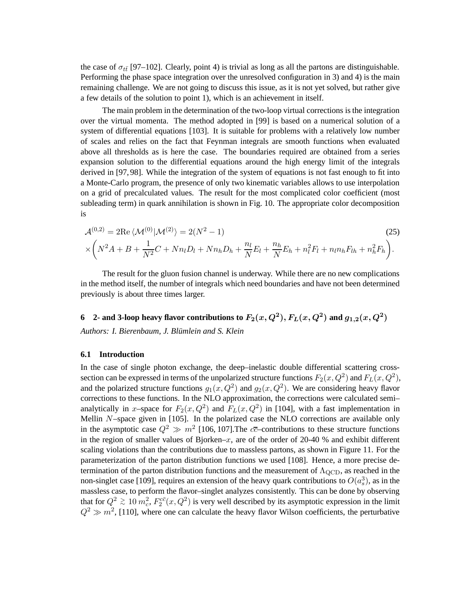the case of  $\sigma_{t\bar{t}}$  [97–102]. Clearly, point 4) is trivial as long as all the partons are distinguishable. Performing the phase space integration over the unresolved configuration in 3) and 4) is the main remaining challenge. We are not going to discuss this issue, as it is not yet solved, but rather give a few details of the solution to point 1), which is an achievement in itself.

The main problem in the determination of the two-loop virtual corrections is the integration over the virtual momenta. The method adopted in [99] is based on a numerical solution of a system of differential equations [103]. It is suitable for problems with a relatively low number of scales and relies on the fact that Feynman integrals are smooth functions when evaluated above all thresholds as is here the case. The boundaries required are obtained from a series expansion solution to the differential equations around the high energy limit of the integrals derived in [97, 98]. While the integration of the system of equations is not fast enough to fit into a Monte-Carlo program, the presence of only two kinematic variables allows to use interpolation on a grid of precalculated values. The result for the most complicated color coefficient (most subleading term) in quark annihilation is shown in Fig. 10. The appropriate color decomposition is

$$
\mathcal{A}^{(0,2)} = 2\text{Re}\,\langle\mathcal{M}^{(0)}|\mathcal{M}^{(2)}\rangle = 2(N^2 - 1) \tag{25}
$$
\n
$$
\times \left(N^2A + B + \frac{1}{N^2}C + Nn_lD_l + Nn_hD_h + \frac{n_l}{N}E_l + \frac{n_h}{N}E_h + n_l^2F_l + n_ln_hF_{lh} + n_h^2F_h\right).
$$

The result for the gluon fusion channel is underway. While there are no new complications in the method itself, the number of integrals which need boundaries and have not been determined previously is about three times larger.

**6** 2- and 3-loop heavy flavor contributions to  $F_2(x,Q^2), F_L(x,Q^2)$  and  $g_{1,2}(x,Q^2)$ *Authors: I. Bierenbaum, J. Blumlein and S. Klein ¨*

#### **6.1 Introduction**

In the case of single photon exchange, the deep–inelastic double differential scattering crosssection can be expressed in terms of the unpolarized structure functions  $F_2(x,Q^2)$  and  $F_L(x,Q^2)$ , and the polarized structure functions  $g_1(x, Q^2)$  and  $g_2(x, Q^2)$ . We are considering heavy flavor corrections to these functions. In the NLO approximation, the corrections were calculated semi– analytically in x-space for  $F_2(x,Q^2)$  and  $F_L(x,Q^2)$  in [104], with a fast implementation in Mellin N–space given in [105]. In the polarized case the NLO corrections are available only in the asymptotic case  $Q^2 \gg m^2$  [106, 107]. The  $c\bar{c}$ -contributions to these structure functions in the region of smaller values of Bjorken– $x$ , are of the order of 20-40 % and exhibit different scaling violations than the contributions due to massless partons, as shown in Figure 11. For the parameterization of the parton distribution functions we used [108]. Hence, a more precise determination of the parton distribution functions and the measurement of  $\Lambda_{\text{QCD}}$ , as reached in the non-singlet case [109], requires an extension of the heavy quark contributions to  $O(a_s^3)$ , as in the massless case, to perform the flavor–singlet analyzes consistently. This can be done by observing that for  $Q^2 \gtrsim 10 \, m_c^2$ ,  $F_2^{c\bar{c}}(x, Q^2)$  is very well described by its asymptotic expression in the limit  $Q^2 \gg m^2$ , [110], where one can calculate the heavy flavor Wilson coefficients, the perturbative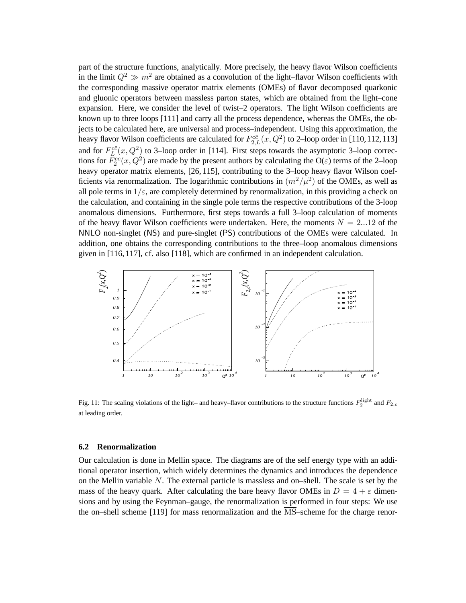part of the structure functions, analytically. More precisely, the heavy flavor Wilson coefficients in the limit  $Q^2 \gg m^2$  are obtained as a convolution of the light–flavor Wilson coefficients with the corresponding massive operator matrix elements (OMEs) of flavor decomposed quarkonic and gluonic operators between massless parton states, which are obtained from the light–cone expansion. Here, we consider the level of twist–2 operators. The light Wilson coefficients are known up to three loops [111] and carry all the process dependence, whereas the OMEs, the objects to be calculated here, are universal and process–independent. Using this approximation, the heavy flavor Wilson coefficients are calculated for  $F_{2,L}^{c\bar{c}}(x,Q^2)$  to 2–loop order in [110,112,113] and for  $F_L^{c\bar{c}}(x,Q^2)$  to 3–loop order in [114]. First steps towards the asymptotic 3–loop corrections for  $F_2^{c\bar{c}}(x,Q^2)$  are made by the present authors by calculating the O( $\varepsilon$ ) terms of the 2–loop heavy operator matrix elements, [26, 115], contributing to the 3-loop heavy flavor Wilson coefficients via renormalization. The logarithmic contributions in  $(m^2/\mu^2)$  of the OMEs, as well as all pole terms in  $1/\varepsilon$ , are completely determined by renormalization, in this providing a check on the calculation, and containing in the single pole terms the respective contributions of the 3-loop anomalous dimensions. Furthermore, first steps towards a full 3–loop calculation of moments of the heavy flavor Wilson coefficients were undertaken. Here, the moments  $N = 2...12$  of the NNLO non-singlet (NS) and pure-singlet (PS) contributions of the OMEs were calculated. In addition, one obtains the corresponding contributions to the three–loop anomalous dimensions given in [116, 117], cf. also [118], which are confirmed in an independent calculation.



Fig. 11: The scaling violations of the light– and heavy–flavor contributions to the structure functions  $F_2^{\text{light}}$  and  $F_{2,c}$ at leading order.

#### **6.2 Renormalization**

Our calculation is done in Mellin space. The diagrams are of the self energy type with an additional operator insertion, which widely determines the dynamics and introduces the dependence on the Mellin variable  $N$ . The external particle is massless and on–shell. The scale is set by the mass of the heavy quark. After calculating the bare heavy flavor OMEs in  $D = 4 + \varepsilon$  dimensions and by using the Feynman–gauge, the renormalization is performed in four steps: We use the on–shell scheme [119] for mass renormalization and the  $\overline{\text{MS}}$ –scheme for the charge renor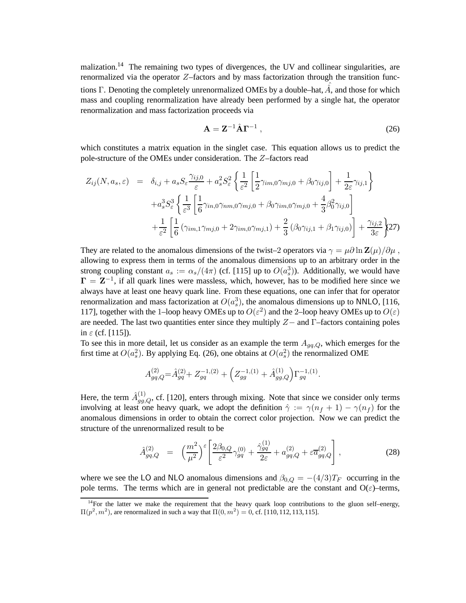malization.<sup>14</sup> The remaining two types of divergences, the UV and collinear singularities, are renormalized via the operator  $Z$ –factors and by mass factorization through the transition functions Γ. Denoting the completely unrenormalized OMEs by a double–hat,  $\hat{A}$ , and those for which mass and coupling renormalization have already been performed by a single hat, the operator renormalization and mass factorization proceeds via

$$
\mathbf{A} = \mathbf{Z}^{-1} \hat{\mathbf{A}} \mathbf{\Gamma}^{-1} \,, \tag{26}
$$

which constitutes a matrix equation in the singlet case. This equation allows us to predict the pole-structure of the OMEs under consideration. The Z–factors read

$$
Z_{ij}(N, a_s, \varepsilon) = \delta_{i,j} + a_s S_{\varepsilon} \frac{\gamma_{ij,0}}{\varepsilon} + a_s^2 S_{\varepsilon}^2 \left\{ \frac{1}{\varepsilon^2} \left[ \frac{1}{2} \gamma_{im,0} \gamma_{mj,0} + \beta_0 \gamma_{ij,0} \right] + \frac{1}{2\varepsilon} \gamma_{ij,1} \right\} + a_s^3 S_{\varepsilon}^3 \left\{ \frac{1}{\varepsilon^3} \left[ \frac{1}{6} \gamma_{in,0} \gamma_{nm,0} \gamma_{mj,0} + \beta_0 \gamma_{im,0} \gamma_{mj,0} + \frac{4}{3} \beta_0^2 \gamma_{ij,0} \right] + \frac{1}{\varepsilon^2} \left[ \frac{1}{6} \left( \gamma_{im,1} \gamma_{mj,0} + 2 \gamma_{im,0} \gamma_{mj,1} \right) + \frac{2}{3} \left( \beta_0 \gamma_{ij,1} + \beta_1 \gamma_{ij,0} \right) \right] + \frac{\gamma_{ij,2}}{3\varepsilon} \right\}
$$
(27)

They are related to the anomalous dimensions of the twist–2 operators via  $\gamma = \mu \partial \ln Z(\mu)/\partial \mu$ , allowing to express them in terms of the anomalous dimensions up to an arbitrary order in the strong coupling constant  $a_s := \alpha_s/(4\pi)$  (cf. [115] up to  $O(a_s^3)$ ). Additionally, we would have  $\Gamma = \mathbb{Z}^{-1}$ , if all quark lines were massless, which, however, has to be modified here since we always have at least one heavy quark line. From these equations, one can infer that for operator renormalization and mass factorization at  $O(a_s^3)$ , the anomalous dimensions up to NNLO, [116, 117], together with the 1-loop heavy OMEs up to  $O(\varepsilon^2)$  and the 2-loop heavy OMEs up to  $O(\varepsilon)$ are needed. The last two quantities enter since they multiply  $Z-$  and  $\Gamma$ -factors containing poles in  $\varepsilon$  (cf. [115]).

To see this in more detail, let us consider as an example the term  $A_{gq,Q}$ , which emerges for the first time at  $O(a_s^2)$ . By applying Eq. (26), one obtains at  $O(a_s^2)$  the renormalized OME

$$
A_{gq,Q}^{(2)} = \hat{A}_{gq}^{(2)} + Z_{gq}^{-1,(2)} + \left(Z_{gg}^{-1,(1)} + \hat{A}_{gg,Q}^{(1)}\right)\Gamma_{gq}^{-1,(1)}.
$$

Here, the term  $\hat{A}_{gg,Q}^{(1)}$ , cf. [120], enters through mixing. Note that since we consider only terms involving at least one heavy quark, we adopt the definition  $\hat{\gamma} := \gamma(n_f + 1) - \gamma(n_f)$  for the anomalous dimensions in order to obtain the correct color projection. Now we can predict the structure of the unrenormalized result to be

$$
\hat{A}_{gq,Q}^{(2)} = \left(\frac{m^2}{\mu^2}\right)^{\varepsilon} \left[ \frac{2\beta_{0,Q}}{\varepsilon^2} \gamma_{gq}^{(0)} + \frac{\hat{\gamma}_{gq}^{(1)}}{2\varepsilon} + a_{gq,Q}^{(2)} + \varepsilon \overline{a}_{gq,Q}^{(2)} \right],
$$
\n(28)

where we see the LO and NLO anomalous dimensions and  $\beta_{0,Q} = -(4/3)T_F$  occurring in the pole terms. The terms which are in general not predictable are the constant and  $O(\varepsilon)$ -terms,

 $14$ For the latter we make the requirement that the heavy quark loop contributions to the gluon self–energy,  $\Pi(p^2, m^2)$ , are renormalized in such a way that  $\Pi(0, m^2) = 0$ , cf. [110, 112, 113, 115].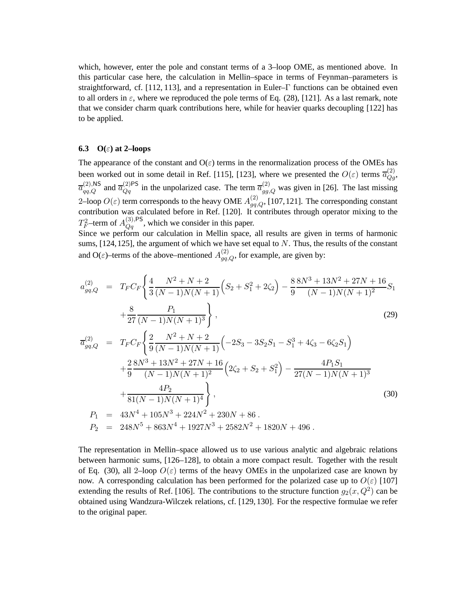which, however, enter the pole and constant terms of a 3–loop OME, as mentioned above. In this particular case here, the calculation in Mellin–space in terms of Feynman–parameters is straightforward, cf. [112, 113], and a representation in Euler–Γ functions can be obtained even to all orders in  $\varepsilon$ , where we reproduced the pole terms of Eq. (28), [121]. As a last remark, note that we consider charm quark contributions here, while for heavier quarks decoupling [122] has to be applied.

#### **6.3 O(**ε**) at 2–loops**

The appearance of the constant and  $O(\varepsilon)$  terms in the renormalization process of the OMEs has been worked out in some detail in Ref. [115], [123], where we presented the  $O(\varepsilon)$  terms  $\overline{a}_{Qg}^{(2)}$ ,  $\overline{a}_{qq,Q}^{(2),\text{NS}}$  and  $\overline{a}_{Qq}^{(2)\text{PS}}$  in the unpolarized case. The term  $\overline{a}_{gg,Q}^{(2)}$  was given in [26]. The last missing 2–loop  $O(\varepsilon)$  term corresponds to the heavy OME  $A_{gq,Q}^{(2)}$ , [107,121]. The corresponding constant contribution was calculated before in Ref. [120]. It contributes through operator mixing to the  $T_F^2$ -term of  $A_{Qq}^{(3),\text{PS}}$ , which we consider in this paper.

Since we perform our calculation in Mellin space, all results are given in terms of harmonic sums,  $[124, 125]$ , the argument of which we have set equal to N. Thus, the results of the constant and O( $\varepsilon$ )–terms of the above–mentioned  $A_{gq,Q}^{(2)}$ , for example, are given by:

$$
a_{gq,Q}^{(2)} = T_F C_F \left\{ \frac{4}{3} \frac{N^2 + N + 2}{(N-1)N(N+1)} \left( S_2 + S_1^2 + 2\zeta_2 \right) - \frac{8}{9} \frac{8N^3 + 13N^2 + 27N + 16}{(N-1)N(N+1)^2} S_1 \right. \\ \left. + \frac{8}{27} \frac{P_1}{(N-1)N(N+1)^3} \right\},
$$
\n(29)

$$
\overline{a}_{gq,Q}^{(2)} = T_F C_F \left\{ \frac{2}{9} \frac{N^2 + N + 2}{(N - 1)N(N + 1)} \left( -2S_3 - 3S_2S_1 - S_1^3 + 4\zeta_3 - 6\zeta_2 S_1 \right) \right.\n+ \frac{2}{9} \frac{8N^3 + 13N^2 + 27N + 16}{(N - 1)N(N + 1)^2} \left( 2\zeta_2 + S_2 + S_1^2 \right) - \frac{4P_1S_1}{27(N - 1)N(N + 1)^3} \n+ \frac{4P_2}{81(N - 1)N(N + 1)^4} \right\},\n\tag{30}
$$
\n
$$
P_1 = 43N^4 + 105N^3 + 224N^2 + 230N + 86 \,.
$$
\n
$$
P_2 = 248N^5 + 863N^4 + 1927N^3 + 2582N^2 + 1820N + 496 \,.
$$

The representation in Mellin–space allowed us to use various analytic and algebraic relations between harmonic sums, [126–128], to obtain a more compact result. Together with the result of Eq. (30), all 2-loop  $O(\varepsilon)$  terms of the heavy OMEs in the unpolarized case are known by now. A corresponding calculation has been performed for the polarized case up to  $O(\varepsilon)$  [107] extending the results of Ref. [106]. The contributions to the structure function  $g_2(x,Q^2)$  can be obtained using Wandzura-Wilczek relations, cf. [129, 130]. For the respective formulae we refer to the original paper.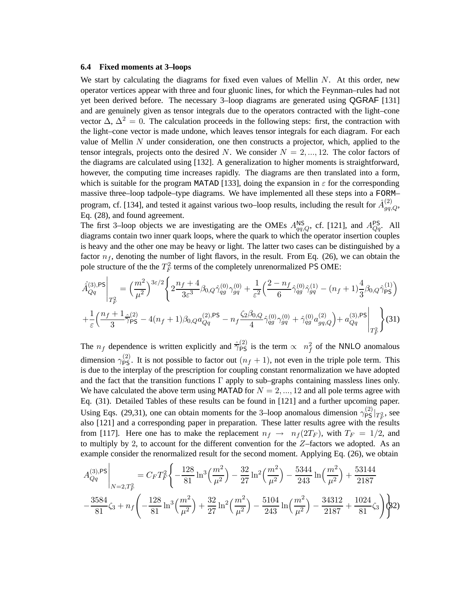#### **6.4 Fixed moments at 3–loops**

We start by calculating the diagrams for fixed even values of Mellin  $N$ . At this order, new operator vertices appear with three and four gluonic lines, for which the Feynman–rules had not yet been derived before. The necessary 3–loop diagrams are generated using QGRAF [131] and are genuinely given as tensor integrals due to the operators contracted with the light–cone vector  $\Delta$ ,  $\Delta^2 = 0$ . The calculation proceeds in the following steps: first, the contraction with the light–cone vector is made undone, which leaves tensor integrals for each diagram. For each value of Mellin  $N$  under consideration, one then constructs a projector, which, applied to the tensor integrals, projects onto the desired N. We consider  $N = 2, ..., 12$ . The color factors of the diagrams are calculated using [132]. A generalization to higher moments is straightforward, however, the computing time increases rapidly. The diagrams are then translated into a form, which is suitable for the program MATAD [133], doing the expansion in  $\varepsilon$  for the corresponding massive three–loop tadpole–type diagrams. We have implemented all these steps into a FORM– program, cf. [134], and tested it against various two–loop results, including the result for  $\hat{A}_{gq,Q}^{(2)}$ , Eq. (28), and found agreement.

The first 3–loop objects we are investigating are the OMEs  $A_{qq,Q}^{\text{NS}}$ , cf. [121], and  $A_{Qq}^{\text{PS}}$ . All diagrams contain two inner quark loops, where the quark to which the operator insertion couples is heavy and the other one may be heavy or light. The latter two cases can be distinguished by a factor  $n_f$ , denoting the number of light flavors, in the result. From Eq. (26), we can obtain the pole structure of the the  $T_F^2$  terms of the completely unrenormalized PS OME:

$$
\hat{A}_{Qq}^{(3),\text{PS}}\Big|_{T_F^2} = \left(\frac{m^2}{\mu^2}\right)^{3\varepsilon/2} \left\{ 2\frac{n_f+4}{3\varepsilon^3} \beta_{0,Q} \hat{\gamma}_{qg}^{(0)} \gamma_{gq}^{(0)} + \frac{1}{\varepsilon^2} \left(\frac{2-n_f}{6} \hat{\gamma}_{qg}^{(0)} \hat{\gamma}_{gq}^{(1)} - (n_f+1)\frac{4}{3} \beta_{0,Q} \hat{\gamma}_{\text{PS}}^{(1)}\right) \right\}
$$
\n
$$
+ \frac{1}{\varepsilon} \left(\frac{n_f+1}{3} \hat{\gamma}_{\text{PS}}^{(2)} - 4(n_f+1)\beta_{0,Q} a_{Qq}^{(2),\text{PS}} - n_f \frac{\zeta_2 \beta_{0,Q}}{4} \hat{\gamma}_{qg}^{(0)} \gamma_{gq}^{(0)} + \hat{\gamma}_{qg}^{(0)} a_{gq,Q}^{(2)}\right) + a_{Qq}^{(3),\text{PS}} \Big|_{T_F^2} \right\} (31)
$$

The  $n_f$  dependence is written explicitly and  $\hat{\overline{\gamma}}_{PS}^{(2)}$  is the term  $\propto n_f^2$  of the NNLO anomalous dimension  $\gamma_{PS}^{(2)}$ . It is not possible to factor out  $(n_f + 1)$ , not even in the triple pole term. This is due to the interplay of the prescription for coupling constant renormalization we have adopted and the fact that the transition functions  $\Gamma$  apply to sub–graphs containing massless lines only. We have calculated the above term using MATAD for  $N = 2, ..., 12$  and all pole terms agree with Eq. (31). Detailed Tables of these results can be found in [121] and a further upcoming paper. Using Eqs. (29,31), one can obtain moments for the 3–loop anomalous dimension  $\gamma_{PS}^{(2)}|_{T_F^2}$ , see also [121] and a corresponding paper in preparation. These latter results agree with the results from [117]. Here one has to make the replacement  $n_f \rightarrow n_f(2T_F)$ , with  $T_F = 1/2$ , and to multiply by 2, to account for the different convention for the  $Z$ –factors we adopted. As an example consider the renormalized result for the second moment. Applying Eq. (26), we obtain

$$
A_{Qq}^{(3),PS} \Big|_{N=2,T_F^2} = C_F T_F^2 \Bigg\{ -\frac{128}{81} \ln^3 \left( \frac{m^2}{\mu^2} \right) - \frac{32}{27} \ln^2 \left( \frac{m^2}{\mu^2} \right) - \frac{5344}{243} \ln \left( \frac{m^2}{\mu^2} \right) + \frac{53144}{2187}
$$

$$
- \frac{3584}{81} \zeta_3 + n_f \Bigg( -\frac{128}{81} \ln^3 \left( \frac{m^2}{\mu^2} \right) + \frac{32}{27} \ln^2 \left( \frac{m^2}{\mu^2} \right) - \frac{5104}{243} \ln \left( \frac{m^2}{\mu^2} \right) - \frac{34312}{2187} + \frac{1024}{81} \zeta_3 \Bigg) \Bigg\} 2
$$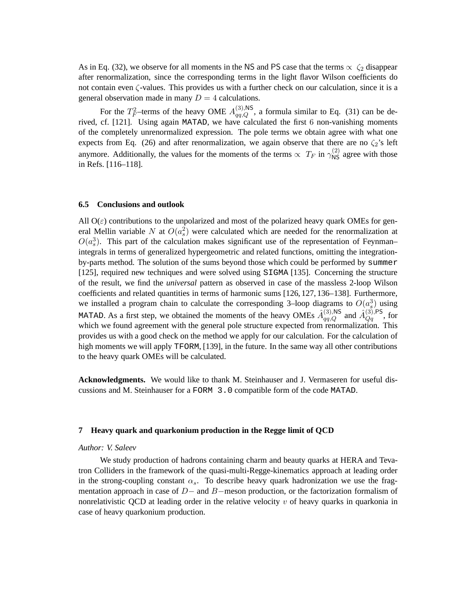As in Eq. (32), we observe for all moments in the NS and PS case that the terms  $\propto \zeta_2$  disappear after renormalization, since the corresponding terms in the light flavor Wilson coefficients do not contain even  $\zeta$ -values. This provides us with a further check on our calculation, since it is a general observation made in many  $D = 4$  calculations.

For the  $T_F^2$ -terms of the heavy OME  $A_{qq,Q}^{(3),\text{NS}}$ , a formula similar to Eq. (31) can be derived, cf. [121]. Using again MATAD, we have calculated the first 6 non-vanishing moments of the completely unrenormalized expression. The pole terms we obtain agree with what one expects from Eq. (26) and after renormalization, we again observe that there are no  $\zeta_2$ 's left anymore. Additionally, the values for the moments of the terms  $\propto T_F$  in  $\gamma_{\rm NS}^{(2)}$  agree with those in Refs. [116–118].

### **6.5 Conclusions and outlook**

All  $O(\varepsilon)$  contributions to the unpolarized and most of the polarized heavy quark OMEs for general Mellin variable N at  $O(a_s^2)$  were calculated which are needed for the renormalization at  $O(a_s^3)$ . This part of the calculation makes significant use of the representation of Feynman– integrals in terms of generalized hypergeometric and related functions, omitting the integrationby-parts method. The solution of the sums beyond those which could be performed by summer [125], required new techniques and were solved using SIGMA [135]. Concerning the structure of the result, we find the *universal* pattern as observed in case of the massless 2-loop Wilson coefficients and related quantities in terms of harmonic sums [126, 127, 136–138]. Furthermore, we installed a program chain to calculate the corresponding 3–loop diagrams to  $O(a_s^3)$  using MATAD. As a first step, we obtained the moments of the heavy OMEs  $\hat{A}_{qq,Q}^{(3),\text{NS}}$  and  $\hat{A}_{Qq}^{(3),\text{PS}}$ , for which we found agreement with the general pole structure expected from renormalization. This provides us with a good check on the method we apply for our calculation. For the calculation of high moments we will apply TFORM, [139], in the future. In the same way all other contributions to the heavy quark OMEs will be calculated.

**Acknowledgments.** We would like to thank M. Steinhauser and J. Vermaseren for useful discussions and M. Steinhauser for a FORM 3.0 compatible form of the code MATAD.

## **7 Heavy quark and quarkonium production in the Regge limit of QCD**

#### *Author: V. Saleev*

We study production of hadrons containing charm and beauty quarks at HERA and Tevatron Colliders in the framework of the quasi-multi-Regge-kinematics approach at leading order in the strong-coupling constant  $\alpha_s$ . To describe heavy quark hadronization we use the fragmentation approach in case of  $D-$  and  $B-$ meson production, or the factorization formalism of nonrelativistic QCD at leading order in the relative velocity  $v$  of heavy quarks in quarkonia in case of heavy quarkonium production.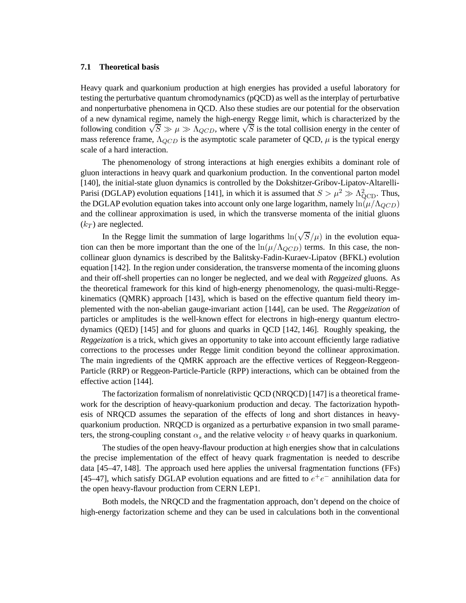#### **7.1 Theoretical basis**

Heavy quark and quarkonium production at high energies has provided a useful laboratory for testing the perturbative quantum chromodynamics (pQCD) as well as the interplay of perturbative and nonperturbative phenomena in QCD. Also these studies are our potential for the observation of a new dynamical regime, namely the high-energy Regge limit, which is characterized by the following condition  $\sqrt{S} \gg \mu \gg \Lambda_{QCD}$ , where  $\sqrt{S}$  is the total collision energy in the center of mass reference frame,  $\Lambda_{QCD}$  is the asymptotic scale parameter of QCD,  $\mu$  is the typical energy scale of a hard interaction.

The phenomenology of strong interactions at high energies exhibits a dominant role of gluon interactions in heavy quark and quarkonium production. In the conventional parton model [140], the initial-state gluon dynamics is controlled by the Dokshitzer-Gribov-Lipatov-Altarelli-Parisi (DGLAP) evolution equations [141], in which it is assumed that  $S > \mu^2 \gg \Lambda_{\rm QCD}^2$ . Thus, the DGLAP evolution equation takes into account only one large logarithm, namely  $\ln(\mu/\Lambda_{QCD})$ and the collinear approximation is used, in which the transverse momenta of the initial gluons  $(k_T)$  are neglected.

In the Regge limit the summation of large logarithms  $\ln(\sqrt{S}/\mu)$  in the evolution equation can then be more important than the one of the  $\ln(\mu/\Lambda_{QCD})$  terms. In this case, the noncollinear gluon dynamics is described by the Balitsky-Fadin-Kuraev-Lipatov (BFKL) evolution equation [142]. In the region under consideration, the transverse momenta of the incoming gluons and their off-shell properties can no longer be neglected, and we deal with *Reggeized* gluons. As the theoretical framework for this kind of high-energy phenomenology, the quasi-multi-Reggekinematics (QMRK) approach [143], which is based on the effective quantum field theory implemented with the non-abelian gauge-invariant action [144], can be used. The *Reggeization* of particles or amplitudes is the well-known effect for electrons in high-energy quantum electrodynamics (QED) [145] and for gluons and quarks in QCD [142, 146]. Roughly speaking, the *Reggeization* is a trick, which gives an opportunity to take into account efficiently large radiative corrections to the processes under Regge limit condition beyond the collinear approximation. The main ingredients of the QMRK approach are the effective vertices of Reggeon-Reggeon-Particle (RRP) or Reggeon-Particle-Particle (RPP) interactions, which can be obtained from the effective action [144].

The factorization formalism of nonrelativistic QCD (NRQCD) [147] is a theoretical framework for the description of heavy-quarkonium production and decay. The factorization hypothesis of NRQCD assumes the separation of the effects of long and short distances in heavyquarkonium production. NRQCD is organized as a perturbative expansion in two small parameters, the strong-coupling constant  $\alpha_s$  and the relative velocity v of heavy quarks in quarkonium.

The studies of the open heavy-flavour production at high energies show that in calculations the precise implementation of the effect of heavy quark fragmentation is needed to describe data [45–47, 148]. The approach used here applies the universal fragmentation functions (FFs) [45–47], which satisfy DGLAP evolution equations and are fitted to  $e^+e^-$  annihilation data for the open heavy-flavour production from CERN LEP1.

Both models, the NRQCD and the fragmentation approach, don't depend on the choice of high-energy factorization scheme and they can be used in calculations both in the conventional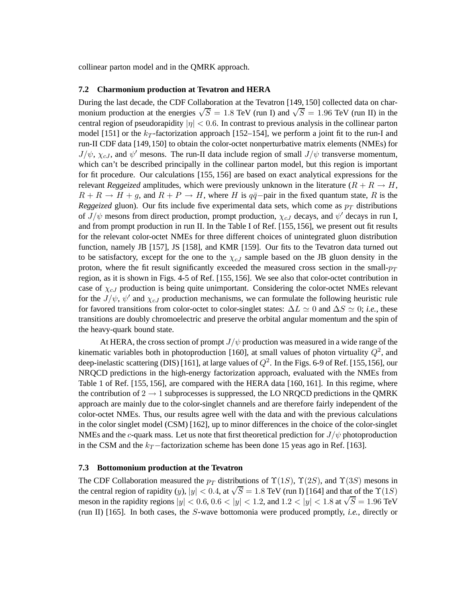collinear parton model and in the QMRK approach.

#### **7.2 Charmonium production at Tevatron and HERA**

During the last decade, the CDF Collaboration at the Tevatron [149, 150] collected data on charmonium production at the energies  $\sqrt{S} = 1.8$  TeV (run I) and  $\sqrt{S} = 1.96$  TeV (run II) in the central region of pseudorapidity  $|\eta| < 0.6$ . In contrast to previous analysis in the collinear parton model [151] or the  $k_T$ -factorization approach [152–154], we perform a joint fit to the run-I and run-II CDF data [149,150] to obtain the color-octet nonperturbative matrix elements (NMEs) for  $J/\psi$ ,  $\chi_{cJ}$ , and  $\psi'$  mesons. The run-II data include region of small  $J/\psi$  transverse momentum, which can't be described principally in the collinear parton model, but this region is important for fit procedure. Our calculations [155, 156] are based on exact analytical expressions for the relevant *Reggeized* amplitudes, which were previously unknown in the literature  $(R + R \rightarrow H,$  $R + R \rightarrow H + g$ , and  $R + P \rightarrow H$ , where H is  $q\bar{q}$ -pair in the fixed quantum state, R is the *Reggeized* gluon). Our fits include five experimental data sets, which come as  $p_T$  distributions of  $J/\psi$  mesons from direct production, prompt production,  $\chi_{cJ}$  decays, and  $\psi'$  decays in run I, and from prompt production in run II. In the Table I of Ref. [155, 156], we present out fit results for the relevant color-octet NMEs for three different choices of unintegrated gluon distribution function, namely JB [157], JS [158], and KMR [159]. Our fits to the Tevatron data turned out to be satisfactory, except for the one to the  $\chi_{cJ}$  sample based on the JB gluon density in the proton, where the fit result significantly exceeded the measured cross section in the small- $p_T$ region, as it is shown in Figs. 4-5 of Ref. [155, 156]. We see also that color-octet contribution in case of  $\chi_{cJ}$  production is being quite unimportant. Considering the color-octet NMEs relevant for the  $J/\psi$ ,  $\psi'$  and  $\chi_{cJ}$  production mechanisms, we can formulate the following heuristic rule for favored transitions from color-octet to color-singlet states:  $\Delta L \simeq 0$  and  $\Delta S \simeq 0$ ; *i.e.*, these transitions are doubly chromoelectric and preserve the orbital angular momentum and the spin of the heavy-quark bound state.

At HERA, the cross section of prompt  $J/\psi$  production was measured in a wide range of the kinematic variables both in photoproduction [160], at small values of photon virtuality  $Q^2$ , and deep-inelastic scattering (DIS) [161], at large values of  $Q^2$ . In the Figs. 6-9 of Ref. [155,156], our NRQCD predictions in the high-energy factorization approach, evaluated with the NMEs from Table 1 of Ref. [155, 156], are compared with the HERA data [160, 161]. In this regime, where the contribution of  $2 \rightarrow 1$  subprocesses is suppressed, the LO NRQCD predictions in the QMRK approach are mainly due to the color-singlet channels and are therefore fairly independent of the color-octet NMEs. Thus, our results agree well with the data and with the previous calculations in the color singlet model (CSM) [162], up to minor differences in the choice of the color-singlet NMEs and the c-quark mass. Let us note that first theoretical prediction for  $J/\psi$  photoproduction in the CSM and the  $k_T$ −factorization scheme has been done 15 yeas ago in Ref. [163].

## **7.3 Bottomonium production at the Tevatron**

The CDF Collaboration measured the  $p_T$  distributions of  $\Upsilon(1S)$ ,  $\Upsilon(2S)$ , and  $\Upsilon(3S)$  mesons in the central region of rapidity  $(y)$ ,  $|y| < 0.4$ , at  $\sqrt{S} = 1.8$  TeV (run I) [164] and that of the  $\Upsilon(1S)$ meson in the rapidity regions  $|y| < 0.6$ ,  $0.6 < |y| < 1.2$ , and  $1.2 < |y| < 1.8$  at  $\sqrt{S} = 1.96$  TeV (run II) [165]. In both cases, the S-wave bottomonia were produced promptly, *i.e.*, directly or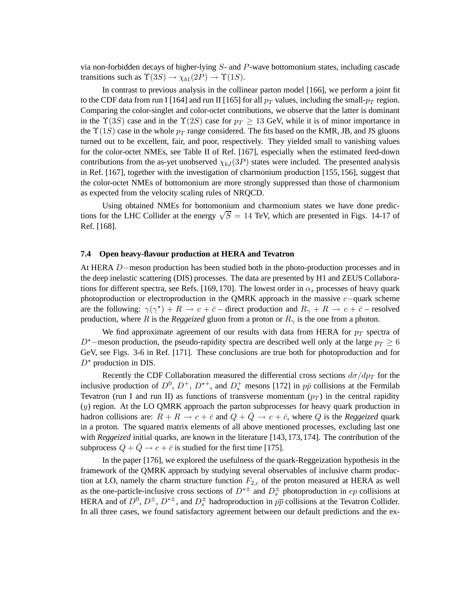via non-forbidden decays of higher-lying S- and P-wave bottomonium states, including cascade transitions such as  $\Upsilon(3S) \to \chi_{b1}(2P) \to \Upsilon(1S)$ .

In contrast to previous analysis in the collinear parton model [166], we perform a joint fit to the CDF data from run I [164] and run II [165] for all  $p_T$  values, including the small- $p_T$  region. Comparing the color-singlet and color-octet contributions, we observe that the latter is dominant in the  $\Upsilon(3S)$  case and in the  $\Upsilon(2S)$  case for  $p_T \geq 13$  GeV, while it is of minor importance in the  $\Upsilon(1S)$  case in the whole  $p_T$  range considered. The fits based on the KMR, JB, and JS gluons turned out to be excellent, fair, and poor, respectively. They yielded small to vanishing values for the color-octet NMEs, see Table II of Ref. [167], especially when the estimated feed-down contributions from the as-yet unobserved  $\chi_{bJ}(3P)$  states were included. The presented analysis in Ref. [167], together with the investigation of charmonium production [155, 156], suggest that the color-octet NMEs of bottomonium are more strongly suppressed than those of charmonium as expected from the velocity scaling rules of NRQCD.

Using obtained NMEs for bottomonium and charmonium states we have done predictions for the LHC Collider at the energy  $\sqrt{S} = 14$  TeV, which are presented in Figs. 14-17 of Ref. [168].

## **7.4 Open heavy-flavour production at HERA and Tevatron**

At HERA D−meson production has been studied both in the photo-production processes and in the deep inelastic scattering (DIS) processes. The data are presented by H1 and ZEUS Collaborations for different spectra, see Refs. [169, 170]. The lowest order in  $\alpha_s$  processes of heavy quark photoproduction or electroproduction in the QMRK approach in the massive c−quark scheme are the following:  $\gamma(\gamma^*) + R \to c + \bar{c}$  – direct production and  $R_{\gamma} + R \to c + \bar{c}$  – resolved production, where R is the *Reggeized* gluon from a proton or  $R_{\gamma}$  is the one from a photon.

We find approximate agreement of our results with data from HERA for  $p_T$  spectra of D<sup>★</sup> $-$ meson production, the pseudo-rapidity spectra are described well only at the large  $p_T \geq 6$ GeV, see Figs. 3-6 in Ref. [171]. These conclusions are true both for photoproduction and for  $D^*$  production in DIS.

Recently the CDF Collaboration measured the differential cross sections  $d\sigma/dp_T$  for the inclusive production of  $D^0$ ,  $D^+$ ,  $D^{*+}$ , and  $D_s^+$  mesons [172] in  $p\bar{p}$  collisions at the Fermilab Tevatron (run I and run II) as functions of transverse momentum  $(p_T)$  in the central rapidity  $(y)$  region. At the LO QMRK approach the parton subprocesses for heavy quark production in hadron collisions are:  $R + R \rightarrow c + \bar{c}$  and  $Q + \bar{Q} \rightarrow c + \bar{c}$ , where Q is the *Reggeized* quark in a proton. The squared matrix elements of all above mentioned processes, excluding last one with *Reggeized* initial quarks, are known in the literature [143,173,174]. The contribution of the subprocess  $Q + Q \rightarrow c + \bar{c}$  is studied for the first time [175].

In the paper [176], we explored the usefulness of the quark-Reggeization hypothesis in the framework of the QMRK approach by studying several observables of inclusive charm production at LO, namely the charm structure function  $F_{2,c}$  of the proton measured at HERA as well as the one-particle-inclusive cross sections of  $D^{*\pm}$  and  $D_s^{\pm}$  photoproduction in ep collisions at HERA and of  $D^0$ ,  $D^{\pm}$ ,  $D^{*\pm}$ , and  $D_s^{\pm}$  hadroproduction in  $p\overline{p}$  collisions at the Tevatron Collider. In all three cases, we found satisfactory agreement between our default predictions and the ex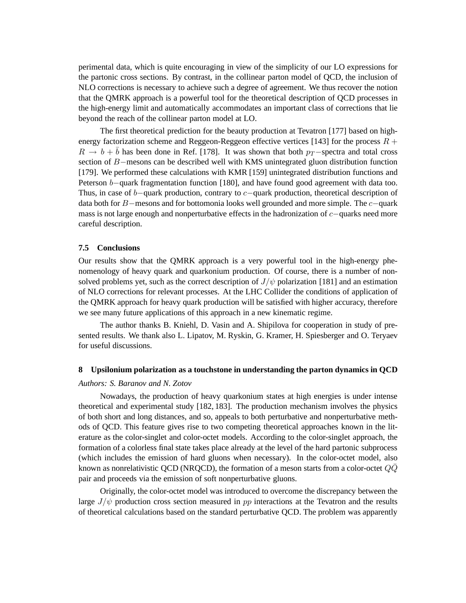perimental data, which is quite encouraging in view of the simplicity of our LO expressions for the partonic cross sections. By contrast, in the collinear parton model of QCD, the inclusion of NLO corrections is necessary to achieve such a degree of agreement. We thus recover the notion that the QMRK approach is a powerful tool for the theoretical description of QCD processes in the high-energy limit and automatically accommodates an important class of corrections that lie beyond the reach of the collinear parton model at LO.

The first theoretical prediction for the beauty production at Tevatron [177] based on highenergy factorization scheme and Reggeon-Reggeon effective vertices [143] for the process  $R +$  $R \to b + \bar{b}$  has been done in Ref. [178]. It was shown that both  $p_T$ −spectra and total cross section of B−mesons can be described well with KMS unintegrated gluon distribution function [179]. We performed these calculations with KMR [159] unintegrated distribution functions and Peterson b−quark fragmentation function [180], and have found good agreement with data too. Thus, in case of b−quark production, contrary to c−quark production, theoretical description of data both for B−mesons and for bottomonia looks well grounded and more simple. The c−quark mass is not large enough and nonperturbative effects in the hadronization of c−quarks need more careful description.

## **7.5 Conclusions**

Our results show that the QMRK approach is a very powerful tool in the high-energy phenomenology of heavy quark and quarkonium production. Of course, there is a number of nonsolved problems yet, such as the correct description of  $J/\psi$  polarization [181] and an estimation of NLO corrections for relevant processes. At the LHC Collider the conditions of application of the QMRK approach for heavy quark production will be satisfied with higher accuracy, therefore we see many future applications of this approach in a new kinematic regime.

The author thanks B. Kniehl, D. Vasin and A. Shipilova for cooperation in study of presented results. We thank also L. Lipatov, M. Ryskin, G. Kramer, H. Spiesberger and O. Teryaev for useful discussions.

#### **8 Upsilonium polarization as a touchstone in understanding the parton dynamics in QCD**

#### *Authors: S. Baranov and N. Zotov*

Nowadays, the production of heavy quarkonium states at high energies is under intense theoretical and experimental study [182, 183]. The production mechanism involves the physics of both short and long distances, and so, appeals to both perturbative and nonperturbative methods of QCD. This feature gives rise to two competing theoretical approaches known in the literature as the color-singlet and color-octet models. According to the color-singlet approach, the formation of a colorless final state takes place already at the level of the hard partonic subprocess (which includes the emission of hard gluons when necessary). In the color-octet model, also known as nonrelativistic QCD (NRQCD), the formation of a meson starts from a color-octet  $QQ$ pair and proceeds via the emission of soft nonperturbative gluons.

Originally, the color-octet model was introduced to overcome the discrepancy between the large  $J/\psi$  production cross section measured in pp interactions at the Tevatron and the results of theoretical calculations based on the standard perturbative QCD. The problem was apparently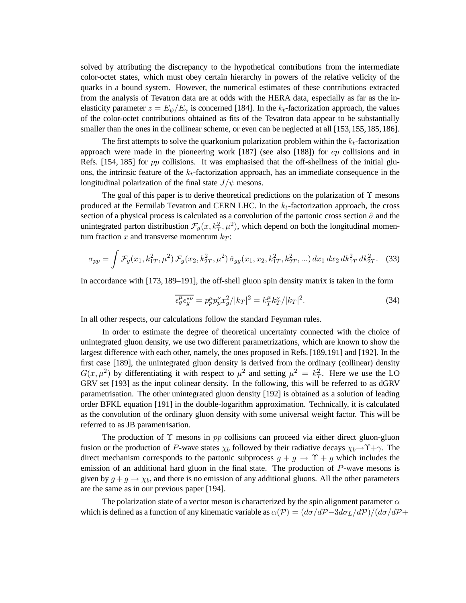solved by attributing the discrepancy to the hypothetical contributions from the intermediate color-octet states, which must obey certain hierarchy in powers of the relative velicity of the quarks in a bound system. However, the numerical estimates of these contributions extracted from the analysis of Tevatron data are at odds with the HERA data, especially as far as the inelasticity parameter  $z = E_{\psi}/E_{\gamma}$  is concerned [184]. In the  $k_t$ -factorization approach, the values of the color-octet contributions obtained as fits of the Tevatron data appear to be substantially smaller than the ones in the collinear scheme, or even can be neglected at all [153,155,185,186].

The first attempts to solve the quarkonium polarization problem within the  $k_t$ -factorization approach were made in the pioneering work  $[187]$  (see also  $[188]$ ) for  $ep$  collisions and in Refs.  $[154, 185]$  for pp collisions. It was emphasised that the off-shellness of the initial gluons, the intrinsic feature of the  $k_t$ -factorization approach, has an immediate consequence in the longitudinal polarization of the final state  $J/\psi$  mesons.

The goal of this paper is to derive theoretical predictions on the polarization of  $\Upsilon$  mesons produced at the Fermilab Tevatron and CERN LHC. In the  $k_t$ -factorization approach, the cross section of a physical process is calculated as a convolution of the partonic cross section  $\hat{\sigma}$  and the unintegrated parton distribustion  $\mathcal{F}_g(x, k_T^2, \mu^2)$ , which depend on both the longitudinal momentum fraction x and transverse momentum  $k_T$ :

$$
\sigma_{pp} = \int \mathcal{F}_g(x_1, k_{1T}^2, \mu^2) \mathcal{F}_g(x_2, k_{2T}^2, \mu^2) \hat{\sigma}_{gg}(x_1, x_2, k_{1T}^2, k_{2T}^2, \ldots) dx_1 dx_2 dk_{1T}^2 dk_{2T}^2.
$$
 (33)

In accordance with [173, 189–191], the off-shell gluon spin density matrix is taken in the form

$$
\overline{\epsilon_g^{\mu} \epsilon_g^{\nu \nu}} = p_p^{\mu} p_p^{\nu} x_g^2 / |k_T|^2 = k_T^{\mu} k_T^{\nu} / |k_T|^2. \tag{34}
$$

In all other respects, our calculations follow the standard Feynman rules.

In order to estimate the degree of theoretical uncertainty connected with the choice of unintegrated gluon density, we use two different parametrizations, which are known to show the largest difference with each other, namely, the ones proposed in Refs. [189,191] and [192]. In the first case [189], the unintegrated gluon density is derived from the ordinary (collinear) density  $G(x, \mu^2)$  by differentiating it with respect to  $\mu^2$  and setting  $\mu^2 = k_T^2$ . Here we use the LO GRV set [193] as the input colinear density. In the following, this will be referred to as dGRV parametrisation. The other unintegrated gluon density [192] is obtained as a solution of leading order BFKL equation [191] in the double-logarithm approximation. Technically, it is calculated as the convolution of the ordinary gluon density with some universal weight factor. This will be referred to as JB parametrisation.

The production of  $\Upsilon$  mesons in pp collisions can proceed via either direct gluon-gluon fusion or the production of P-wave states  $\chi_b$  followed by their radiative decays  $\chi_b \rightarrow \Upsilon + \gamma$ . The direct mechanism corresponds to the partonic subprocess  $g + g \rightarrow \Upsilon + g$  which includes the emission of an additional hard gluon in the final state. The production of  $P$ -wave mesons is given by  $g + g \rightarrow \chi_b$ , and there is no emission of any additional gluons. All the other parameters are the same as in our previous paper [194].

The polarization state of a vector meson is characterized by the spin alignment parameter  $\alpha$ which is defined as a function of any kinematic variable as  $\alpha(\mathcal{P}) = (d\sigma/d\mathcal{P}-3d\sigma_L/d\mathcal{P})/(d\sigma/d\mathcal{P}+$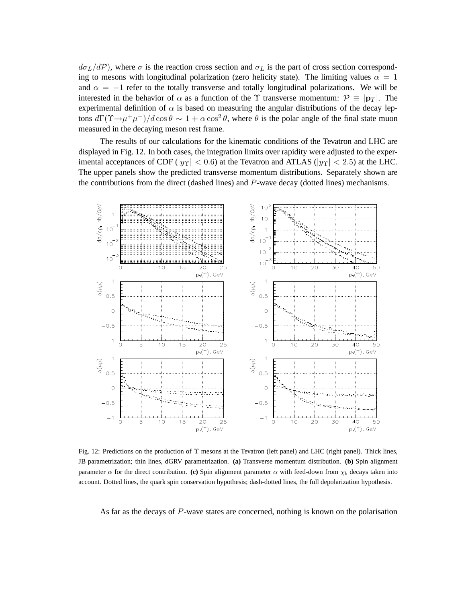$d\sigma_L/dP$ ), where  $\sigma$  is the reaction cross section and  $\sigma_L$  is the part of cross section corresponding to mesons with longitudinal polarization (zero helicity state). The limiting values  $\alpha = 1$ and  $\alpha = -1$  refer to the totally transverse and totally longitudinal polarizations. We will be interested in the behavior of  $\alpha$  as a function of the  $\Upsilon$  transverse momentum:  $\mathcal{P} \equiv |\mathbf{p}_T|$ . The experimental definition of  $\alpha$  is based on measuring the angular distributions of the decay leptons  $d\Gamma(\Upsilon \to \mu^+ \mu^-)/d\cos\theta \sim 1 + \alpha \cos^2\theta$ , where  $\theta$  is the polar angle of the final state muon measured in the decaying meson rest frame.

The results of our calculations for the kinematic conditions of the Tevatron and LHC are displayed in Fig. 12. In both cases, the integration limits over rapidity were adjusted to the experimental acceptances of CDF ( $|y_T|$  < 0.6) at the Tevatron and ATLAS ( $|y_T|$  < 2.5) at the LHC. The upper panels show the predicted transverse momentum distributions. Separately shown are the contributions from the direct (dashed lines) and P-wave decay (dotted lines) mechanisms.



Fig. 12: Predictions on the production of Υ mesons at the Tevatron (left panel) and LHC (right panel). Thick lines, JB parametrization; thin lines, dGRV parametrization. **(a)** Transverse momentum distribution. **(b)** Spin alignment parameter  $\alpha$  for the direct contribution. **(c)** Spin alignment parameter  $\alpha$  with feed-down from  $\chi_b$  decays taken into account. Dotted lines, the quark spin conservation hypothesis; dash-dotted lines, the full depolarization hypothesis.

As far as the decays of P-wave states are concerned, nothing is known on the polarisation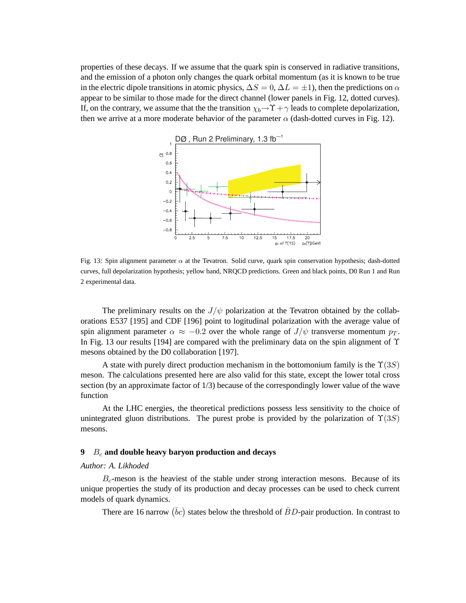properties of these decays. If we assume that the quark spin is conserved in radiative transitions, and the emission of a photon only changes the quark orbital momentum (as it is known to be true in the electric dipole transitions in atomic physics,  $\Delta S = 0$ ,  $\Delta L = \pm 1$ ), then the predictions on  $\alpha$ appear to be similar to those made for the direct channel (lower panels in Fig. 12, dotted curves). If, on the contrary, we assume that the the transition  $\chi_b \rightarrow \Upsilon + \gamma$  leads to complete depolarization, then we arrive at a more moderate behavior of the parameter  $\alpha$  (dash-dotted curves in Fig. 12).



Fig. 13: Spin alignment parameter  $\alpha$  at the Tevatron. Solid curve, quark spin conservation hypothesis; dash-dotted curves, full depolarization hypothesis; yellow band, NRQCD predictions. Green and black points, D0 Run 1 and Run 2 experimental data.

The preliminary results on the  $J/\psi$  polarization at the Tevatron obtained by the collaborations E537 [195] and CDF [196] point to logitudinal polarization with the average value of spin alignment parameter  $\alpha \approx -0.2$  over the whole range of  $J/\psi$  transverse momentum  $p_T$ . In Fig. 13 our results [194] are compared with the preliminary data on the spin alignment of  $\Upsilon$ mesons obtained by the D0 collaboration [197].

A state with purely direct production mechanism in the bottomonium family is the  $\Upsilon(3S)$ meson. The calculations presented here are also valid for this state, except the lower total cross section (by an approximate factor of 1/3) because of the correspondingly lower value of the wave function

At the LHC energies, the theoretical predictions possess less sensitivity to the choice of unintegrated gluon distributions. The purest probe is provided by the polarization of  $\Upsilon(3S)$ mesons.

# **9** B<sup>c</sup> **and double heavy baryon production and decays**

## *Author: A. Likhoded*

 $B<sub>c</sub>$ -meson is the heaviest of the stable under strong interaction mesons. Because of its unique properties the study of its production and decay processes can be used to check current models of quark dynamics.

There are 16 narrow  $(\bar{b}c)$  states below the threshold of  $\bar{B}D$ -pair production. In contrast to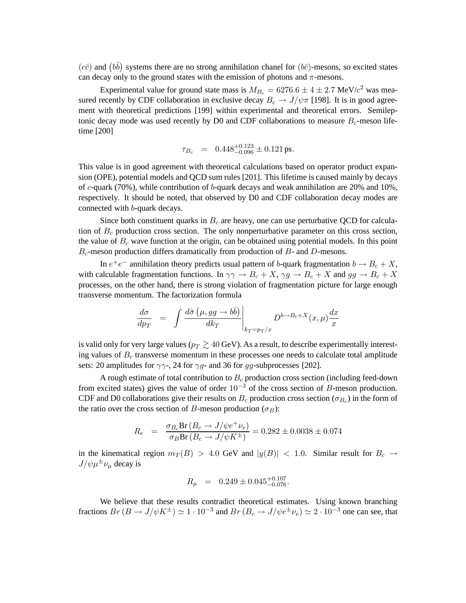$(c\bar{c})$  and  $(b\bar{b})$  systems there are no strong annihilation chanel for  $(b\bar{c})$ -mesons, so excited states can decay only to the ground states with the emission of photons and  $\pi$ -mesons.

Experimental value for ground state mass is  $M_{B_c} = 6276.6 \pm 4 \pm 2.7 \text{ MeV}/c^2$  was measured recently by CDF collaboration in exclusive decay  $B_c \to J/\psi \pi$  [198]. It is in good agreement with theoretical predictions [199] within experimental and theoretical errors. Semileptonic decay mode was used recently by D0 and CDF collaborations to measure  $B_c$ -meson lifetime [200]

$$
\tau_{B_c} = 0.448^{+0.123}_{-0.096} \pm 0.121 \,\text{ps}.
$$

This value is in good agreement with theoretical calculations based on operator product expansion (OPE), potential models and QCD sum rules [201]. This lifetime is caused mainly by decays of c-quark (70%), while contribution of b-quark decays and weak annihilation are 20% and 10%, respectively. It should be noted, that observed by D0 and CDF collaboration decay modes are connected with b-quark decays.

Since both constituent quarks in  $B_c$  are heavy, one can use perturbative QCD for calculation of  $B<sub>c</sub>$  production cross section. The only nonperturbative parameter on this cross section, the value of  $B<sub>c</sub>$  wave function at the origin, can be obtained using potential models. In this point  $B<sub>c</sub>$ -meson production differs dramatically from production of  $B$ - and  $D$ -mesons.

In  $e^+e^-$  annihilation theory predicts usual pattern of b-quark fragmentation  $b \to B_c + X$ , with calculable fragmentation functions. In  $\gamma\gamma \to B_c + X$ ,  $\gamma g \to B_c + X$  and  $gg \to B_c + X$ processes, on the other hand, there is strong violation of fragmentation picture for large enough transverse momentum. The factorization formula

$$
\frac{d\sigma}{dp_T} = \int \frac{d\hat{\sigma} \left(\mu, gg \to b\bar{b}\right)}{dk_T} \Bigg|_{k_T = p_T/x} D^{b \to B_c + X}(x, \mu) \frac{dx}{x}
$$

is valid only for very large values ( $p_T \gtrsim 40$  GeV). As a result, to describe experimentally interesting values of  $B<sub>c</sub>$  transverse momentum in these processes one needs to calculate total amplitude sets: 20 amplitudes for  $\gamma\gamma$ -, 24 for  $\gamma q$ - and 36 for  $qq$ -subprocesses [202].

A rough estimate of total contribution to  $B<sub>c</sub>$  production cross section (including feed-down from excited states) gives the value of order  $10^{-3}$  of the cross section of B-meson production. CDF and D0 collaborations give their results on  $B_c$  production cross section ( $\sigma_{B_c}$ ) in the form of the ratio over the cross section of B-meson production ( $\sigma_B$ ):

$$
R_e = \frac{\sigma_{B_c} Br(B_c \to J/\psi e^+ \nu_e)}{\sigma_B Br(B_c \to J/\psi K^{\pm})} = 0.282 \pm 0.0038 \pm 0.074
$$

in the kinematical region  $m_T(B) > 4.0$  GeV and  $|y(B)| < 1.0$ . Similar result for  $B_c \to$  $J/\psi \mu^{\pm} \nu_{\mu}$  decay is

$$
R_{\mu} = 0.249 \pm 0.045^{+0.107}_{-0.076}.
$$

We believe that these results contradict theoretical estimates. Using known branching fractions  $Br(B \to J/\psi K^{\pm}) \simeq 1 \cdot 10^{-3}$  and  $Br(B_c \to J/\psi e^{\pm} \nu_e) \simeq 2 \cdot 10^{-3}$  one can see, that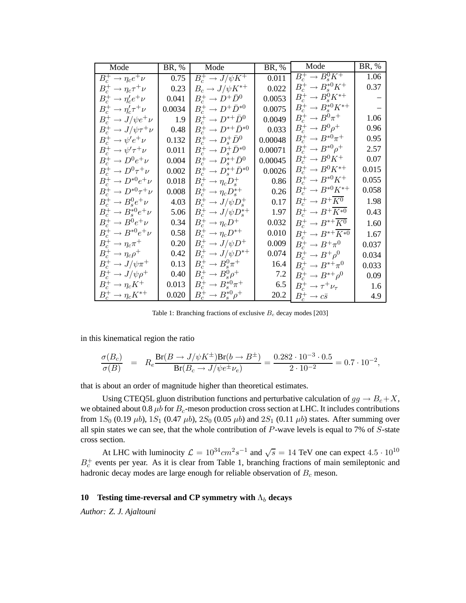| Mode                                | BR, %  | Mode                                 | BR, %   | Mode                                         | BR, % |
|-------------------------------------|--------|--------------------------------------|---------|----------------------------------------------|-------|
| $B_c^+\to \eta_ce^+\nu$             | 0.75   | $B_c^+ \to J/\psi K^+$               | 0.011   | $B_c^+ \rightarrow \overline{B_s^0 K^+}$     | 1.06  |
| $B_c^+\to\eta_c\tau^+\nu$           | 0.23   | $B_c \rightarrow J/\psi K^{*+}$      | 0.022   | $B_c^+\to B_*^{*0}K^+$                       | 0.37  |
| $B_c^+ \rightarrow \eta_c' e^+ \nu$ | 0.041  | $B_c^+ \rightarrow D^+ \bar{D}^0$    | 0.0053  | $B_c^+\to B_s^0 K^{\ast+}$                   |       |
| $B_c^+\to\eta_c^{\prime}\tau^+\nu$  | 0.0034 | $B_c^+ \rightarrow D^+ \bar{D}^{*0}$ | 0.0075  | $B_c^+\to B_s^{*0}K^{*+}$                    |       |
| $B_c^+ \rightarrow J/\psi e^+ \nu$  | 1.9    | $B_c^+ \rightarrow D^{*+} \bar{D}^0$ | 0.0049  | $B_c^+\to B^0\pi^+$                          | 1.06  |
| $B_c^+ \to J/\psi \tau^+ \nu$       | 0.48   | $B_c^+ \to D^{*+} \bar{D}^{*0}$      | 0.033   | $B_c^+\to B^0\rho^+$                         | 0.96  |
| $B_c^+ \rightarrow \psi' e^+ \nu$   | 0.132  | $B_c^+ \rightarrow D_s^+ \bar{D}^0$  | 0.00048 | $B_c^+ \to B^{*0} \pi^+$                     | 0.95  |
| $B_c^+\to\psi^{\prime}\tau^+\nu$    | 0.011  | $B_c^+ \to D_s^+ \bar{D}^{*0}$       | 0.00071 | $B_c^+\to B^{*0}\rho^+$                      | 2.57  |
| $B_c^+\to D^0 e^+\nu$               | 0.004  | $B_c^+\to D_s^{*+}\bar{D}^0$         | 0.00045 | $B_c^+\to B^0K^+$                            | 0.07  |
| $B_c^+\to D^0\tau^+\nu$             | 0.002  | $B_c^+ \to D_s^{*+} \bar{D}^{*0}$    | 0.0026  | $B_c^+\to B^0K^{\ast+}$                      | 0.015 |
| $B_c^+\to D^{*0}e^+\nu$             | 0.018  | $B_c^+ \to \eta_c D_s^+$             | 0.86    | $B_c^+\to B^{*0}K^+$                         | 0.055 |
| $B_c^+\to D^{*0}\tau^+\nu$          | 0.008  | $B_c^+ \rightarrow \eta_c D_s^{*+}$  | 0.26    | $B_c^+\to B^{*0}K^{*+}$                      | 0.058 |
| $B_c^+ \rightarrow B_s^0 e^+ \nu$   | 4.03   | $B_c^+ \to J/\psi D_s^+$             | 0.17    | $B_c^+ \rightarrow B^+ \overline{K^0}$       | 1.98  |
| $B_c^+\to B_s^{*0}e^+\nu$           | 5.06   | $B_c^+ \to J/\psi D_s^{*+}$          | 1.97    | $B_c^+\to B^+\overline{K^{*0}}$              | 0.43  |
| $B_c^+ \rightarrow B^0 e^+ \nu$     | 0.34   | $B_c^+ \to \eta_c D^+$               | 0.032   | $B_c^+ \rightarrow B^{*+} \overline{K^0}$    | 1.60  |
| $B_c^+\to B^{*0}e^+\nu$             | 0.58   | $B_c^+ \rightarrow \eta_c D^{*+}$    | 0.010   | $B_c^+ \rightarrow B^{*+} \overline{K^{*0}}$ | 1.67  |
| $B_c^+\to\eta_c\pi^+$               | 0.20   | $B_c^+ \to J/\psi D^+$               | 0.009   | $B_c^+\to B^+\pi^0$                          | 0.037 |
| $B_c^+\to\eta_c\rho^+$              | 0.42   | $B_c^+ \to J/\psi D^{*+}$            | 0.074   | $B_c^+ \rightarrow B^+ \rho^0$               | 0.034 |
| $B_c^+ \to J/\psi \pi^+$            | 0.13   | $B_c^+ \rightarrow B_s^0 \pi^+$      | 16.4    | $B_c^+\to B^{*+}\pi^0$                       | 0.033 |
| $B_c^+ \to J/\psi \rho^+$           | 0.40   | $B_c^+ \rightarrow B_s^0 \rho^+$     | 7.2     | $B_c^+\to B^{*+}\rho^0$                      | 0.09  |
| $B_c^+ \to \eta_c K^+$              | 0.013  | $B_c^+ \to B_s^{*0} \pi^+$           | 6.5     | $B_c^+\to\tau^+\nu_\tau$                     | 1.6   |
| $B_c^+ \to \eta_c K^{*+}$           | 0.020  | $B_c^+\to B_s^{*0}\rho^+$            | 20.2    | $B_c^+ \rightarrow c\bar{s}$                 | 4.9   |

Table 1: Branching fractions of exclusive  $B_c$  decay modes [203]

in this kinematical region the ratio

$$
\frac{\sigma(B_c)}{\sigma(B)} = R_e \frac{\text{Br}(B \to J/\psi K^{\pm}) \text{Br}(b \to B^{\pm})}{\text{Br}(B_c \to J/\psi e^{\pm} \nu_e)} = \frac{0.282 \cdot 10^{-3} \cdot 0.5}{2 \cdot 10^{-2}} = 0.7 \cdot 10^{-2},
$$

that is about an order of magnitude higher than theoretical estimates.

Using CTEQ5L gluon distribution functions and perturbative calculation of  $gg \to B_c + X$ , we obtained about 0.8  $\mu$ b for  $B_c$ -meson production cross section at LHC. It includes contributions from  $1S_0$  (0.19  $\mu$ b),  $1S_1$  (0.47  $\mu$ b),  $2S_0$  (0.05  $\mu$ b) and  $2S_1$  (0.11  $\mu$ b) states. After summing over all spin states we can see, that the whole contribution of  $P$ -wave levels is equal to 7% of  $S$ -state cross section.

At LHC with luminocity  $\mathcal{L} = 10^{34} cm^2 s^{-1}$  and  $\sqrt{s} = 14$  TeV one can expect  $4.5 \cdot 10^{10}$  $B_c^+$  events per year. As it is clear from Table 1, branching fractions of main semileptonic and hadronic decay modes are large enough for reliable observation of  $B<sub>c</sub>$  meson.

# **10** Testing time-reversal and CP symmetry with  $Λ_b$  decays

*Author: Z. J. Ajaltouni*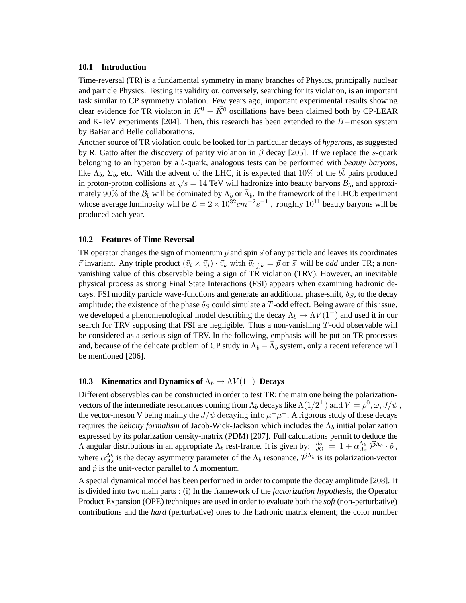## **10.1 Introduction**

Time-reversal (TR) is a fundamental symmetry in many branches of Physics, principally nuclear and particle Physics. Testing its validity or, conversely, searching for its violation, is an important task similar to CP symmetry violation. Few years ago, important experimental results showing clear evidence for TR violaton in  $K^0 - \overline{K^0}$  oscillations have been claimed both by CP-LEAR and K-TeV experiments [204]. Then, this research has been extended to the B−meson system by BaBar and Belle collaborations.

Another source of TR violation could be looked for in particular decays of *hyperons*, as suggested by R. Gatto after the discovery of parity violation in  $\beta$  decay [205]. If we replace the s-quark belonging to an hyperon by a b-quark, analogous tests can be performed with *beauty baryons*, like  $\Lambda_b$ ,  $\Sigma_b$ , etc. With the advent of the LHC, it is expected that 10% of the  $b\bar{b}$  pairs produced in proton-proton collisions at  $\sqrt{s} = 14$  TeV will hadronize into beauty baryons  $\mathcal{B}_b$ , and approximately 90% of the  $\mathcal{B}_b$  will be dominated by  $\Lambda_b$  or  $\bar{\Lambda}_b$ . In the framework of the LHCb experiment whose average luminosity will be  $\mathcal{L} = 2 \times 10^{32} cm^{-2} s^{-1}$ , roughly  $10^{11}$  beauty baryons will be produced each year.

### **10.2 Features of Time-Reversal**

TR operator changes the sign of momentum  $\vec{p}$  and spin  $\vec{s}$  of any particle and leaves its coordinates  $\vec{r}$  invariant. Any triple product  $(\vec{v}_i \times \vec{v}_j) \cdot \vec{v}_k$  with  $\vec{v}_{i,j,k} = \vec{p}$  or  $\vec{s}$  will be *odd* under TR; a nonvanishing value of this observable being a sign of TR violation (TRV). However, an inevitable physical process as strong Final State Interactions (FSI) appears when examining hadronic decays. FSI modify particle wave-functions and generate an additional phase-shift,  $\delta_S$ , to the decay amplitude; the existence of the phase  $\delta_S$  could simulate a T-odd effect. Being aware of this issue, we developed a phenomenological model describing the decay  $\Lambda_b \to \Lambda V (1^-)$  and used it in our search for TRV supposing that FSI are negligible. Thus a non-vanishing T-odd observable will be considered as a serious sign of TRV. In the following, emphasis will be put on TR processes and, because of the delicate problem of CP study in  $\Lambda_b - \bar{\Lambda}_b$  system, only a recent reference will be mentioned [206].

## **10.3 Kinematics and Dynamics of**  $\Lambda_b \to \Lambda V (1^-)$  **Decays**

Different observables can be constructed in order to test TR; the main one being the polarizationvectors of the intermediate resonances coming from  $\Lambda_b$  decays like  $\Lambda(1/2^+)$  and  $V=\rho^0, \omega, J/\psi$  , the vector-meson V being mainly the  $J/\psi$  decaying into  $\mu^-\mu^+$ . A rigorous study of these decays requires the *helicity formalism* of Jacob-Wick-Jackson which includes the Λ<sub>b</sub> initial polarization expressed by its polarization density-matrix (PDM) [207]. Full calculations permit to deduce the A angular distributions in an appropriate  $\Lambda_b$  rest-frame. It is given by:  $\frac{d\sigma}{d\Omega} = 1 + \alpha_{As}^{\Lambda_b} \vec{\mathcal{P}}^{\Lambda_b} \cdot \hat{p}$ , where  $\alpha_{As}^{\Lambda_b}$  is the decay asymmetry parameter of the  $\Lambda_b$  resonance,  $\vec{\mathcal{P}}^{\Lambda_b}$  is its polarization-vector and  $\hat{p}$  is the unit-vector parallel to  $\Lambda$  momentum.

A special dynamical model has been performed in order to compute the decay amplitude [208]. It is divided into two main parts : (i) In the framework of the *factorization hypothesis*, the Operator Product Expansion (OPE) techniques are used in order to evaluate both the *soft* (non-perturbative) contributions and the *hard* (perturbative) ones to the hadronic matrix element; the color number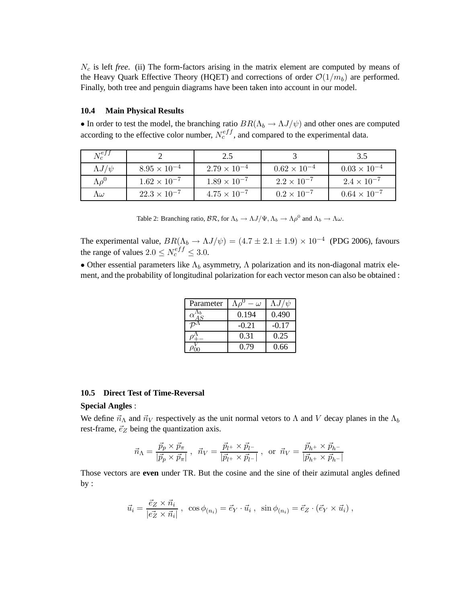$N_c$  is left *free*. (ii) The form-factors arising in the matrix element are computed by means of the Heavy Quark Effective Theory (HQET) and corrections of order  $\mathcal{O}(1/m_b)$  are performed. Finally, both tree and penguin diagrams have been taken into account in our model.

# **10.4 Main Physical Results**

• In order to test the model, the branching ratio  $BR(\Lambda_b \to \Lambda J/\psi)$  and other ones are computed according to the effective color number,  $N_c^{eff}$ , and compared to the experimental data.

| $N_c^{e f f}$    |                       | 2.5                   |                       | 3.5                   |
|------------------|-----------------------|-----------------------|-----------------------|-----------------------|
| $\Lambda J/\psi$ | $8.95\times10^{-4}$   | $2.79 \times 10^{-4}$ | $0.62 \times 10^{-4}$ | $0.03 \times 10^{-4}$ |
| $\Lambda \rho^0$ | $1.62 \times 10^{-7}$ | $1.89 \times 10^{-7}$ | $2.2 \times 10^{-7}$  | $2.4 \times 10^{-7}$  |
| $\Lambda \omega$ | $22.3 \times 10^{-7}$ | $4.75 \times 10^{-7}$ | $0.2 \times 10^{-7}$  | $0.64 \times 10^{-7}$ |

Table 2: Branching ratio,  $\mathcal{BR}$ , for  $\Lambda_b \to \Lambda J/\Psi, \Lambda_b \to \Lambda \rho^0$  and  $\Lambda_b \to \Lambda \omega$ .

The experimental value,  $BR(\Lambda_b \to \Lambda J/\psi) = (4.7 \pm 2.1 \pm 1.9) \times 10^{-4}$  (PDG 2006), favours the range of values  $2.0 \leq N_c^{eff} \leq 3.0$ .

• Other essential parameters like  $\Lambda_b$  asymmetry,  $\Lambda$  polarization and its non-diagonal matrix element, and the probability of longitudinal polarization for each vector meson can also be obtained :

| Parameter | $\omega$ | $\Lambda J/\psi$ |
|-----------|----------|------------------|
|           | 0.194    | 0.490            |
|           | $-0.21$  | $-0.17$          |
|           | 0.31     | 0.25             |
|           | 0.79     | 0.66             |

#### **10.5 Direct Test of Time-Reversal**

## **Special Angles** :

We define  $\vec{n}_{\Lambda}$  and  $\vec{n}_V$  respectively as the unit normal vetors to  $\Lambda$  and V decay planes in the  $\Lambda_b$ rest-frame,  $\vec{e}_Z$  being the quantization axis.

$$
\vec{n}_{\Lambda} = \frac{\vec{p}_p \times \vec{p}_{\pi}}{|\vec{p}_p \times \vec{p}_{\pi}|} , \ \ \vec{n}_V = \frac{\vec{p}_{l^+} \times \vec{p}_{l^-}}{|\vec{p}_{l^+} \times \vec{p}_{l^-}|} , \ \ \text{or} \ \ \vec{n}_V = \frac{\vec{p}_{h^+} \times \vec{p}_{h^-}}{|\vec{p}_{h^+} \times \vec{p}_{h^-}|}
$$

Those vectors are **even** under TR. But the cosine and the sine of their azimutal angles defined  $by:$ 

$$
\vec{u}_i = \frac{\vec{e}_Z \times \vec{n}_i}{|e\vec{z} \times \vec{n}_i|}, \ \ \cos\phi_{(n_i)} = \vec{e}_Y \cdot \vec{u}_i, \ \ \sin\phi_{(n_i)} = \vec{e}_Z \cdot (\vec{e}_Y \times \vec{u}_i),
$$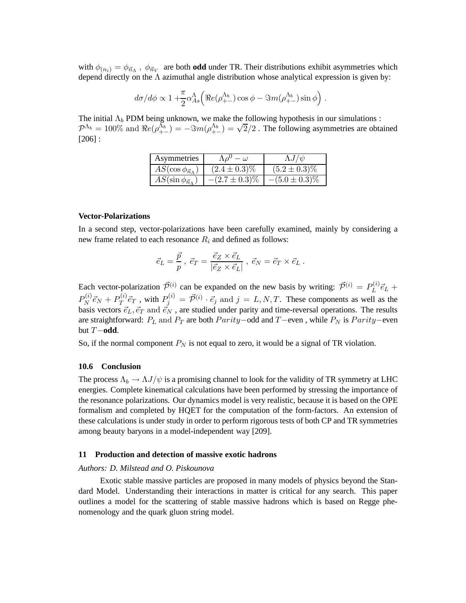with  $\phi_{(n_i)} = \phi_{\vec{n}_\Lambda}$ ,  $\phi_{\vec{n}_V}$  are both **odd** under TR. Their distributions exhibit asymmetries which depend directly on the Λ azimuthal angle distribution whose analytical expression is given by:

$$
d\sigma/d\phi \propto 1 + \frac{\pi}{2} \alpha_{As}^{\Lambda} \Big( \Re e(\rho_{+-}^{\Lambda_b}) \cos \phi - \Im m(\rho_{+-}^{\Lambda_b}) \sin \phi \Big) .
$$

The initial  $\Lambda_b$  PDM being unknown, we make the following hypothesis in our simulations :  $\mathcal{P}^{\Lambda_b} = 100\%$  and  $\Re e(\rho_{+-}^{\Lambda_b}) = -\Im m(\rho_{+-}^{\Lambda_b}) = \sqrt{2}/2$ . The following asymmetries are obtained [206] :

| Asymmetries                      |                    | $\Lambda J/\psi$   |
|----------------------------------|--------------------|--------------------|
| $AS(\cos\phi_{\vec{n}_\Lambda})$ | $(2.4 \pm 0.3)\%$  | $(5.2 \pm 0.3)\%$  |
| $AS(\sin\phi_{\vec{n}_A})$       | $-(2.7 \pm 0.3)\%$ | $-(5.0 \pm 0.3)\%$ |

#### **Vector-Polarizations**

In a second step, vector-polarizations have been carefully examined, mainly by considering a new frame related to each resonance  $R_i$  and defined as follows:

$$
\vec{e}_L = \frac{\vec{p}}{p}, \ \vec{e}_T = \frac{\vec{e}_Z \times \vec{e}_L}{|\vec{e}_Z \times \vec{e}_L|}, \ \vec{e}_N = \vec{e}_T \times \vec{e}_L \ .
$$

Each vector-polarization  $\vec{\mathcal{P}}^{(i)}$  can be expanded on the new basis by writing:  $\vec{\mathcal{P}}^{(i)} = P_L^{(i)}$  $\vec{e}_L^{(i)} \vec{e}_L +$  $P_N^{(i)}$  $P_N^{(i)} \vec{e}_N + P_T^{(i)}$  $T^{(i)}_T \vec{e}_T$  , with  $P_j^{(i)} = \vec{\mathcal{P}}^{(i)} \cdot \vec{e}_j$  and  $j = L, N, T$ . These components as well as the basis vectors  $\vec{e}_L, \vec{e}_T$  and  $\vec{e}_N$ , are studied under parity and time-reversal operations. The results are straightforward:  $P_L$  and  $P_T$  are both  $Parity$ −odd and  $T$ −even, while  $P_N$  is  $Parity$ −even but T−**odd**.

So, if the normal component  $P_N$  is not equal to zero, it would be a signal of TR violation.

#### **10.6 Conclusion**

The process  $\Lambda_b \to \Lambda J/\psi$  is a promising channel to look for the validity of TR symmetry at LHC energies. Complete kinematical calculations have been performed by stressing the importance of the resonance polarizations. Our dynamics model is very realistic, because it is based on the OPE formalism and completed by HQET for the computation of the form-factors. An extension of these calculations is under study in order to perform rigorous tests of both CP and TR symmetries among beauty baryons in a model-independent way [209].

#### **11 Production and detection of massive exotic hadrons**

## *Authors: D. Milstead and O. Piskounova*

Exotic stable massive particles are proposed in many models of physics beyond the Standard Model. Understanding their interactions in matter is critical for any search. This paper outlines a model for the scattering of stable massive hadrons which is based on Regge phenomenology and the quark gluon string model.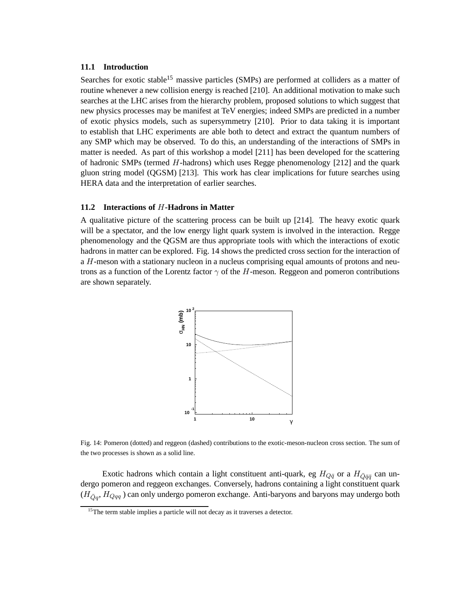## **11.1 Introduction**

Searches for exotic stable<sup>15</sup> massive particles (SMPs) are performed at colliders as a matter of routine whenever a new collision energy is reached [210]. An additional motivation to make such searches at the LHC arises from the hierarchy problem, proposed solutions to which suggest that new physics processes may be manifest at TeV energies; indeed SMPs are predicted in a number of exotic physics models, such as supersymmetry [210]. Prior to data taking it is important to establish that LHC experiments are able both to detect and extract the quantum numbers of any SMP which may be observed. To do this, an understanding of the interactions of SMPs in matter is needed. As part of this workshop a model [211] has been developed for the scattering of hadronic SMPs (termed  $H$ -hadrons) which uses Regge phenomenology [212] and the quark gluon string model (QGSM) [213]. This work has clear implications for future searches using HERA data and the interpretation of earlier searches.

## **11.2 Interactions of** H**-Hadrons in Matter**

A qualitative picture of the scattering process can be built up [214]. The heavy exotic quark will be a spectator, and the low energy light quark system is involved in the interaction. Regge phenomenology and the QGSM are thus appropriate tools with which the interactions of exotic hadrons in matter can be explored. Fig. 14 shows the predicted cross section for the interaction of a H-meson with a stationary nucleon in a nucleus comprising equal amounts of protons and neutrons as a function of the Lorentz factor  $\gamma$  of the H-meson. Reggeon and pomeron contributions are shown separately.



Fig. 14: Pomeron (dotted) and reggeon (dashed) contributions to the exotic-meson-nucleon cross section. The sum of the two processes is shown as a solid line.

Exotic hadrons which contain a light constituent anti-quark, eg  $H_{Q\bar{q}}$  or a  $H_{\bar{Q}\bar{q}\bar{q}}$  can undergo pomeron and reggeon exchanges. Conversely, hadrons containing a light constituent quark  $(H_{\bar{Q}q}, H_{Qqq})$  can only undergo pomeron exchange. Anti-baryons and baryons may undergo both

<sup>&</sup>lt;sup>15</sup>The term stable implies a particle will not decay as it traverses a detector.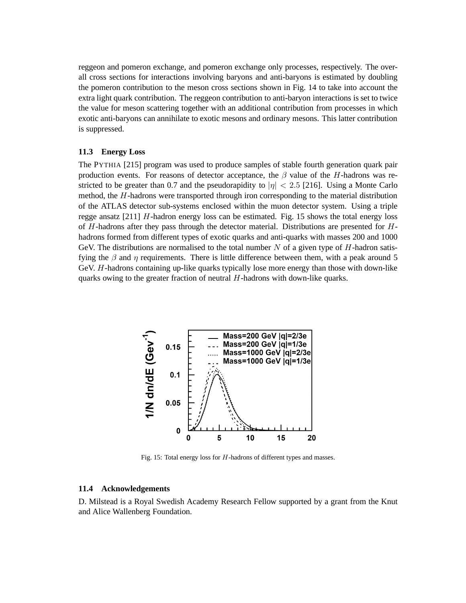reggeon and pomeron exchange, and pomeron exchange only processes, respectively. The overall cross sections for interactions involving baryons and anti-baryons is estimated by doubling the pomeron contribution to the meson cross sections shown in Fig. 14 to take into account the extra light quark contribution. The reggeon contribution to anti-baryon interactions is set to twice the value for meson scattering together with an additional contribution from processes in which exotic anti-baryons can annihilate to exotic mesons and ordinary mesons. This latter contribution is suppressed.

## **11.3 Energy Loss**

The PYTHIA [215] program was used to produce samples of stable fourth generation quark pair production events. For reasons of detector acceptance, the  $\beta$  value of the H-hadrons was restricted to be greater than 0.7 and the pseudorapidity to  $|\eta| < 2.5$  [216]. Using a Monte Carlo method, the H-hadrons were transported through iron corresponding to the material distribution of the ATLAS detector sub-systems enclosed within the muon detector system. Using a triple regge ansatz  $[211]$  H-hadron energy loss can be estimated. Fig. 15 shows the total energy loss of  $H$ -hadrons after they pass through the detector material. Distributions are presented for  $H$ hadrons formed from different types of exotic quarks and anti-quarks with masses 200 and 1000 GeV. The distributions are normalised to the total number  $N$  of a given type of  $H$ -hadron satisfying the  $\beta$  and  $\eta$  requirements. There is little difference between them, with a peak around 5 GeV. H-hadrons containing up-like quarks typically lose more energy than those with down-like quarks owing to the greater fraction of neutral  $H$ -hadrons with down-like quarks.



Fig. 15: Total energy loss for H-hadrons of different types and masses.

#### **11.4 Acknowledgements**

D. Milstead is a Royal Swedish Academy Research Fellow supported by a grant from the Knut and Alice Wallenberg Foundation.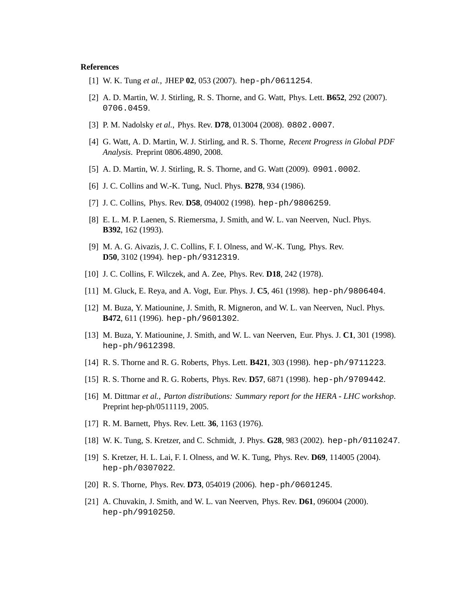### **References**

- [1] W. K. Tung *et al.*, JHEP **02**, 053 (2007). hep-ph/0611254.
- [2] A. D. Martin, W. J. Stirling, R. S. Thorne, and G. Watt, Phys. Lett. **B652**, 292 (2007). 0706.0459.
- [3] P. M. Nadolsky *et al.*, Phys. Rev. **D78**, 013004 (2008). 0802.0007.
- [4] G. Watt, A. D. Martin, W. J. Stirling, and R. S. Thorne, *Recent Progress in Global PDF Analysis*. Preprint 0806.4890, 2008.
- [5] A. D. Martin, W. J. Stirling, R. S. Thorne, and G. Watt (2009). 0901.0002.
- [6] J. C. Collins and W.-K. Tung, Nucl. Phys. **B278**, 934 (1986).
- [7] J. C. Collins, Phys. Rev. **D58**, 094002 (1998). hep-ph/9806259.
- [8] E. L. M. P. Laenen, S. Riemersma, J. Smith, and W. L. van Neerven, Nucl. Phys. **B392**, 162 (1993).
- [9] M. A. G. Aivazis, J. C. Collins, F. I. Olness, and W.-K. Tung, Phys. Rev. **D50**, 3102 (1994). hep-ph/9312319.
- [10] J. C. Collins, F. Wilczek, and A. Zee, Phys. Rev. **D18**, 242 (1978).
- [11] M. Gluck, E. Reya, and A. Vogt, Eur. Phys. J. **C5**, 461 (1998). hep-ph/9806404.
- [12] M. Buza, Y. Matiounine, J. Smith, R. Migneron, and W. L. van Neerven, Nucl. Phys. **B472**, 611 (1996). hep-ph/9601302.
- [13] M. Buza, Y. Matiounine, J. Smith, and W. L. van Neerven, Eur. Phys. J. **C1**, 301 (1998). hep-ph/9612398.
- [14] R. S. Thorne and R. G. Roberts, Phys. Lett. **B421**, 303 (1998). hep-ph/9711223.
- [15] R. S. Thorne and R. G. Roberts, Phys. Rev. **D57**, 6871 (1998). hep-ph/9709442.
- [16] M. Dittmar *et al.*, *Parton distributions: Summary report for the HERA LHC workshop*. Preprint hep-ph/0511119, 2005.
- [17] R. M. Barnett, Phys. Rev. Lett. **36**, 1163 (1976).
- [18] W. K. Tung, S. Kretzer, and C. Schmidt, J. Phys. **G28**, 983 (2002). hep-ph/0110247.
- [19] S. Kretzer, H. L. Lai, F. I. Olness, and W. K. Tung, Phys. Rev. **D69**, 114005 (2004). hep-ph/0307022.
- [20] R. S. Thorne, Phys. Rev. **D73**, 054019 (2006). hep-ph/0601245.
- [21] A. Chuvakin, J. Smith, and W. L. van Neerven, Phys. Rev. **D61**, 096004 (2000). hep-ph/9910250.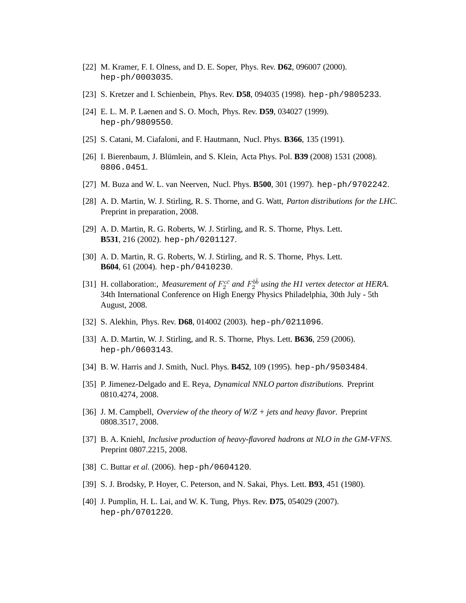- [22] M. Kramer, F. I. Olness, and D. E. Soper, Phys. Rev. **D62**, 096007 (2000). hep-ph/0003035.
- [23] S. Kretzer and I. Schienbein, Phys. Rev. **D58**, 094035 (1998). hep-ph/9805233.
- [24] E. L. M. P. Laenen and S. O. Moch, Phys. Rev. **D59**, 034027 (1999). hep-ph/9809550.
- [25] S. Catani, M. Ciafaloni, and F. Hautmann, Nucl. Phys. **B366**, 135 (1991).
- [26] I. Bierenbaum, J. Blümlein, and S. Klein, Acta Phys. Pol. **B39** (2008) 1531 (2008). 0806.0451.
- [27] M. Buza and W. L. van Neerven, Nucl. Phys. **B500**, 301 (1997). hep-ph/9702242.
- [28] A. D. Martin, W. J. Stirling, R. S. Thorne, and G. Watt, *Parton distributions for the LHC*. Preprint in preparation, 2008.
- [29] A. D. Martin, R. G. Roberts, W. J. Stirling, and R. S. Thorne, Phys. Lett. **B531**, 216 (2002). hep-ph/0201127.
- [30] A. D. Martin, R. G. Roberts, W. J. Stirling, and R. S. Thorne, Phys. Lett. **B604**, 61 (2004). hep-ph/0410230.
- [31] H. collaboration:, *Measurement of*  $F_2^{c\bar{c}}$  and  $F_2^{b\bar{b}}$  using the H1 vertex detector at HERA. 34th International Conference on High Energy Physics Philadelphia, 30th July - 5th August, 2008.
- [32] S. Alekhin, Phys. Rev. **D68**, 014002 (2003). hep-ph/0211096.
- [33] A. D. Martin, W. J. Stirling, and R. S. Thorne, Phys. Lett. **B636**, 259 (2006). hep-ph/0603143.
- [34] B. W. Harris and J. Smith, Nucl. Phys. **B452**, 109 (1995). hep-ph/9503484.
- [35] P. Jimenez-Delgado and E. Reya, *Dynamical NNLO parton distributions*. Preprint 0810.4274, 2008.
- [36] J. M. Campbell, *Overview of the theory of W/Z + jets and heavy flavor*. Preprint 0808.3517, 2008.
- [37] B. A. Kniehl, *Inclusive production of heavy-flavored hadrons at NLO in the GM-VFNS*. Preprint 0807.2215, 2008.
- [38] C. Buttar *et al.* (2006). hep-ph/0604120.
- [39] S. J. Brodsky, P. Hoyer, C. Peterson, and N. Sakai, Phys. Lett. **B93**, 451 (1980).
- [40] J. Pumplin, H. L. Lai, and W. K. Tung, Phys. Rev. **D75**, 054029 (2007). hep-ph/0701220.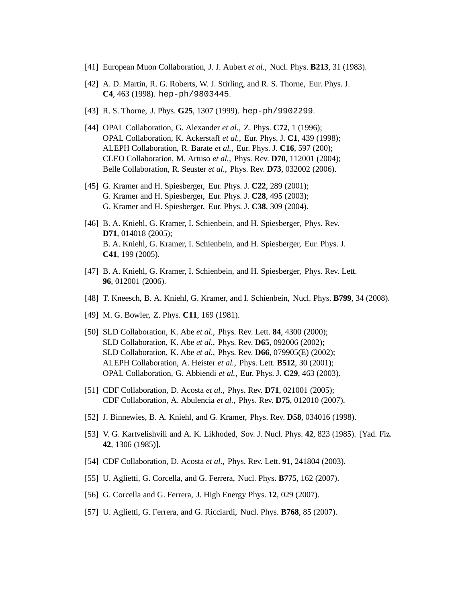- [41] European Muon Collaboration, J. J. Aubert *et al.*, Nucl. Phys. **B213**, 31 (1983).
- [42] A. D. Martin, R. G. Roberts, W. J. Stirling, and R. S. Thorne, Eur. Phys. J. **C4**, 463 (1998). hep-ph/9803445.
- [43] R. S. Thorne, J. Phys. **G25**, 1307 (1999). hep-ph/9902299.
- [44] OPAL Collaboration, G. Alexander *et al.*, Z. Phys. **C72**, 1 (1996); OPAL Collaboration, K. Ackerstaff *et al.*, Eur. Phys. J. **C1**, 439 (1998); ALEPH Collaboration, R. Barate *et al.*, Eur. Phys. J. **C16**, 597 (200); CLEO Collaboration, M. Artuso *et al.*, Phys. Rev. **D70**, 112001 (2004); Belle Collaboration, R. Seuster *et al.*, Phys. Rev. **D73**, 032002 (2006).
- [45] G. Kramer and H. Spiesberger, Eur. Phys. J. **C22**, 289 (2001); G. Kramer and H. Spiesberger, Eur. Phys. J. **C28**, 495 (2003); G. Kramer and H. Spiesberger, Eur. Phys. J. **C38**, 309 (2004).
- [46] B. A. Kniehl, G. Kramer, I. Schienbein, and H. Spiesberger, Phys. Rev. **D71**, 014018 (2005); B. A. Kniehl, G. Kramer, I. Schienbein, and H. Spiesberger, Eur. Phys. J. **C41**, 199 (2005).
- [47] B. A. Kniehl, G. Kramer, I. Schienbein, and H. Spiesberger, Phys. Rev. Lett. **96**, 012001 (2006).
- [48] T. Kneesch, B. A. Kniehl, G. Kramer, and I. Schienbein, Nucl. Phys. **B799**, 34 (2008).
- [49] M. G. Bowler, Z. Phys. **C11**, 169 (1981).
- [50] SLD Collaboration, K. Abe *et al.*, Phys. Rev. Lett. **84**, 4300 (2000); SLD Collaboration, K. Abe *et al.*, Phys. Rev. **D65**, 092006 (2002); SLD Collaboration, K. Abe *et al.*, Phys. Rev. **D66**, 079905(E) (2002); ALEPH Collaboration, A. Heister *et al.*, Phys. Lett. **B512**, 30 (2001); OPAL Collaboration, G. Abbiendi *et al.*, Eur. Phys. J. **C29**, 463 (2003).
- [51] CDF Collaboration, D. Acosta *et al.*, Phys. Rev. **D71**, 021001 (2005); CDF Collaboration, A. Abulencia *et al.*, Phys. Rev. **D75**, 012010 (2007).
- [52] J. Binnewies, B. A. Kniehl, and G. Kramer, Phys. Rev. **D58**, 034016 (1998).
- [53] V. G. Kartvelishvili and A. K. Likhoded, Sov. J. Nucl. Phys. **42**, 823 (1985). [Yad. Fiz. **42**, 1306 (1985)].
- [54] CDF Collaboration, D. Acosta *et al.*, Phys. Rev. Lett. **91**, 241804 (2003).
- [55] U. Aglietti, G. Corcella, and G. Ferrera, Nucl. Phys. **B775**, 162 (2007).
- [56] G. Corcella and G. Ferrera, J. High Energy Phys. **12**, 029 (2007).
- [57] U. Aglietti, G. Ferrera, and G. Ricciardi, Nucl. Phys. **B768**, 85 (2007).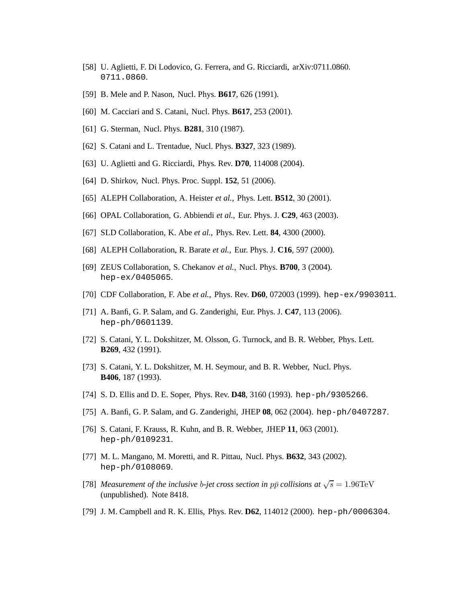- [58] U. Aglietti, F. Di Lodovico, G. Ferrera, and G. Ricciardi, arXiv:0711.0860. 0711.0860.
- [59] B. Mele and P. Nason, Nucl. Phys. **B617**, 626 (1991).
- [60] M. Cacciari and S. Catani, Nucl. Phys. **B617**, 253 (2001).
- [61] G. Sterman, Nucl. Phys. **B281**, 310 (1987).
- [62] S. Catani and L. Trentadue, Nucl. Phys. **B327**, 323 (1989).
- [63] U. Aglietti and G. Ricciardi, Phys. Rev. **D70**, 114008 (2004).
- [64] D. Shirkov, Nucl. Phys. Proc. Suppl. **152**, 51 (2006).
- [65] ALEPH Collaboration, A. Heister *et al.*, Phys. Lett. **B512**, 30 (2001).
- [66] OPAL Collaboration, G. Abbiendi *et al.*, Eur. Phys. J. **C29**, 463 (2003).
- [67] SLD Collaboration, K. Abe *et al.*, Phys. Rev. Lett. **84**, 4300 (2000).
- [68] ALEPH Collaboration, R. Barate *et al.*, Eur. Phys. J. **C16**, 597 (2000).
- [69] ZEUS Collaboration, S. Chekanov *et al.*, Nucl. Phys. **B700**, 3 (2004). hep-ex/0405065.
- [70] CDF Collaboration, F. Abe *et al.*, Phys. Rev. **D60**, 072003 (1999). hep-ex/9903011.
- [71] A. Banfi, G. P. Salam, and G. Zanderighi, Eur. Phys. J. **C47**, 113 (2006). hep-ph/0601139.
- [72] S. Catani, Y. L. Dokshitzer, M. Olsson, G. Turnock, and B. R. Webber, Phys. Lett. **B269**, 432 (1991).
- [73] S. Catani, Y. L. Dokshitzer, M. H. Seymour, and B. R. Webber, Nucl. Phys. **B406**, 187 (1993).
- [74] S. D. Ellis and D. E. Soper, Phys. Rev. **D48**, 3160 (1993). hep-ph/9305266.
- [75] A. Banfi, G. P. Salam, and G. Zanderighi, JHEP **08**, 062 (2004). hep-ph/0407287.
- [76] S. Catani, F. Krauss, R. Kuhn, and B. R. Webber, JHEP **11**, 063 (2001). hep-ph/0109231.
- [77] M. L. Mangano, M. Moretti, and R. Pittau, Nucl. Phys. **B632**, 343 (2002). hep-ph/0108069.
- [78] *Measurement of the inclusive b-jet cross section in*  $p\bar{p}$  *collisions at*  $\sqrt{s} = 1.96$ TeV (unpublished). Note 8418.
- [79] J. M. Campbell and R. K. Ellis, Phys. Rev. **D62**, 114012 (2000). hep-ph/0006304.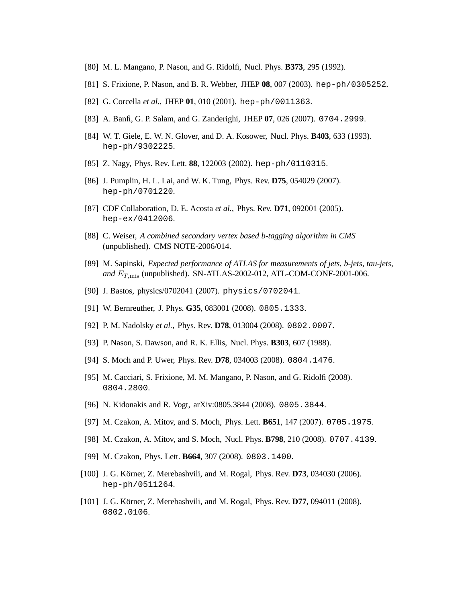- [80] M. L. Mangano, P. Nason, and G. Ridolfi, Nucl. Phys. **B373**, 295 (1992).
- [81] S. Frixione, P. Nason, and B. R. Webber, JHEP **08**, 007 (2003). hep-ph/0305252.
- [82] G. Corcella *et al.*, JHEP **01**, 010 (2001). hep-ph/0011363.
- [83] A. Banfi, G. P. Salam, and G. Zanderighi, JHEP **07**, 026 (2007). 0704.2999.
- [84] W. T. Giele, E. W. N. Glover, and D. A. Kosower, Nucl. Phys. **B403**, 633 (1993). hep-ph/9302225.
- [85] Z. Nagy, Phys. Rev. Lett. **88**, 122003 (2002). hep-ph/0110315.
- [86] J. Pumplin, H. L. Lai, and W. K. Tung, Phys. Rev. **D75**, 054029 (2007). hep-ph/0701220.
- [87] CDF Collaboration, D. E. Acosta *et al.*, Phys. Rev. **D71**, 092001 (2005). hep-ex/0412006.
- [88] C. Weiser, *A combined secondary vertex based b-tagging algorithm in CMS* (unpublished). CMS NOTE-2006/014.
- [89] M. Sapinski, *Expected performance of ATLAS for measurements of jets, b-jets, tau-jets, and*  $E_{T,\text{mis}}$  (unpublished). SN-ATLAS-2002-012, ATL-COM-CONF-2001-006.
- [90] J. Bastos, physics/0702041 (2007). physics/0702041.
- [91] W. Bernreuther, J. Phys. **G35**, 083001 (2008). 0805.1333.
- [92] P. M. Nadolsky *et al.*, Phys. Rev. **D78**, 013004 (2008). 0802.0007.
- [93] P. Nason, S. Dawson, and R. K. Ellis, Nucl. Phys. **B303**, 607 (1988).
- [94] S. Moch and P. Uwer, Phys. Rev. **D78**, 034003 (2008). 0804.1476.
- [95] M. Cacciari, S. Frixione, M. M. Mangano, P. Nason, and G. Ridolfi (2008). 0804.2800.
- [96] N. Kidonakis and R. Vogt, arXiv:0805.3844 (2008). 0805.3844.
- [97] M. Czakon, A. Mitov, and S. Moch, Phys. Lett. **B651**, 147 (2007). 0705.1975.
- [98] M. Czakon, A. Mitov, and S. Moch, Nucl. Phys. **B798**, 210 (2008). 0707.4139.
- [99] M. Czakon, Phys. Lett. **B664**, 307 (2008). 0803.1400.
- [100] J. G. Körner, Z. Merebashvili, and M. Rogal, Phys. Rev. **D73**, 034030 (2006). hep-ph/0511264.
- [101] J. G. Körner, Z. Merebashvili, and M. Rogal, Phys. Rev. **D77**, 094011 (2008). 0802.0106.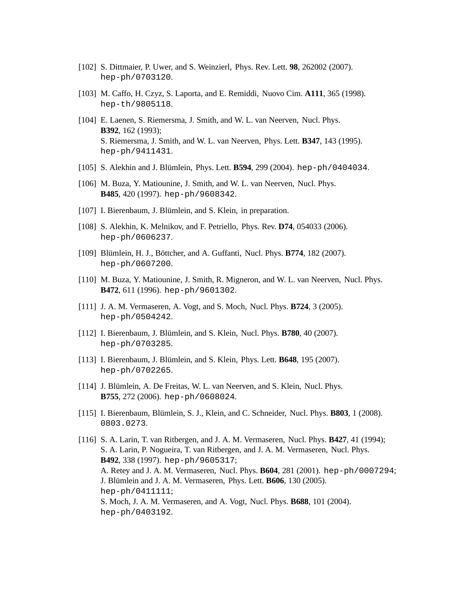- [102] S. Dittmaier, P. Uwer, and S. Weinzierl, Phys. Rev. Lett. **98**, 262002 (2007). hep-ph/0703120.
- [103] M. Caffo, H. Czyz, S. Laporta, and E. Remiddi, Nuovo Cim. **A111**, 365 (1998). hep-th/9805118.
- [104] E. Laenen, S. Riemersma, J. Smith, and W. L. van Neerven, Nucl. Phys. **B392**, 162 (1993); S. Riemersma, J. Smith, and W. L. van Neerven, Phys. Lett. **B347**, 143 (1995). hep-ph/9411431.
- [105] S. Alekhin and J. Blümlein, Phys. Lett. **B594**, 299 (2004). hep-ph/0404034.
- [106] M. Buza, Y. Matiounine, J. Smith, and W. L. van Neerven, Nucl. Phys. **B485**, 420 (1997). hep-ph/9608342.
- [107] I. Bierenbaum, J. Blümlein, and S. Klein, in preparation.
- [108] S. Alekhin, K. Melnikov, and F. Petriello, Phys. Rev. **D74**, 054033 (2006). hep-ph/0606237.
- [109] Blümlein, H. J., Böttcher, and A. Guffanti, Nucl. Phys. **B774**, 182 (2007). hep-ph/0607200.
- [110] M. Buza, Y. Matiounine, J. Smith, R. Migneron, and W. L. van Neerven, Nucl. Phys. **B472**, 611 (1996). hep-ph/9601302.
- [111] J. A. M. Vermaseren, A. Vogt, and S. Moch, Nucl. Phys. **B724**, 3 (2005). hep-ph/0504242.
- [112] I. Bierenbaum, J. Blümlein, and S. Klein, Nucl. Phys. **B780**, 40 (2007). hep-ph/0703285.
- [113] I. Bierenbaum, J. Blümlein, and S. Klein, Phys. Lett. **B648**, 195 (2007). hep-ph/0702265.
- [114] J. Blümlein, A. De Freitas, W. L. van Neerven, and S. Klein, Nucl. Phys. **B755**, 272 (2006). hep-ph/0608024.
- [115] I. Bierenbaum, Blümlein, S. J., Klein, and C. Schneider, Nucl. Phys. **B803**, 1 (2008). 0803.0273.
- [116] S. A. Larin, T. van Ritbergen, and J. A. M. Vermaseren, Nucl. Phys. **B427**, 41 (1994); S. A. Larin, P. Nogueira, T. van Ritbergen, and J. A. M. Vermaseren, Nucl. Phys. **B492**, 338 (1997). hep-ph/9605317; A. Retey and J. A. M. Vermaseren, Nucl. Phys. **B604**, 281 (2001). hep-ph/0007294; J. Blümlein and J. A. M. Vermaseren, Phys. Lett. **B606**, 130 (2005). hep-ph/0411111; S. Moch, J. A. M. Vermaseren, and A. Vogt, Nucl. Phys. **B688**, 101 (2004). hep-ph/0403192.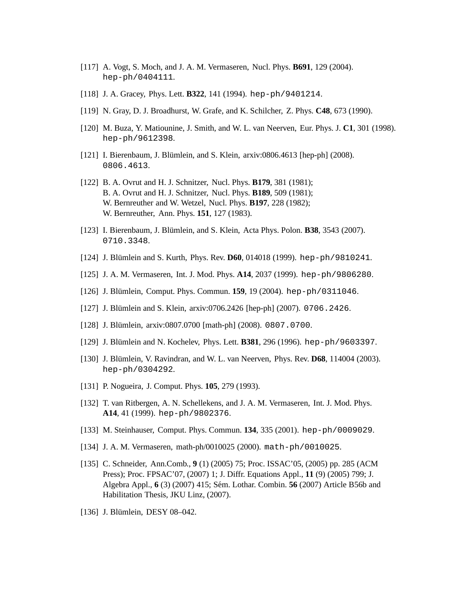- [117] A. Vogt, S. Moch, and J. A. M. Vermaseren, Nucl. Phys. **B691**, 129 (2004). hep-ph/0404111.
- [118] J. A. Gracey, Phys. Lett. **B322**, 141 (1994). hep-ph/9401214.
- [119] N. Gray, D. J. Broadhurst, W. Grafe, and K. Schilcher, Z. Phys. **C48**, 673 (1990).
- [120] M. Buza, Y. Matiounine, J. Smith, and W. L. van Neerven, Eur. Phys. J. **C1**, 301 (1998). hep-ph/9612398.
- [121] I. Bierenbaum, J. Blümlein, and S. Klein, arxiv:0806.4613 [hep-ph] (2008). 0806.4613.
- [122] B. A. Ovrut and H. J. Schnitzer, Nucl. Phys. **B179**, 381 (1981); B. A. Ovrut and H. J. Schnitzer, Nucl. Phys. **B189**, 509 (1981); W. Bernreuther and W. Wetzel, Nucl. Phys. **B197**, 228 (1982); W. Bernreuther, Ann. Phys. **151**, 127 (1983).
- [123] I. Bierenbaum, J. Blümlein, and S. Klein, Acta Phys. Polon. **B38**, 3543 (2007). 0710.3348.
- [124] J. Blümlein and S. Kurth, Phys. Rev. **D60**, 014018 (1999). hep-ph/9810241.
- [125] J. A. M. Vermaseren, Int. J. Mod. Phys. **A14**, 2037 (1999). hep-ph/9806280.
- [126] J. Blümlein, Comput. Phys. Commun. **159**, 19 (2004). hep-ph/0311046.
- [127] J. Blümlein and S. Klein, arxiv:0706.2426 [hep-ph] (2007). 0706.2426.
- [128] J. Blümlein, arxiv:0807.0700 [math-ph] (2008). 0807.0700.
- [129] J. Blümlein and N. Kochelev, Phys. Lett. **B381**, 296 (1996). hep-ph/9603397.
- [130] J. Blümlein, V. Ravindran, and W. L. van Neerven, Phys. Rev. **D68**, 114004 (2003). hep-ph/0304292.
- [131] P. Nogueira, J. Comput. Phys. **105**, 279 (1993).
- [132] T. van Ritbergen, A. N. Schellekens, and J. A. M. Vermaseren, Int. J. Mod. Phys. **A14**, 41 (1999). hep-ph/9802376.
- [133] M. Steinhauser, Comput. Phys. Commun. **134**, 335 (2001). hep-ph/0009029.
- [134] J. A. M. Vermaseren, math-ph/0010025 (2000). math-ph/0010025.
- [135] C. Schneider, Ann.Comb., **9** (1) (2005) 75; Proc. ISSAC'05, (2005) pp. 285 (ACM Press); Proc. FPSAC'07, (2007) 1; J. Diffr. Equations Appl., **11** (9) (2005) 799; J. Algebra Appl., **6** (3) (2007) 415; Sém. Lothar. Combin. **56** (2007) Article B56b and Habilitation Thesis, JKU Linz, (2007).
- [136] J. Blümlein, DESY 08-042.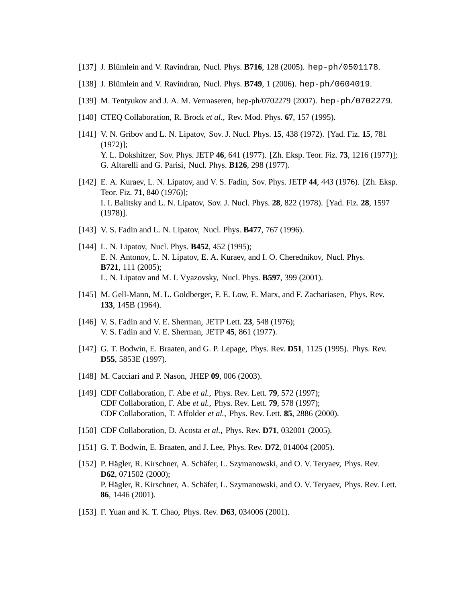- [137] J. Blümlein and V. Ravindran, Nucl. Phys. **B716**, 128 (2005). hep-ph/0501178.
- [138] J. Blümlein and V. Ravindran, Nucl. Phys. **B749**, 1 (2006). hep-ph/0604019.
- [139] M. Tentyukov and J. A. M. Vermaseren, hep-ph/0702279 (2007). hep-ph/0702279.
- [140] CTEQ Collaboration, R. Brock *et al.*, Rev. Mod. Phys. **67**, 157 (1995).
- [141] V. N. Gribov and L. N. Lipatov, Sov. J. Nucl. Phys. **15**, 438 (1972). [Yad. Fiz. **15**, 781 (1972)]; Y. L. Dokshitzer, Sov. Phys. JETP **46**, 641 (1977). [Zh. Eksp. Teor. Fiz. **73**, 1216 (1977)]; G. Altarelli and G. Parisi, Nucl. Phys. **B126**, 298 (1977).
- [142] E. A. Kuraev, L. N. Lipatov, and V. S. Fadin, Sov. Phys. JETP **44**, 443 (1976). [Zh. Eksp. Teor. Fiz. **71**, 840 (1976)]; I. I. Balitsky and L. N. Lipatov, Sov. J. Nucl. Phys. **28**, 822 (1978). [Yad. Fiz. **28**, 1597 (1978)].
- [143] V. S. Fadin and L. N. Lipatov, Nucl. Phys. **B477**, 767 (1996).
- [144] L. N. Lipatov, Nucl. Phys. **B452**, 452 (1995); E. N. Antonov, L. N. Lipatov, E. A. Kuraev, and I. O. Cherednikov, Nucl. Phys. **B721**, 111 (2005); L. N. Lipatov and M. I. Vyazovsky, Nucl. Phys. **B597**, 399 (2001).
- [145] M. Gell-Mann, M. L. Goldberger, F. E. Low, E. Marx, and F. Zachariasen, Phys. Rev. **133**, 145B (1964).
- [146] V. S. Fadin and V. E. Sherman, JETP Lett. **23**, 548 (1976); V. S. Fadin and V. E. Sherman, JETP **45**, 861 (1977).
- [147] G. T. Bodwin, E. Braaten, and G. P. Lepage, Phys. Rev. **D51**, 1125 (1995). Phys. Rev. **D55**, 5853E (1997).
- [148] M. Cacciari and P. Nason, JHEP **09**, 006 (2003).
- [149] CDF Collaboration, F. Abe *et al.*, Phys. Rev. Lett. **79**, 572 (1997); CDF Collaboration, F. Abe *et al.*, Phys. Rev. Lett. **79**, 578 (1997); CDF Collaboration, T. Affolder *et al.*, Phys. Rev. Lett. **85**, 2886 (2000).
- [150] CDF Collaboration, D. Acosta *et al.*, Phys. Rev. **D71**, 032001 (2005).
- [151] G. T. Bodwin, E. Braaten, and J. Lee, Phys. Rev. **D72**, 014004 (2005).
- [152] P. Hägler, R. Kirschner, A. Schäfer, L. Szymanowski, and O. V. Teryaev, Phys. Rev. **D62**, 071502 (2000); P. Hägler, R. Kirschner, A. Schäfer, L. Szymanowski, and O. V. Teryaev, Phys. Rev. Lett. **86**, 1446 (2001).
- [153] F. Yuan and K. T. Chao, Phys. Rev. **D63**, 034006 (2001).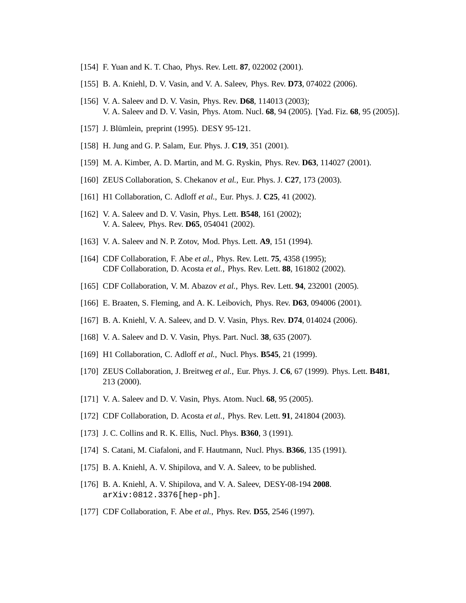- [154] F. Yuan and K. T. Chao, Phys. Rev. Lett. **87**, 022002 (2001).
- [155] B. A. Kniehl, D. V. Vasin, and V. A. Saleev, Phys. Rev. **D73**, 074022 (2006).
- [156] V. A. Saleev and D. V. Vasin, Phys. Rev. **D68**, 114013 (2003); V. A. Saleev and D. V. Vasin, Phys. Atom. Nucl. **68**, 94 (2005). [Yad. Fiz. **68**, 95 (2005)].
- [157] J. Blümlein, preprint (1995). DESY 95-121.
- [158] H. Jung and G. P. Salam, Eur. Phys. J. **C19**, 351 (2001).
- [159] M. A. Kimber, A. D. Martin, and M. G. Ryskin, Phys. Rev. **D63**, 114027 (2001).
- [160] ZEUS Collaboration, S. Chekanov *et al.*, Eur. Phys. J. **C27**, 173 (2003).
- [161] H1 Collaboration, C. Adloff *et al.*, Eur. Phys. J. **C25**, 41 (2002).
- [162] V. A. Saleev and D. V. Vasin, Phys. Lett. **B548**, 161 (2002); V. A. Saleev, Phys. Rev. **D65**, 054041 (2002).
- [163] V. A. Saleev and N. P. Zotov, Mod. Phys. Lett. **A9**, 151 (1994).
- [164] CDF Collaboration, F. Abe *et al.*, Phys. Rev. Lett. **75**, 4358 (1995); CDF Collaboration, D. Acosta *et al.*, Phys. Rev. Lett. **88**, 161802 (2002).
- [165] CDF Collaboration, V. M. Abazov *et al.*, Phys. Rev. Lett. **94**, 232001 (2005).
- [166] E. Braaten, S. Fleming, and A. K. Leibovich, Phys. Rev. **D63**, 094006 (2001).
- [167] B. A. Kniehl, V. A. Saleev, and D. V. Vasin, Phys. Rev. **D74**, 014024 (2006).
- [168] V. A. Saleev and D. V. Vasin, Phys. Part. Nucl. **38**, 635 (2007).
- [169] H1 Collaboration, C. Adloff *et al.*, Nucl. Phys. **B545**, 21 (1999).
- [170] ZEUS Collaboration, J. Breitweg *et al.*, Eur. Phys. J. **C6**, 67 (1999). Phys. Lett. **B481**, 213 (2000).
- [171] V. A. Saleev and D. V. Vasin, Phys. Atom. Nucl. **68**, 95 (2005).
- [172] CDF Collaboration, D. Acosta *et al.*, Phys. Rev. Lett. **91**, 241804 (2003).
- [173] J. C. Collins and R. K. Ellis, Nucl. Phys. **B360**, 3 (1991).
- [174] S. Catani, M. Ciafaloni, and F. Hautmann, Nucl. Phys. **B366**, 135 (1991).
- [175] B. A. Kniehl, A. V. Shipilova, and V. A. Saleev, to be published.
- [176] B. A. Kniehl, A. V. Shipilova, and V. A. Saleev, DESY-08-194 **2008**. arXiv:0812.3376[hep-ph].
- [177] CDF Collaboration, F. Abe *et al.*, Phys. Rev. **D55**, 2546 (1997).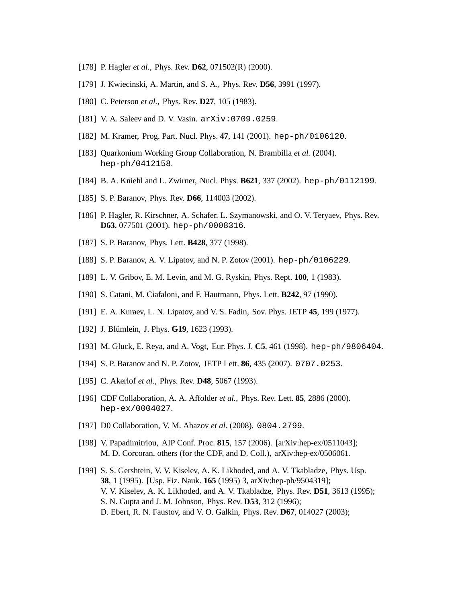- [178] P. Hagler *et al.*, Phys. Rev. **D62**, 071502(R) (2000).
- [179] J. Kwiecinski, A. Martin, and S. A., Phys. Rev. **D56**, 3991 (1997).
- [180] C. Peterson *et al.*, Phys. Rev. **D27**, 105 (1983).
- [181] V.A. Saleev and D.V. Vasin. arXiv: 0709.0259.
- [182] M. Kramer, Prog. Part. Nucl. Phys. **47**, 141 (2001). hep-ph/0106120.
- [183] Quarkonium Working Group Collaboration, N. Brambilla *et al.* (2004). hep-ph/0412158.
- [184] B. A. Kniehl and L. Zwirner, Nucl. Phys. **B621**, 337 (2002). hep-ph/0112199.
- [185] S. P. Baranov, Phys. Rev. **D66**, 114003 (2002).
- [186] P. Hagler, R. Kirschner, A. Schafer, L. Szymanowski, and O. V. Teryaev, Phys. Rev. **D63**, 077501 (2001). hep-ph/0008316.
- [187] S. P. Baranov, Phys. Lett. **B428**, 377 (1998).
- [188] S. P. Baranov, A. V. Lipatov, and N. P. Zotov (2001). hep-ph/0106229.
- [189] L. V. Gribov, E. M. Levin, and M. G. Ryskin, Phys. Rept. **100**, 1 (1983).
- [190] S. Catani, M. Ciafaloni, and F. Hautmann, Phys. Lett. **B242**, 97 (1990).
- [191] E. A. Kuraev, L. N. Lipatov, and V. S. Fadin, Sov. Phys. JETP **45**, 199 (1977).
- [192] J. Blümlein, J. Phys. **G19**, 1623 (1993).
- [193] M. Gluck, E. Reya, and A. Vogt, Eur. Phys. J. **C5**, 461 (1998). hep-ph/9806404.
- [194] S. P. Baranov and N. P. Zotov, JETP Lett. **86**, 435 (2007). 0707.0253.
- [195] C. Akerlof *et al.*, Phys. Rev. **D48**, 5067 (1993).
- [196] CDF Collaboration, A. A. Affolder *et al.*, Phys. Rev. Lett. **85**, 2886 (2000). hep-ex/0004027.
- [197] D0 Collaboration, V. M. Abazov *et al.* (2008). 0804.2799.
- [198] V. Papadimitriou, AIP Conf. Proc. **815**, 157 (2006). [arXiv:hep-ex/0511043]; M. D. Corcoran, others (for the CDF, and D. Coll.), arXiv:hep-ex/0506061.
- [199] S. S. Gershtein, V. V. Kiselev, A. K. Likhoded, and A. V. Tkabladze, Phys. Usp. **38**, 1 (1995). [Usp. Fiz. Nauk. **165** (1995) 3, arXiv:hep-ph/9504319]; V. V. Kiselev, A. K. Likhoded, and A. V. Tkabladze, Phys. Rev. **D51**, 3613 (1995); S. N. Gupta and J. M. Johnson, Phys. Rev. **D53**, 312 (1996); D. Ebert, R. N. Faustov, and V. O. Galkin, Phys. Rev. **D67**, 014027 (2003);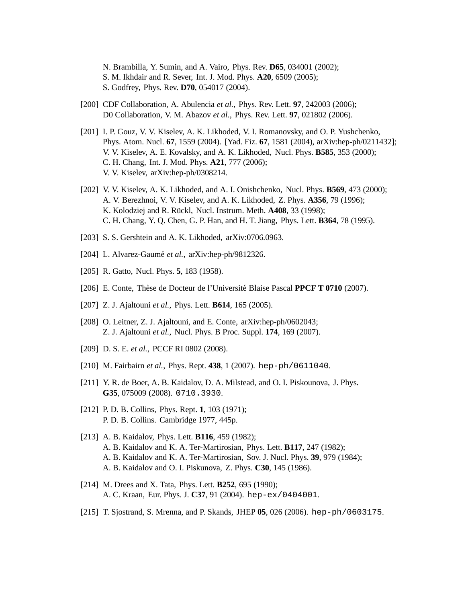N. Brambilla, Y. Sumin, and A. Vairo, Phys. Rev. **D65**, 034001 (2002); S. M. Ikhdair and R. Sever, Int. J. Mod. Phys. **A20**, 6509 (2005); S. Godfrey, Phys. Rev. **D70**, 054017 (2004).

- [200] CDF Collaboration, A. Abulencia *et al.*, Phys. Rev. Lett. **97**, 242003 (2006); D0 Collaboration, V. M. Abazov *et al.*, Phys. Rev. Lett. **97**, 021802 (2006).
- [201] I. P. Gouz, V. V. Kiselev, A. K. Likhoded, V. I. Romanovsky, and O. P. Yushchenko, Phys. Atom. Nucl. **67**, 1559 (2004). [Yad. Fiz. **67**, 1581 (2004), arXiv:hep-ph/0211432]; V. V. Kiselev, A. E. Kovalsky, and A. K. Likhoded, Nucl. Phys. **B585**, 353 (2000); C. H. Chang, Int. J. Mod. Phys. **A21**, 777 (2006); V. V. Kiselev, arXiv:hep-ph/0308214.
- [202] V. V. Kiselev, A. K. Likhoded, and A. I. Onishchenko, Nucl. Phys. **B569**, 473 (2000); A. V. Berezhnoi, V. V. Kiselev, and A. K. Likhoded, Z. Phys. **A356**, 79 (1996); K. Kolodziej and R. Rückl, Nucl. Instrum. Meth. **A408**, 33 (1998); C. H. Chang, Y. Q. Chen, G. P. Han, and H. T. Jiang, Phys. Lett. **B364**, 78 (1995).
- [203] S. S. Gershtein and A. K. Likhoded, arXiv:0706.0963.
- [204] L. Alvarez-Gaumé *et al.*, arXiv:hep-ph/9812326.
- [205] R. Gatto, Nucl. Phys. **5**, 183 (1958).
- [206] E. Conte, Thèse de Docteur de l'Université Blaise Pascal **PPCF T 0710** (2007).
- [207] Z. J. Ajaltouni *et al.*, Phys. Lett. **B614**, 165 (2005).
- [208] O. Leitner, Z. J. Ajaltouni, and E. Conte, arXiv:hep-ph/0602043; Z. J. Ajaltouni *et al.*, Nucl. Phys. B Proc. Suppl. **174**, 169 (2007).
- [209] D. S. E. *et al.*, PCCF RI 0802 (2008).
- [210] M. Fairbairn *et al.*, Phys. Rept. **438**, 1 (2007). hep-ph/0611040.
- [211] Y. R. de Boer, A. B. Kaidalov, D. A. Milstead, and O. I. Piskounova, J. Phys. **G35**, 075009 (2008). 0710.3930.
- [212] P. D. B. Collins, Phys. Rept. **1**, 103 (1971); P. D. B. Collins. Cambridge 1977, 445p.
- [213] A. B. Kaidalov, Phys. Lett. **B116**, 459 (1982); A. B. Kaidalov and K. A. Ter-Martirosian, Phys. Lett. **B117**, 247 (1982); A. B. Kaidalov and K. A. Ter-Martirosian, Sov. J. Nucl. Phys. **39**, 979 (1984); A. B. Kaidalov and O. I. Piskunova, Z. Phys. **C30**, 145 (1986).
- [214] M. Drees and X. Tata, Phys. Lett. **B252**, 695 (1990); A. C. Kraan, Eur. Phys. J. **C37**, 91 (2004). hep-ex/0404001.
- [215] T. Sjostrand, S. Mrenna, and P. Skands, JHEP **05**, 026 (2006). hep-ph/0603175.